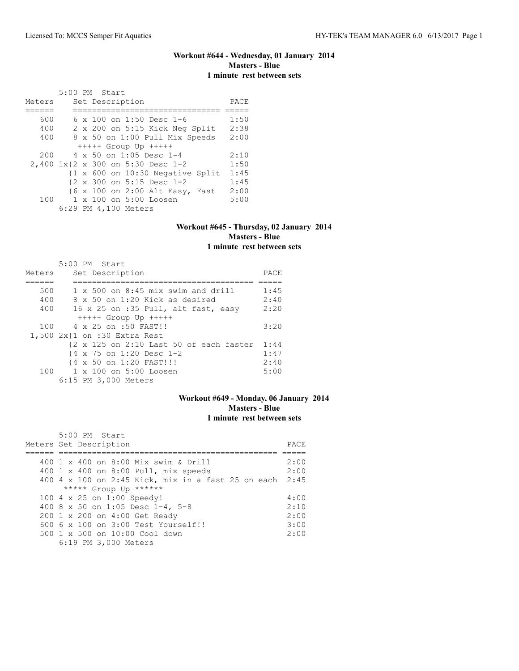# **Workout #644 - Wednesday, 01 January 2014 Masters - Blue 1 minute rest between sets**

|                                   | 5:00 PM Start |  |                                |  |                                                             |      |
|-----------------------------------|---------------|--|--------------------------------|--|-------------------------------------------------------------|------|
| Meters                            |               |  | Set Description                |  |                                                             | PACE |
|                                   |               |  |                                |  |                                                             |      |
| 600                               |               |  | 6 x 100 on 1:50 Desc 1-6       |  |                                                             | 1:50 |
| 400                               |               |  |                                |  | 2 x 200 on 5:15 Kick Neg Split                              | 2:38 |
| 400                               |               |  |                                |  | 8 x 50 on 1:00 Pull Mix Speeds                              | 2:00 |
|                                   |               |  | $++++$ Group Up $++++$         |  |                                                             |      |
| 200                               |               |  | $4 \times 50$ on 1:05 Desc 1-4 |  |                                                             | 2:10 |
| 2,400 1x{2 x 300 on 5:30 Desc 1-2 |               |  |                                |  |                                                             | 1:50 |
|                                   |               |  |                                |  | $\{1 \times 600 \text{ on } 10:30 \text{ Negative Split}\}$ | 1:45 |
|                                   |               |  | {2 x 300 on 5:15 Desc 1-2      |  |                                                             | 1:45 |
|                                   |               |  |                                |  | {6 x 100 on 2:00 Alt Easy, Fast                             | 2:00 |
| 100                               |               |  | 1 x 100 on 5:00 Loosen         |  |                                                             | 5:00 |
|                                   |               |  | 6:29 PM 4,100 Meters           |  |                                                             |      |

### **Workout #645 - Thursday, 02 January 2014 Masters - Blue 1 minute rest between sets**

| Meters | $5:00$ PM Start<br>Set Description          | PACE |
|--------|---------------------------------------------|------|
|        |                                             |      |
|        |                                             |      |
| 500    | $1 \times 500$ on $8:45$ mix swim and drill | 1:45 |
| 400    | $8 \times 50$ on 1:20 Kick as desired       | 2:40 |
| 400    | 16 x 25 on :35 Pull, alt fast, easy         | 2:20 |
|        | $++++$ Group Up $++++$                      |      |
| 100    | 4 x 25 on :50 FAST!!                        | 3:20 |
|        | 1,500 2x{1 on :30 Extra Rest                |      |
|        | {2 x 125 on 2:10 Last 50 of each faster     | 1:44 |
|        | {4 x 75 on 1:20 Desc 1-2                    | 1:47 |
|        | {4 x 50 on 1:20 FAST!!!                     | 2:40 |
|        | 100 1 x 100 on 5:00 Loosen                  | 5:00 |
|        | 6:15 PM 3,000 Meters                        |      |

### **Workout #649 - Monday, 06 January 2014 Masters - Blue 1 minute rest between sets**

| 5:00 PM Start                                           |      |
|---------------------------------------------------------|------|
| Meters Set Description                                  | PACE |
|                                                         |      |
| 400 1 x 400 on 8:00 Mix swim & Drill                    | 2:00 |
| 400 1 x 400 on 8:00 Pull, mix speeds                    | 2:00 |
| 400 4 x 100 on 2:45 Kick, mix in a fast 25 on each 2:45 |      |
| ***** Group Up ******                                   |      |
| 100 4 x 25 on 1:00 Speedy!                              | 4:00 |
| 400 8 x 50 on 1:05 Desc 1-4, 5-8                        | 2:10 |
| 200 1 x 200 on 4:00 Get Ready                           | 2:00 |
| 600 6 x 100 on 3:00 Test Yourself!!                     | 3:00 |
| 500 1 x 500 on 10:00 Cool down                          | 2:00 |
| 6:19 PM 3,000 Meters                                    |      |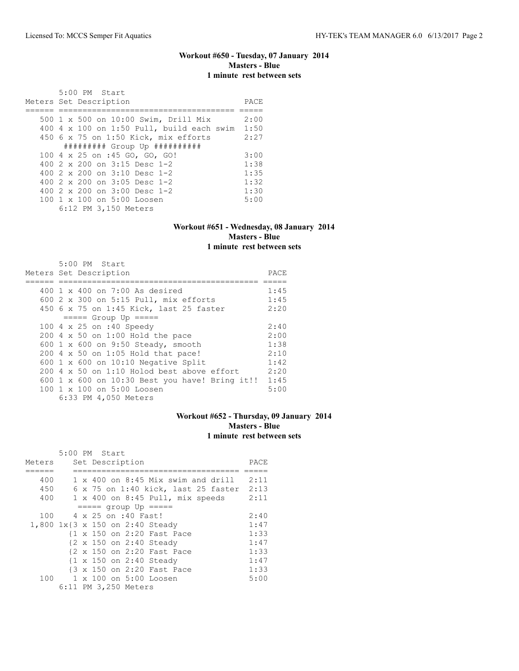# **Workout #650 - Tuesday, 07 January 2014 Masters - Blue 1 minute rest between sets**

| $5:00$ PM Start<br>Meters Set Description              | PACE |
|--------------------------------------------------------|------|
| 500 1 x 500 on 10:00 Swim, Drill Mix                   | 2:00 |
| 400 $4 \times 100$ on 1:50 Pull, build each swim       | 1:50 |
| 450 6 x 75 on 1:50 Kick, mix efforts                   | 2:27 |
| ########## Group Up ###########                        |      |
| 100 4 x 25 on :45 GO, GO, GO!                          | 3:00 |
| 400 $2 \times 200$ on $3:15$ Desc 1-2                  | 1:38 |
| 400 $2 \times 200$ on $3:10$ Desc 1-2                  | 1:35 |
| 400 $2 \times 200$ on $3:05$ Desc 1-2                  | 1:32 |
| 400 $2 \times 200$ on $3:00$ Desc 1-2                  | 1:30 |
| $100 \text{ 1 x } 100 \text{ on } 5:00 \text{ Loosen}$ | 5:00 |
| 6:12 PM 3,150 Meters                                   |      |

### **Workout #651 - Wednesday, 08 January 2014 Masters - Blue 1 minute rest between sets**

| 5:00 PM Start                                    |      |
|--------------------------------------------------|------|
| Meters Set Description                           | PACE |
|                                                  |      |
| $400 \t1 x 400$ on 7:00 As desired               | 1:45 |
| 600 2 x 300 on 5:15 Pull, mix efforts            | 1:45 |
| 450 6 x 75 on 1:45 Kick, last 25 faster          | 2:20 |
| $====$ Group Up $====$                           |      |
| 100 4 x 25 on :40 Speedy                         | 2:40 |
| 200 4 x 50 on 1:00 Hold the pace                 | 2:00 |
| 600 1 x 600 on 9:50 Steady, smooth               | 1:38 |
| 200 4 x 50 on 1:05 Hold that pace!               | 2:10 |
| 600 $1 \times 600$ on 10:10 Negative Split       | 1:42 |
| $200\,4\,$ x 50 on 1:10 Holod best above effort  | 2:20 |
| 600 1 x 600 on $10:30$ Best you have! Bring it!! | 1:45 |
| $100 \t 1 \t x \t 100$ on $5:00$ Loosen          | 5:00 |
| 6:33 PM 4,050 Meters                             |      |

# **Workout #652 - Thursday, 09 January 2014 Masters - Blue 1 minute rest between sets**

|        | 5:00 PM Start |  |                      |                                           |      |
|--------|---------------|--|----------------------|-------------------------------------------|------|
| Meters |               |  | Set Description      |                                           | PACE |
|        |               |  |                      |                                           |      |
| 400    |               |  |                      | $1 \times 400$ on 8:45 Mix swim and drill | 2:11 |
| 450    |               |  |                      | 6 x 75 on 1:40 kick, last 25 faster       | 2:13 |
| 400    |               |  |                      | 1 x 400 on 8:45 Pull, mix speeds          | 2:11 |
|        |               |  |                      | $==== qroup Up == == =$                   |      |
| 100    |               |  | 4 x 25 on :40 Fast!  |                                           | 2:40 |
|        |               |  |                      | 1,800 1x{3 x 150 on 2:40 Steady           | 1:47 |
|        |               |  |                      | {1 x 150 on 2:20 Fast Pace                | 1:33 |
|        |               |  |                      | {2 x 150 on 2:40 Steady                   | 1:47 |
|        |               |  |                      | {2 x 150 on 2:20 Fast Pace                | 1:33 |
|        |               |  |                      | {1 x 150 on 2:40 Steady                   | 1:47 |
|        |               |  |                      | {3 x 150 on 2:20 Fast Pace                | 1:33 |
| 100    |               |  |                      | 1 x 100 on 5:00 Loosen                    | 5:00 |
|        |               |  | 6:11 PM 3,250 Meters |                                           |      |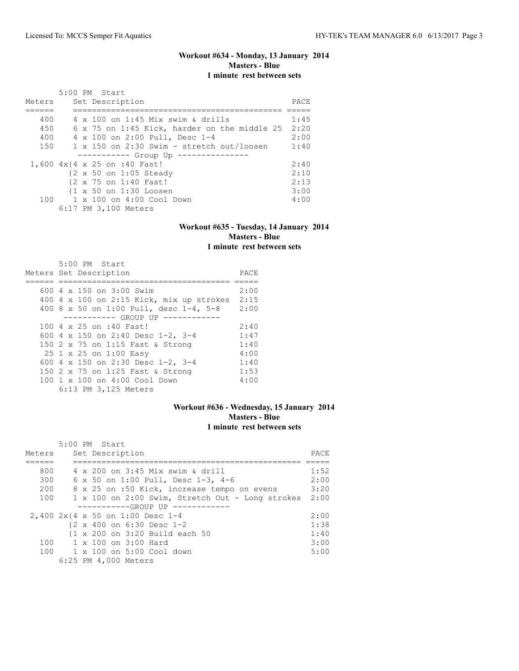## **Workout #634 - Monday, 13 January 2014 Masters - Blue 1 minute rest between sets**

|        | 5:00 PM Start                                    |      |
|--------|--------------------------------------------------|------|
| Meters | Set Description                                  | PACE |
|        |                                                  |      |
| 400    | 4 x 100 on 1:45 Mix swim & drills                | 1:45 |
| 450    | 6 x 75 on 1:45 Kick, harder on the middle 25     | 2:20 |
| 400    | 4 x 100 on 2:00 Pull, Desc 1-4                   | 2:00 |
| 150    | $1 \times 150$ on 2:30 Swim - stretch out/loosen | 1:40 |
|        | ----------- Group Up ---------                   |      |
|        | 1,600 4x{4 x 25 on :40 Fast!                     | 2:40 |
|        | {2 x 50 on 1:05 Steady                           | 2:10 |
|        | {2 x 75 on 1:40 Fast!                            | 2:13 |
|        | {1 x 50 on 1:30 Loosen                           | 3:00 |
|        | 100 1 x 100 on 4:00 Cool Down                    | 4:00 |
|        | 6:17 PM 3,100 Meters                             |      |

### **Workout #635 - Tuesday, 14 January 2014 Masters - Blue 1 minute rest between sets**

| $5:00$ PM Start<br>Meters Set Description | PACE |
|-------------------------------------------|------|
|                                           |      |
| 600 $4 \times 150$ on $3:00$ Swim         | 2:00 |
| 400 4 x 100 on 2:15 Kick, mix up strokes  | 2:15 |
| 400 8 x 50 on 1:00 Pull, desc 1-4, 5-8    | 2:00 |
| -------- GROUP UP --------                |      |
| 100 4 x 25 on :40 Fast!                   | 2:40 |
| 600 4 x 150 on 2:40 Desc 1-2, 3-4         | 1:47 |
| 150 2 x 75 on 1:15 Fast & Strong          | 1:40 |
| 25 1 x 25 on 1:00 Easy                    | 4:00 |
| 600 4 x 150 on 2:30 Desc 1-2, 3-4         | 1:40 |
| 150 2 x 75 on 1:25 Fast & Strong          | 1:53 |
| 100 1 x 100 on 4:00 Cool Down             | 4:00 |
| 6:13 PM 3,125 Meters                      |      |

## **Workout #636 - Wednesday, 15 January 2014 Masters - Blue 1 minute rest between sets**

| Meters | 5:00 PM Start<br>Set Description                      | PACE |
|--------|-------------------------------------------------------|------|
| 800    | 4 x 200 on 3:45 Mix swim & drill                      | 1:52 |
| 300    | 6 x 50 on 1:00 Pull, Desc 1-3, 4-6                    | 2:00 |
| 200    |                                                       | 3:20 |
|        | 8 x 25 on :50 Kick, increase tempo on evens           |      |
| 100    | 1 x 100 on 2:00 Swim, Stretch Out - Long strokes      | 2:00 |
|        | -----------GROUP UP ----------                        |      |
|        | 2,400 2x{4 x 50 on 1:00 Desc 1-4                      | 2:00 |
|        | $\{2 \times 400 \text{ on } 6:30 \text{ Desc } 1-2\}$ | 1:38 |
|        | {1 x 200 on 3:20 Build each 50                        | 1:40 |
|        | $100 \t 1 \times 100$ on $3:00$ Hard                  | 3:00 |
|        | 100 1 x 100 on 5:00 Cool down                         | 5:00 |
|        | 6:25 PM 4,000 Meters                                  |      |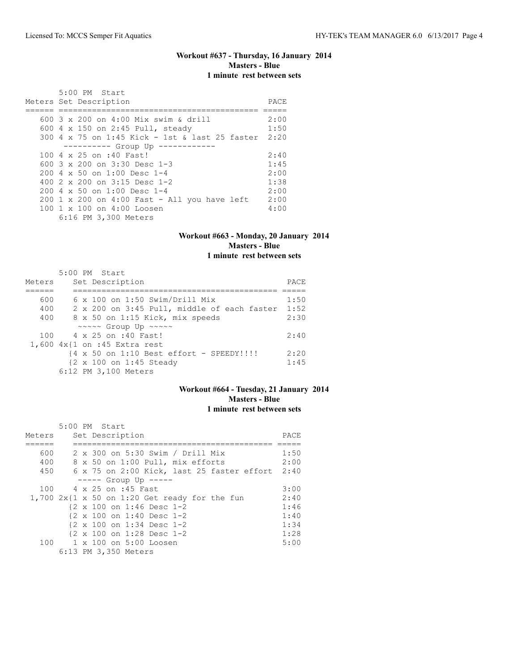### **Workout #637 - Thursday, 16 January 2014 Masters - Blue 1 minute rest between sets**

 5:00 PM Start Meters Set Description PACE ====== ========================================== ===== 600 3 x 200 on 4:00 Mix swim & drill 2:00 600 4 x 150 on 2:45 Pull, steady 1:50 300 4 x 75 on 1:45 Kick - 1st & last 25 faster 2:20 ---------- Group Up ------------ 100 4 x 25 on :40 Fast! 2:40<br>600 3 x 200 on 3:30 Desc 1-3 1:45 600 3 x 200 on 3:30 Desc 1-3 1:45<br>200 4 x 50 on 1:00 Desc 1-4 2:00 200 4 x 50 on 1:00 Desc 1-4 2:00<br>400 2 x 200 on 3:15 Desc 1-2 1:38 400 2 x 200 on 3:15 Desc 1-2 1:38<br>200 4 x 50 on 1:00 Desc 1-4 2:00 200 4 x 50 on 1:00 Desc 1-4 2:00 200 1 x 200 on 4:00 Fast - All you have left 2:00<br>100 1 x 100 on 4:00 Loosen 4:00 100 1 x 100 on 4:00 Loosen 6:16 PM 3,300 Meters

#### **Workout #663 - Monday, 20 January 2014 Masters - Blue 1 minute rest between sets**

 5:00 PM Start Meters Set Description **PACE** ====== =========================================== ===== 600 6 x 100 on 1:50 Swim/Drill Mix 1:50 400 2 x 200 on 3:45 Pull, middle of each faster 1:52 400 8 x 50 on 1:15 Kick, mix speeds 2:30 ~~~~~ Group Up ~~~~~ 100 4 x 25 on :40 Fast! 2:40 1,600 4x{1 on :45 Extra rest {4 x 50 on 1:10 Best effort - SPEEDY!!!! 2:20 {2 x 100 on 1:45 Steady 1:45 6:12 PM 3,100 Meters

### **Workout #664 - Tuesday, 21 January 2014 Masters - Blue 1 minute rest between sets**

|        | 5:00 PM Start                                        |      |
|--------|------------------------------------------------------|------|
| Meters | Set Description                                      | PACE |
|        |                                                      |      |
| 600    | 2 x 300 on 5:30 Swim / Drill Mix                     | 1:50 |
| 400    | 8 x 50 on 1:00 Pull, mix efforts                     | 2:00 |
| 450    | 6 x 75 on 2:00 Kick, last 25 faster effort 2:40      |      |
|        | $---$ Group Up $---$                                 |      |
| 100    | 4 x 25 on :45 Fast                                   | 3:00 |
|        | 1,700 $2x(1 \times 50$ on 1:20 Get ready for the fun | 2:40 |
|        | $\{2 \times 100 \text{ on } 1:46 \text{ Desc } 1-2$  | 1:46 |
|        | $\{2 \times 100 \text{ on } 1:40 \text{ Desc } 1-2$  | 1:40 |
|        | {2 x 100 on 1:34 Desc 1-2                            | 1:34 |
|        | {2 x 100 on 1:28 Desc 1-2                            | 1:28 |
|        | 100 1 x 100 on 5:00 Loosen                           | 5:00 |
|        | 6:13 PM 3,350 Meters                                 |      |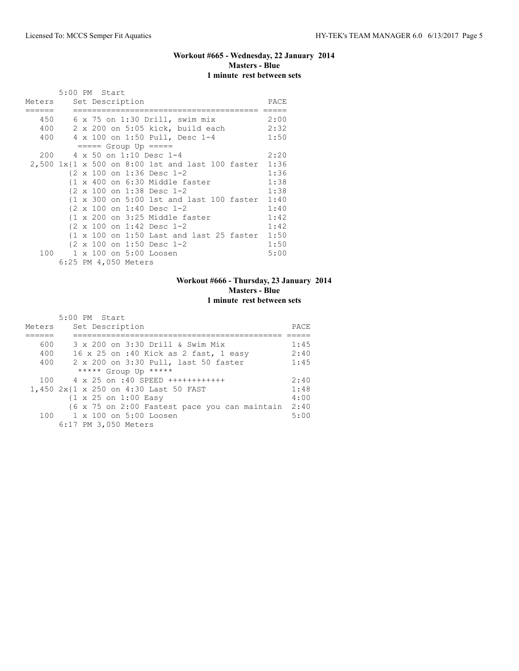### **Workout #665 - Wednesday, 22 January 2014 Masters - Blue 1 minute rest between sets**

|        | 5:00 PM Start |  |                      |                                                                                             |      |
|--------|---------------|--|----------------------|---------------------------------------------------------------------------------------------|------|
| Meters |               |  | Set Description      |                                                                                             | PACE |
|        |               |  |                      | 450 6 x 75 on 1:30 Drill, swim mix                                                          | 2:00 |
|        |               |  |                      | $400$ 2 x 200 on 5:05 kick, build each                                                      | 2:32 |
|        |               |  |                      | 400 4 x 100 on 1:50 Pull, Desc 1-4                                                          | 1:50 |
|        |               |  |                      | $== == $ Group Up $== == $                                                                  |      |
|        |               |  |                      | 200 4 x 50 on 1:10 Desc 1-4                                                                 | 2:20 |
|        |               |  |                      | 2,500 1x{1 x 500 on 8:00 1st and last 100 faster 1:36                                       |      |
|        |               |  |                      | $\{2 \times 100 \text{ on } 1:36 \text{ Desc } 1-2\}$                                       | 1:36 |
|        |               |  |                      | $\{1 \times 400 \text{ on } 6:30 \text{ Middle faster}\}$                                   | 1:38 |
|        |               |  |                      | {2 x 100 on 1:38 Desc 1-2                                                                   | 1:38 |
|        |               |  |                      | $\{1 \times 300 \text{ on } 5:00 \text{ 1st} \text{ and } last 100 \text{ faster } 1:40 \}$ |      |
|        |               |  |                      | $\{2 \times 100 \text{ on } 1:40 \text{ Desc } 1-2\}$                                       | 1:40 |
|        |               |  |                      | $\{1 \times 200 \text{ on } 3:25 \text{ Middle faster}\}$                                   | 1:42 |
|        |               |  |                      | $\{2 \times 100 \text{ on } 1:42 \text{ Desc } 1-2$                                         | 1:42 |
|        |               |  |                      | $\{1 \times 100 \text{ on } 1:50 \text{ Last and last } 25 \text{ faster } 1:50 \}$         |      |
|        |               |  |                      | {2 x 100 on 1:50 Desc 1-2                                                                   | 1:50 |
| 100    |               |  |                      | 1 x 100 on 5:00 Loosen                                                                      | 5:00 |
|        |               |  | 6:25 PM 4,050 Meters |                                                                                             |      |

# **Workout #666 - Thursday, 23 January 2014 Masters - Blue 1 minute rest between sets**

|        | 5:00 PM Start                                   |      |
|--------|-------------------------------------------------|------|
| Meters | Set Description                                 | PACE |
|        |                                                 |      |
| 600    | 3 x 200 on 3:30 Drill & Swim Mix                | 1:45 |
| 400    | 16 x 25 on :40 Kick as 2 fast, 1 easy           | 2:40 |
| 400    | 2 x 200 on 3:30 Pull, last 50 faster            | 1:45 |
|        | ***** Group Up *****                            |      |
| 100    | 4 x 25 on :40 SPEED +++++++++++++               | 2:40 |
|        | 1,450 2x{1 x 250 on 4:30 Last 50 FAST           | 1:48 |
|        | $\{1 \times 25 \text{ on } 1:00 \text{ Easy}\}$ | 4:00 |
|        | {6 x 75 on 2:00 Fastest pace you can maintain   | 2:40 |
|        | 100 1 x 100 on 5:00 Loosen                      | 5:00 |
|        | 6:17 PM 3,050 Meters                            |      |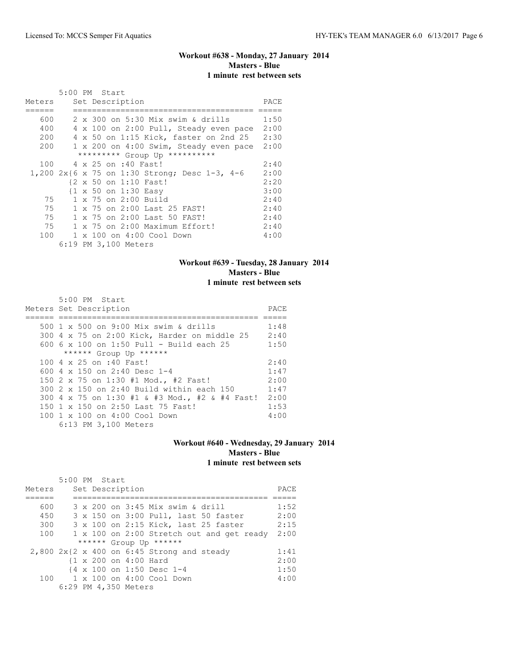# **Workout #638 - Monday, 27 January 2014 Masters - Blue 1 minute rest between sets**

|        | 5:00 PM Start                                 |      |
|--------|-----------------------------------------------|------|
| Meters | Set Description                               | PACE |
|        |                                               |      |
| 600    | 2 x 300 on 5:30 Mix swim & drills             | 1:50 |
| 400    | 4 x 100 on 2:00 Pull, Steady even pace        | 2:00 |
| 200    | 4 x 50 on 1:15 Kick, faster on 2nd 25         | 2:30 |
| 200    | 1 x 200 on 4:00 Swim, Steady even pace        | 2:00 |
|        | ********* Group Up **********                 |      |
| 100    | 4 x 25 on :40 Fast!                           | 2:40 |
|        | 1,200 2x{6 x 75 on 1:30 Strong; Desc 1-3, 4-6 | 2:00 |
|        | {2 x 50 on 1:10 Fast!                         | 2:20 |
|        | {1 x 50 on 1:30 Easy                          | 3:00 |
| 75     | 1 x 75 on 2:00 Build                          | 2:40 |
| 75     | 1 x 75 on 2:00 Last 25 FAST!                  | 2:40 |
| 75     | 1 x 75 on 2:00 Last 50 FAST!                  | 2:40 |
| 75     | 1 x 75 on 2:00 Maximum Effort!                | 2:40 |
| 100    | 1 x 100 on 4:00 Cool Down                     | 4:00 |
|        | 6:19 PM 3,100 Meters                          |      |

### **Workout #639 - Tuesday, 28 January 2014 Masters - Blue 1 minute rest between sets**

|  | 5:00 PM Start                                  |      |
|--|------------------------------------------------|------|
|  | Meters Set Description                         | PACE |
|  |                                                |      |
|  | 500 1 x 500 on 9:00 Mix swim & drills          | 1:48 |
|  | 300 4 x 75 on 2:00 Kick, Harder on middle 25   | 2:40 |
|  | 600 6 x 100 on 1:50 Pull - Build each 25       | 1:50 |
|  | ****** Group Up ******                         |      |
|  | 100 4 x 25 on :40 Fast!                        | 2:40 |
|  | 600 $4 \times 150$ on 2:40 Desc 1-4            | 1:47 |
|  | 150 2 x 75 on 1:30 #1 Mod., #2 Fast!           | 2:00 |
|  | 300 2 x 150 on 2:40 Build within each 150      | 1:47 |
|  | 300 4 x 75 on 1:30 #1 & #3 Mod., #2 & #4 Fast! | 2:00 |
|  | 150 1 x 150 on 2:50 Last 75 Fast!              | 1:53 |
|  | 100 1 x 100 on 4:00 Cool Down                  | 4:00 |
|  | 6:13 PM 3,100 Meters                           |      |

### **Workout #640 - Wednesday, 29 January 2014 Masters - Blue 1 minute rest between sets**

|        | $5:00$ PM Start                              |      |
|--------|----------------------------------------------|------|
| Meters | Set Description                              | PACE |
|        |                                              |      |
| 600    | 3 x 200 on 3:45 Mix swim & drill             | 1:52 |
| 450    | 3 x 150 on 3:00 Pull, last 50 faster         | 2:00 |
| 300    | 3 x 100 on 2:15 Kick, last 25 faster         | 2:15 |
| 100    | 1 x 100 on 2:00 Stretch out and get ready    | 2:00 |
|        | ****** Group Up ******                       |      |
|        | $2,800$ 2x{2 x 400 on 6:45 Strong and steady | 1:41 |
|        | {1 x 200 on 4:00 Hard                        | 2:00 |
|        | {4 x 100 on 1:50 Desc 1-4                    | 1:50 |
|        | $100 \t 1 \times 100$ on $4:00$ Cool Down    | 4:00 |
|        | 6:29 PM 4,350 Meters                         |      |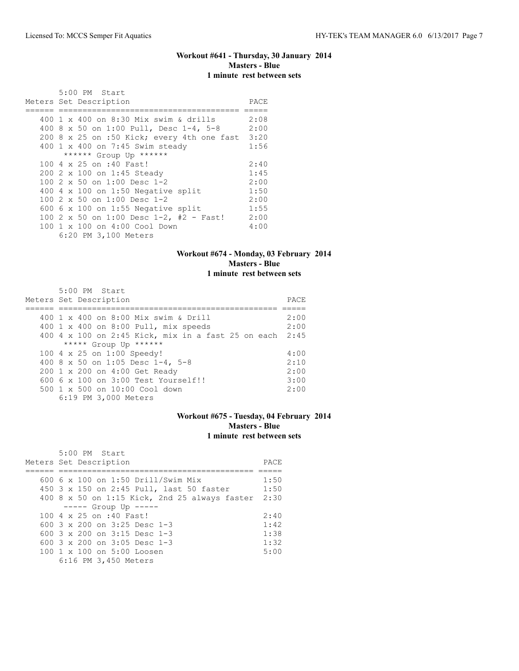# **Workout #641 - Thursday, 30 January 2014 Masters - Blue 1 minute rest between sets**

| 5:00 PM Start                              |      |
|--------------------------------------------|------|
| Meters Set Description                     | PACE |
|                                            |      |
| 400 1 x 400 on 8:30 Mix swim & drills      | 2:08 |
| 400 8 x 50 on 1:00 Pull, Desc 1-4, 5-8     | 2:00 |
| 200 8 x 25 on :50 Kick; every 4th one fast | 3:20 |
| 400 1 x 400 on 7:45 Swim steady            | 1:56 |
| ****** Group Up ******                     |      |
| 100 4 x 25 on :40 Fast!                    | 2:40 |
| 200 2 x 100 on 1:45 Steady                 | 1:45 |
| 100 $2 \times 50$ on 1:00 Desc 1-2         | 2:00 |
| 400 $4 \times 100$ on 1:50 Negative split  | 1:50 |
| 100 2 x 50 on 1:00 Desc 1-2                | 2:00 |
| 600 $6 \times 100$ on 1:55 Negative split  | 1:55 |
| 100 2 x 50 on 1:00 Desc 1-2, #2 - Fast!    | 2:00 |
| 100 1 x 100 on 4:00 Cool Down              | 4:00 |
| 6:20 PM 3,100 Meters                       |      |

### **Workout #674 - Monday, 03 February 2014 Masters - Blue 1 minute rest between sets**

| 5:00 PM Start                                           |      |
|---------------------------------------------------------|------|
| Meters Set Description                                  | PACE |
|                                                         |      |
| 400 1 x 400 on 8:00 Mix swim & Drill                    | 2:00 |
| 400 1 x 400 on 8:00 Pull, mix speeds                    | 2:00 |
| 400 4 x 100 on 2:45 Kick, mix in a fast 25 on each 2:45 |      |
| ***** Group Up ******                                   |      |
| 100 4 x 25 on 1:00 Speedy!                              | 4:00 |
| 400 8 x 50 on 1:05 Desc 1-4, 5-8                        | 2:10 |
| 200 1 x 200 on 4:00 Get Ready                           | 2:00 |
| 600 6 x 100 on 3:00 Test Yourself!!                     | 3:00 |
| $500 \t 1 \t x \t 500$ on $10:00$ Cool down             | 2:00 |
| 6:19 PM 3,000 Meters                                    |      |

# **Workout #675 - Tuesday, 04 February 2014 Masters - Blue 1 minute rest between sets**

| 5:00 PM Start                                 |      |
|-----------------------------------------------|------|
| Meters Set Description                        | PACE |
|                                               |      |
| 600 6 x 100 on 1:50 Drill/Swim Mix            | 1:50 |
| 450 3 x 150 on 2:45 Pull, last 50 faster      | 1:50 |
| 400 8 x 50 on 1:15 Kick, 2nd 25 always faster | 2:30 |
| $--- $ Group Up $---$                         |      |
| 100 4 x 25 on :40 Fast!                       | 2:40 |
| 600 $3 \times 200$ on $3:25$ Desc 1-3         | 1:42 |
| 600 $3 \times 200$ on $3:15$ Desc 1-3         | 1:38 |
| 600 $3 \times 200$ on $3:05$ Desc 1-3         | 1:32 |
| 100 1 x 100 on 5:00 Loosen                    | 5:00 |
| 6:16 PM 3,450 Meters                          |      |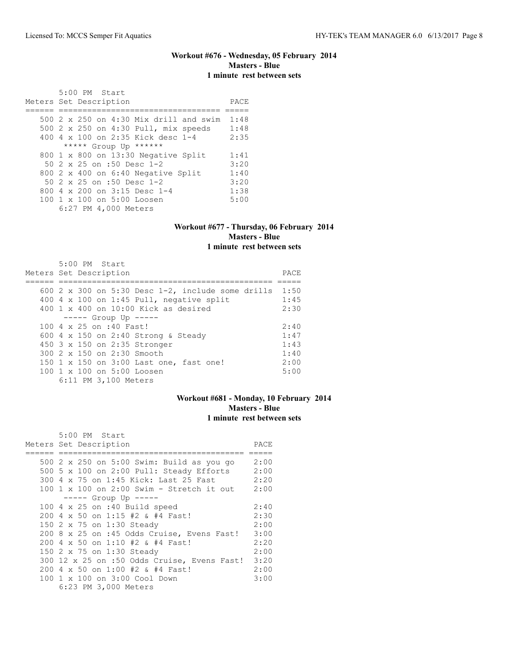## **Workout #676 - Wednesday, 05 February 2014 Masters - Blue 1 minute rest between sets**

 5:00 PM Start Meters Set Description **PACE** ====== ================================== ===== 500 2 x 250 on 4:30 Mix drill and swim 1:48 500 2 x 250 on 4:30 Pull, mix speeds 1:48<br>400 4 x 100 on 2:35 Kick desc 1-4 2:35 400 4 x 100 on 2:35 Kick desc 1-4<br>\*\*\*\*\* Group Up \*\*\*\*\*\* \*\*\*\*\* Group Up \*\*\*\*\*\* 800 1 x 800 on 13:30 Negative Split 1:41 50 2 x 25 on :50 Desc 1-2 3:20 800 2 x 400 on 6:40 Negative Split 1:40<br>50 2 x 25 on :50 Desc 1-2 3:20 50 2 x 25 on :50 Desc 1-2 3:20<br>300 4 x 200 on 3:15 Desc 1-4 1:38 800 4 x 200 on 3:15 Desc 1-4 1:38<br>100 1 x 100 on 5:00 Loosen 5:00 100 1 x 100 on 5:00 Loosen 6:27 PM 4,000 Meters

### **Workout #677 - Thursday, 06 February 2014 Masters - Blue 1 minute rest between sets**

|                        | $5:00$ PM Start |                         |                                                             |      |
|------------------------|-----------------|-------------------------|-------------------------------------------------------------|------|
| Meters Set Description |                 |                         |                                                             | PACE |
|                        |                 |                         |                                                             |      |
|                        |                 |                         | 600 2 x 300 on 5:30 Desc $1-2$ , include some drills $1:50$ |      |
|                        |                 |                         | 400 4 x 100 on 1:45 Pull, negative split                    | 1:45 |
|                        |                 |                         | $400 \text{ 1 x } 400$ on $10:00$ Kick as desired           | 2:30 |
|                        |                 |                         | $--- $ Group Up $---$                                       |      |
|                        |                 | 100 4 x 25 on :40 Fast! |                                                             | 2:40 |
|                        |                 |                         | 600 4 x 150 on 2:40 Strong & Steady                         | 1:47 |
|                        |                 |                         | 450 3 x 150 on 2:35 Stronger                                | 1:43 |
|                        |                 |                         | $300.2 \times 150$ on 2:30 Smooth                           | 1:40 |
|                        |                 |                         | 150 1 x 150 on 3:00 Last one, fast one!                     | 2:00 |
|                        |                 |                         | 100 1 x 100 on 5:00 Loosen                                  | 5:00 |
|                        |                 | 6:11 PM 3,100 Meters    |                                                             |      |

### **Workout #681 - Monday, 10 February 2014 Masters - Blue 1 minute rest between sets**

| 5:00 PM Start                                                 |      |
|---------------------------------------------------------------|------|
| Meters Set Description                                        | PACE |
|                                                               |      |
| 500 2 x 250 on 5:00 Swim: Build as you go                     | 2:00 |
| 500 5 x 100 on 2:00 Pull: Steady Efforts                      | 2:00 |
| 2:20<br>300 4 x 75 on 1:45 Kick: Last 25 Fast                 |      |
| $100 \t 1 \t x \t 100$ on $2:00$ Swim - Stretch it out $2:00$ |      |
| $--- $ Group Up $---$                                         |      |
| 100 $4 \times 25$ on :40 Build speed                          | 2:40 |
| 200 4 x 50 on 1:15 #2 & #4 Fast!                              | 2:30 |
| 150 2 x 75 on 1:30 Steady                                     | 2:00 |
| 200 8 x 25 on :45 Odds Cruise, Evens Fast!                    | 3:00 |
| 200 4 x 50 on 1:10 #2 & #4 Fast!                              | 2:20 |
| 150 2 x 75 on 1:30 Steady                                     | 2:00 |
| 300 12 x 25 on :50 Odds Cruise, Evens Fast! 3:20              |      |
| 200 4 x 50 on 1:00 #2 & #4 Fast!                              | 2:00 |
| 100 1 x 100 on 3:00 Cool Down                                 | 3:00 |
| 6:23 PM 3,000 Meters                                          |      |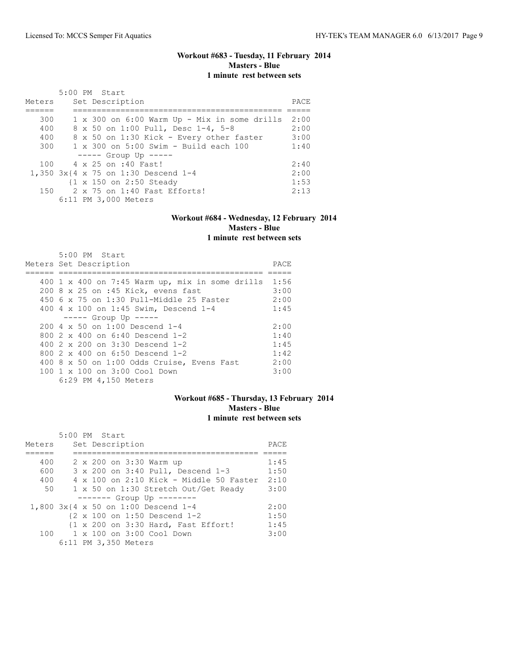# **Workout #683 - Tuesday, 11 February 2014 Masters - Blue 1 minute rest between sets**

| Meters | 5:00 PM Start<br>Set Description                      | PACE |
|--------|-------------------------------------------------------|------|
|        |                                                       |      |
| 300    | $1 \times 300$ on $6:00$ Warm Up - Mix in some drills | 2:00 |
| 400    | 8 x 50 on 1:00 Pull, Desc 1-4, 5-8                    | 2:00 |
| 400    | 8 x 50 on 1:30 Kick - Every other faster              | 3:00 |
| 300    | $1 \times 300$ on $5:00$ Swim - Build each 100        | 1:40 |
|        | $--- $ Group Up $--- $                                |      |
| 100    | 4 x 25 on :40 Fast!                                   | 2:40 |
|        | 1,350 3x{4 x 75 on 1:30 Descend 1-4                   | 2:00 |
|        | {1 x 150 on 2:50 Steady                               | 1:53 |
|        | $150$ 2 x 75 on 1:40 Fast Efforts!                    | 2:13 |
|        | 6:11 PM 3,000 Meters                                  |      |

### **Workout #684 - Wednesday, 12 February 2014 Masters - Blue 1 minute rest between sets**

|  | 5:00 PM Start                                          |       |
|--|--------------------------------------------------------|-------|
|  | Meters Set Description                                 | PACE. |
|  |                                                        |       |
|  | 400 1 x 400 on 7:45 Warm up, mix in some drills $1:56$ |       |
|  | 200 8 x 25 on :45 Kick, evens fast                     | 3:00  |
|  | 450 6 x 75 on 1:30 Pull-Middle 25 Faster               | 2:00  |
|  | 400 4 x 100 on 1:45 Swim, Descend 1-4                  | 1:45  |
|  | $--- -$ Group Up $--- -$                               |       |
|  | 200 4 x 50 on 1:00 Descend 1-4                         | 2:00  |
|  | 800 $2 \times 400$ on 6:40 Descend 1-2                 | 1:40  |
|  | 400 $2 \times 200$ on $3:30$ Descend 1-2               | 1:45  |
|  | 800 $2 \times 400$ on 6:50 Descend 1-2                 | 1:42  |
|  | 400 8 x 50 on 1:00 Odds Cruise, Evens Fast             | 2:00  |
|  | $100 \t 1 \t x \t 100$ on $3:00$ Cool Down             | 3:00  |
|  | 6:29 PM 4,150 Meters                                   |       |

### **Workout #685 - Thursday, 13 February 2014 Masters - Blue 1 minute rest between sets**

|        | 5:00 PM Start                                          |      |
|--------|--------------------------------------------------------|------|
| Meters | Set Description                                        | PACE |
|        |                                                        |      |
| 400    | 2 x 200 on 3:30 Warm up                                | 1:45 |
| 600    | 3 x 200 on 3:40 Pull, Descend 1-3                      | 1:50 |
| 400    | $4 \times 100$ on 2:10 Kick - Middle 50 Faster         | 2:10 |
| 50     | 1 x 50 on 1:30 Stretch Out/Get Ready                   | 3:00 |
|        | ------- Group Up --------                              |      |
|        | 1,800 3x{4 x 50 on 1:00 Descend 1-4                    | 2:00 |
|        | $\{2 \times 100 \text{ on } 1:50 \text{ Descend } 1-2$ | 1:50 |
|        | {1 x 200 on 3:30 Hard, Fast Effort!                    | 1:45 |
|        | $100 \t 1 \times 100$ on $3:00$ Cool Down              | 3:00 |
|        | 6:11 PM 3,350 Meters                                   |      |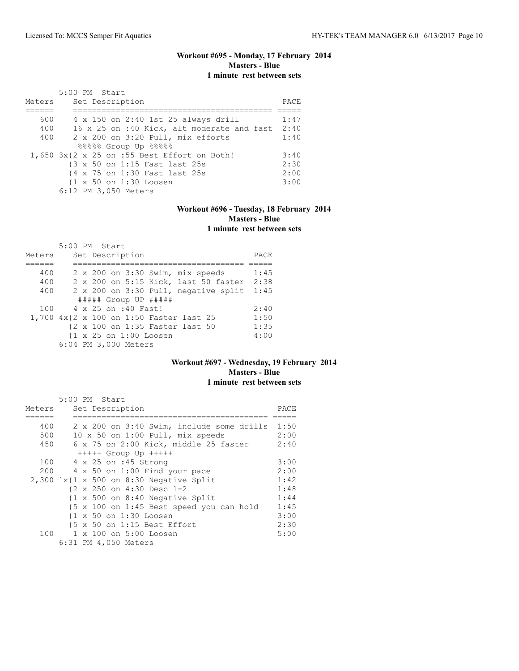# **Workout #695 - Monday, 17 February 2014 Masters - Blue 1 minute rest between sets**

| Meters | 5:00 PM Start<br>Set Description                | PACE |
|--------|-------------------------------------------------|------|
|        |                                                 |      |
| 600    | 4 x 150 on 2:40 1st 25 always drill             | 1:47 |
| 400    | 16 x 25 on :40 Kick, alt moderate and fast 2:40 |      |
| 400    | 2 x 200 on 3:20 Pull, mix efforts               | 1:40 |
|        | %%%%% Group Up %%%%                             |      |
|        | 1,650 3x{2 x 25 on :55 Best Effort on Both!     | 3:40 |
|        | {3 x 50 on 1:15 Fast last 25s                   | 2:30 |
|        | {4 x 75 on 1:30 Fast last 25s                   | 2:00 |
|        | {1 x 50 on 1:30 Loosen                          | 3:00 |
|        | 6:12 PM 3,050 Meters                            |      |

### **Workout #696 - Tuesday, 18 February 2014 Masters - Blue 1 minute rest between sets**

|        | 5:00 PM Start                                     |      |
|--------|---------------------------------------------------|------|
| Meters | Set Description                                   | PACE |
|        |                                                   |      |
| 400    | 2 x 200 on 3:30 Swim, mix speeds                  | 1:45 |
| 400    | 2 x 200 on 5:15 Kick, last 50 faster              | 2:38 |
| 400    | 2 x 200 on 3:30 Pull, negative split              | 1:45 |
|        | $\#$ #### Group UP #####                          |      |
| 100    | 4 x 25 on :40 Fast!                               | 2:40 |
|        | 1,700 4x{2 x 100 on 1:50 Faster last 25           | 1:50 |
|        | {2 x 100 on 1:35 Faster last 50                   | 1:35 |
|        | $\{1 \times 25 \text{ on } 1:00 \text{ Loosen}\}$ | 4:00 |
|        | 6:04 PM 3,000 Meters                              |      |

### **Workout #697 - Wednesday, 19 February 2014 Masters - Blue 1 minute rest between sets**

|        | 5:00 PM Start                                          |      |
|--------|--------------------------------------------------------|------|
| Meters | Set Description                                        | PACE |
|        |                                                        |      |
| 400    | 2 x 200 on 3:40 Swim, include some drills              | 1:50 |
| 500    | 10 x 50 on 1:00 Pull, mix speeds                       | 2:00 |
| 450    | 6 x 75 on 2:00 Kick, middle 25 faster                  | 2:40 |
|        | $++++$ Group Up $++++$                                 |      |
| 100    | 4 x 25 on :45 Strong                                   | 3:00 |
|        | $200$ 4 x 50 on 1:00 Find your pace                    | 2:00 |
|        | $2,300$ 1x{1 x 500 on 8:30 Negative Split              | 1:42 |
|        | {2 x 250 on 4:30 Desc 1-2                              | 1:48 |
|        | $\{1 \times 500$ on 8:40 Negative Split                | 1:44 |
|        | {5 x 100 on 1:45 Best speed you can hold               | 1:45 |
|        | $\{1 \times 50 \text{ on } 1:30 \text{ Loosen}\}$      | 3:00 |
|        | $\{5 \times 50 \text{ on } 1:15 \text{ Best Effect}\}$ | 2:30 |
|        | 100 1 x 100 on 5:00 Loosen                             | 5:00 |
|        | 6:31 PM 4,050 Meters                                   |      |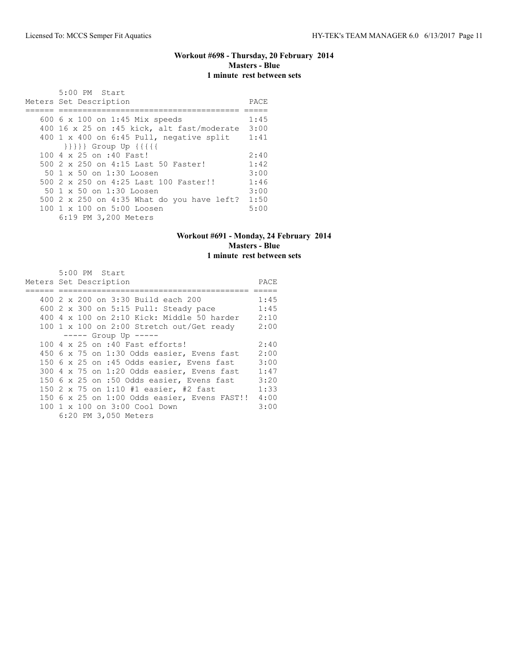# **Workout #698 - Thursday, 20 February 2014 Masters - Blue 1 minute rest between sets**

| 5:00 PM Start<br>Meters Set Description    | PACE |
|--------------------------------------------|------|
|                                            |      |
| 600 6 x 100 on 1:45 Mix speeds             | 1:45 |
| 400 16 x 25 on :45 kick, alt fast/moderate | 3:00 |
| 400 1 x 400 on 6:45 Pull, negative split   | 1:41 |
| }}}} Group Up {{{{                         |      |
| 100 4 x 25 on :40 Fast!                    | 2:40 |
| 500 2 x 250 on 4:15 Last 50 Faster!        | 1:42 |
| 50 1 x 50 on 1:30 Loosen                   | 3:00 |
| 500 2 x 250 on 4:25 Last 100 Faster!!      | 1:46 |
| 50 1 x 50 on 1:30 Loosen                   | 3:00 |
| 500 2 x 250 on 4:35 What do you have left? | 1:50 |
| 100 1 x 100 on 5:00 Loosen                 | 5:00 |
| 6:19 PM 3,200 Meters                       |      |

### **Workout #691 - Monday, 24 February 2014 Masters - Blue 1 minute rest between sets**

| 5:00 PM Start                                       |      |
|-----------------------------------------------------|------|
| Meters Set Description                              | PACE |
|                                                     |      |
| 400 2 x 200 on 3:30 Build each 200                  | 1:45 |
| 600 2 x 300 on 5:15 Pull: Steady pace               | 1:45 |
| $400\,4\,$ x $100\,$ on 2:10 Kick: Middle 50 harder | 2:10 |
| 100 1 x 100 on 2:00 Stretch out/Get ready           | 2:00 |
| $--- -$ Group Up $---$                              |      |
| 100 4 x 25 on :40 Fast efforts!                     | 2:40 |
| 450 6 x 75 on 1:30 Odds easier, Evens fast          | 2:00 |
| 150 6 x 25 on :45 Odds easier, Evens fast           | 3:00 |
| 300 4 x 75 on 1:20 Odds easier, Evens fast          | 1:47 |
| 150 6 x 25 on :50 Odds easier, Evens fast           | 3:20 |
| 150 2 x 75 on 1:10 #1 easier, #2 fast               | 1:33 |
| 150 6 x 25 on 1:00 Odds easier, Evens FAST!!        | 4:00 |
| 100 1 x 100 on 3:00 Cool Down                       | 3:00 |
| 6:20 PM 3,050 Meters                                |      |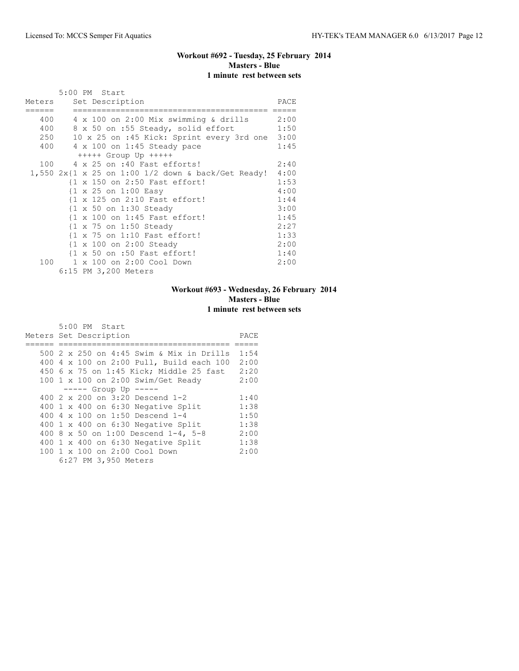# **Workout #692 - Tuesday, 25 February 2014 Masters - Blue 1 minute rest between sets**

|        |  | 5:00 PM Start                                           |      |
|--------|--|---------------------------------------------------------|------|
| Meters |  | Set Description                                         | PACE |
|        |  |                                                         |      |
|        |  | 400 4 x 100 on 2:00 Mix swimming & drills               | 2:00 |
| 400    |  | 8 x 50 on :55 Steady, solid effort                      | 1:50 |
|        |  | 250 10 x 25 on :45 Kick: Sprint every 3rd one 3:00      |      |
| 400    |  | $4 \times 100$ on 1:45 Steady pace                      | 1:45 |
|        |  | $++++$ Group Up $++++$                                  |      |
|        |  | 100 4 x 25 on :40 Fast efforts!                         | 2:40 |
|        |  | 1,550 2x{1 x 25 on 1:00 1/2 down & back/Get Ready! 4:00 |      |
|        |  | {1 x 150 on 2:50 Fast effort!                           | 1:53 |
|        |  | $\{1 \times 25 \text{ on } 1:00 \text{ Easy}\}$         | 4:00 |
|        |  | {1 x 125 on 2:10 Fast effort!                           | 1:44 |
|        |  | $\{1 \times 50 \text{ on } 1:30 \text{ Steady}\}$       | 3:00 |
|        |  | {1 x 100 on 1:45 Fast effort!                           | 1:45 |
|        |  | {1 x 75 on 1:50 Steady                                  | 2:27 |
|        |  | {1 x 75 on 1:10 Fast effort!                            | 1:33 |
|        |  | {1 x 100 on 2:00 Steady                                 | 2:00 |
|        |  | {1 x 50 on :50 Fast effort!                             | 1:40 |
|        |  | 100 1 x 100 on 2:00 Cool Down                           | 2:00 |
|        |  | 6:15 PM 3,200 Meters                                    |      |

# **Workout #693 - Wednesday, 26 February 2014 Masters - Blue 1 minute rest between sets**

|                        |  | 5:00 PM Start |                      |                                          |      |
|------------------------|--|---------------|----------------------|------------------------------------------|------|
| Meters Set Description |  |               |                      |                                          | PACE |
|                        |  |               |                      |                                          |      |
|                        |  |               |                      | 500 2 x 250 on 4:45 Swim & Mix in Drills | 1:54 |
|                        |  |               |                      | 400 4 x 100 on 2:00 Pull, Build each 100 | 2:00 |
|                        |  |               |                      | 450 6 x 75 on 1:45 Kick; Middle 25 fast  | 2:20 |
|                        |  |               |                      | 100 1 x 100 on 2:00 Swim/Get Ready       | 2:00 |
|                        |  |               |                      | $--- $ Group Up $--- $                   |      |
|                        |  |               |                      | 400 2 x 200 on 3:20 Descend 1-2          | 1:40 |
|                        |  |               |                      | 400 1 x 400 on 6:30 Negative Split       | 1:38 |
|                        |  |               |                      | 400 4 x 100 on 1:50 Descend 1-4          | 1:50 |
|                        |  |               |                      | 400 1 x 400 on 6:30 Negative Split       | 1:38 |
|                        |  |               |                      | 400 8 x 50 on 1:00 Descend 1-4, 5-8      | 2:00 |
|                        |  |               |                      | 400 1 x 400 on 6:30 Negative Split       | 1:38 |
|                        |  |               |                      | 100 1 x 100 on 2:00 Cool Down            | 2:00 |
|                        |  |               | 6:27 PM 3,950 Meters |                                          |      |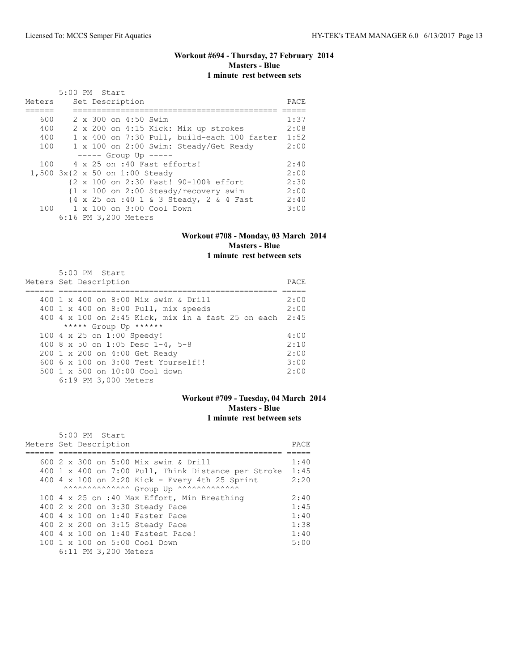# **Workout #694 - Thursday, 27 February 2014 Masters - Blue 1 minute rest between sets**

|        | 5:00 PM Start                                                    |      |
|--------|------------------------------------------------------------------|------|
| Meters | Set Description                                                  | PACE |
|        |                                                                  |      |
| 600    | 2 x 300 on 4:50 Swim                                             | 1:37 |
| 400    | 2 x 200 on 4:15 Kick: Mix up strokes                             | 2:08 |
| 400    | 1 x 400 on 7:30 Pull, build-each 100 faster                      | 1:52 |
| 100    | 1 x 100 on 2:00 Swim: Steady/Get Ready                           | 2:00 |
|        | $--- $ Group Up $---$                                            |      |
| 100    | 4 x 25 on :40 Fast efforts!                                      | 2:40 |
|        | 1,500 3x{2 x 50 on 1:00 Steady                                   | 2:00 |
|        | {2 x 100 on 2:30 Fast! 90-100% effort                            | 2:30 |
|        | $\{1 \times 100 \text{ on } 2:00 \text{ Steady/recovery swim}\}$ | 2:00 |
|        | {4 x 25 on :40 1 & 3 Steady, 2 & 4 Fast                          | 2:40 |
|        | 100 1 x 100 on 3:00 Cool Down                                    | 3:00 |
|        | 6:16 PM 3,200 Meters                                             |      |

#### **Workout #708 - Monday, 03 March 2014 Masters - Blue 1 minute rest between sets**

 5:00 PM Start Meters Set Description PACE ====== ============================================== ===== 400 1 x 400 on 8:00 Mix swim & Drill 2:00 400 1 x 400 on 8:00 Pull, mix speeds 2:00 400 4 x 100 on 2:45 Kick, mix in a fast 25 on each 2:45 \*\*\*\*\* Group Up \*\*\*\*\*\* 100 4 x 25 on 1:00 Speedy! 4:00 400 8 x 50 on 1:05 Desc 1-4, 5-8 2:10 200 1 x 200 on 4:00 Get Ready 2:00 600 6 x 100 on 3:00 Test Yourself!! 3:00 500 1 x 500 on 10:00 Cool down 2:00 6:19 PM 3,000 Meters

### **Workout #709 - Tuesday, 04 March 2014 Masters - Blue 1 minute rest between sets**

| 5:00 PM Start                                       |       |
|-----------------------------------------------------|-------|
| Meters Set Description                              | PACE. |
|                                                     |       |
| 600 2 x 300 on 5:00 Mix swim & Drill                | 1:40  |
| 400 1 x 400 on 7:00 Pull, Think Distance per Stroke | 1:45  |
| 400 4 x 100 on 2:20 Kick - Every 4th 25 Sprint      | 2:20  |
| AAAAAAAAAAAAAA Group Up ^^^^^^^^^^^^^^^^^^          |       |
| 100 4 x 25 on :40 Max Effort, Min Breathing         | 2:40  |
| 400 2 x 200 on 3:30 Steady Pace                     | 1:45  |
| 400 4 x 100 on 1:40 Faster Pace                     | 1:40  |
| 400 2 x 200 on 3:15 Steady Pace                     | 1:38  |
| 400 4 x 100 on 1:40 Fastest Pace!                   | 1:40  |
| 100 1 x 100 on 5:00 Cool Down                       | 5:00  |
| 6:11 PM 3,200 Meters                                |       |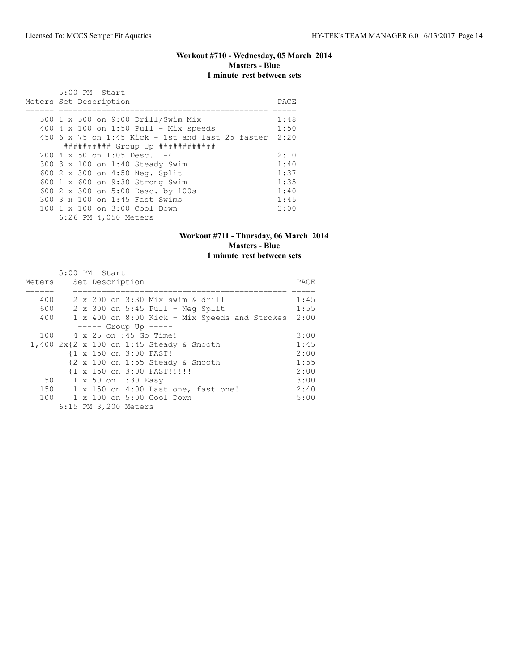# **Workout #710 - Wednesday, 05 March 2014 Masters - Blue 1 minute rest between sets**

| $5:00$ PM Start<br>Meters Set Description             | PACE |
|-------------------------------------------------------|------|
| 500 1 x 500 on 9:00 Drill/Swim Mix                    | 1:48 |
| 400 $4 \times 100$ on 1:50 Pull - Mix speeds          | 1:50 |
|                                                       |      |
| 450 6 x 75 on 1:45 Kick - 1st and last 25 faster 2:20 |      |
| ########### Group Up ############                     |      |
| 200 4 x 50 on 1:05 Desc. 1-4                          | 2:10 |
| 300 3 x 100 on 1:40 Steady Swim                       | 1:40 |
| 600 2 x 300 on 4:50 Neg. Split                        | 1:37 |
| 600 1 x 600 on 9:30 Strong Swim                       | 1:35 |
| 600 2 x 300 on 5:00 Desc. by 100s                     | 1:40 |
| 300 3 x 100 on 1:45 Fast Swims                        | 1:45 |
| $100 \t 1 \t x \t 100 \t on \t 3:00 \t Cool \t Down$  | 3:00 |
| 6:26 PM 4,050 Meters                                  |      |

### **Workout #711 - Thursday, 06 March 2014 Masters - Blue 1 minute rest between sets**

|        |  | 5:00 PM Start                                      |      |
|--------|--|----------------------------------------------------|------|
| Meters |  | Set Description                                    | PACE |
|        |  |                                                    |      |
| 400    |  | 2 x 200 on 3:30 Mix swim & drill                   | 1:45 |
| 600    |  | $2 \times 300$ on $5:45$ Pull - Neg Split          | 1:55 |
| 400    |  | 1 x 400 on 8:00 Kick - Mix Speeds and Strokes 2:00 |      |
|        |  | $--- $ Group Up $--- $                             |      |
| 100    |  | 4 x 25 on :45 Go Time!                             | 3:00 |
|        |  | 1,400 2x{2 x 100 on 1:45 Steady & Smooth           | 1:45 |
|        |  | {1 x 150 on 3:00 FAST!                             | 2:00 |
|        |  | {2 x 100 on 1:55 Steady & Smooth                   | 1:55 |
|        |  | {1 x 150 on 3:00 FAST!!!!!                         | 2:00 |
| 50     |  | 1 x 50 on 1:30 Easy                                | 3:00 |
|        |  | 150 1 x 150 on 4:00 Last one, fast one!            | 2:40 |
|        |  | 100 1 x 100 on 5:00 Cool Down                      | 5:00 |
|        |  | 6:15 PM 3,200 Meters                               |      |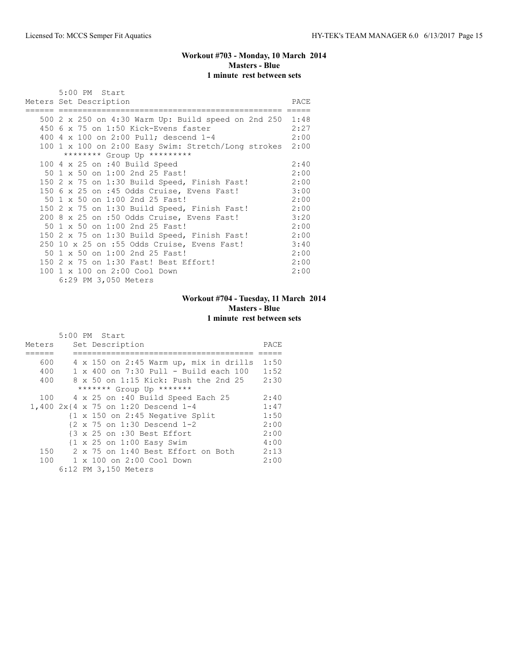# **Workout #703 - Monday, 10 March 2014 Masters - Blue 1 minute rest between sets**

| 5:00 PM Start                                            |      |
|----------------------------------------------------------|------|
| Meters Set Description                                   | PACE |
|                                                          |      |
| 500 2 x 250 on 4:30 Warm Up: Build speed on 2nd 250 1:48 |      |
| 450 6 x 75 on 1:50 Kick-Evens faster                     | 2:27 |
| 400 4 x 100 on 2:00 Pull; descend 1-4                    | 2:00 |
| 100 1 x 100 on 2:00 Easy Swim: Stretch/Long strokes 2:00 |      |
| ******** Group Up *********                              |      |
| 100 $4 \times 25$ on :40 Build Speed                     | 2:40 |
| 50 1 x 50 on 1:00 2nd 25 Fast!                           | 2:00 |
| 150 2 x 75 on 1:30 Build Speed, Finish Fast!             | 2:00 |
| 150 6 x 25 on :45 Odds Cruise, Evens Fast!               | 3:00 |
| 50 1 x 50 on 1:00 2nd 25 Fast!                           | 2:00 |
| 150 2 x 75 on 1:30 Build Speed, Finish Fast!             | 2:00 |
| 200 8 x 25 on :50 Odds Cruise, Evens Fast!               | 3:20 |
| 50 1 x 50 on 1:00 2nd 25 Fast!                           | 2:00 |
| 150 2 x 75 on 1:30 Build Speed, Finish Fast!             | 2:00 |
| 250 10 x 25 on :55 Odds Cruise, Evens Fast!              | 3:40 |
| 50 1 x 50 on 1:00 2nd 25 Fast!                           | 2:00 |
| 150 2 x 75 on 1:30 Fast! Best Effort!                    | 2:00 |
| 100 1 x 100 on 2:00 Cool Down                            | 2:00 |
| 6:29 PM 3,050 Meters                                     |      |

# **Workout #704 - Tuesday, 11 March 2014 Masters - Blue 1 minute rest between sets**

|        | 5:00 PM Start                                              |      |
|--------|------------------------------------------------------------|------|
| Meters | Set Description                                            | PACE |
|        |                                                            |      |
| 600    | $4 \times 150$ on 2:45 Warm up, mix in drills              | 1:50 |
| 400    | 1 x 400 on 7:30 Pull - Build each 100                      | 1:52 |
| 400    | 8 x 50 on 1:15 Kick: Push the 2nd 25                       | 2:30 |
|        | ******* Group Up *******                                   |      |
| 100    | 4 x 25 on :40 Build Speed Each 25                          | 2:40 |
|        | 1,400 2x{4 x 75 on 1:20 Descend 1-4                        | 1:47 |
|        | $\{1 \times 150 \text{ on } 2:45 \text{ Negative Split}\}$ | 1:50 |
|        | $\{2 \times 75 \text{ on } 1:30 \text{ Descend } 1-2\}$    | 2:00 |
|        | {3 x 25 on :30 Best Effort                                 | 2:00 |
|        | $\{1 \times 25 \text{ on } 1:00 \text{ Easy Swim}\}$       | 4:00 |
| 150    | 2 x 75 on 1:40 Best Effort on Both                         | 2:13 |
| 100    | 1 x 100 on 2:00 Cool Down                                  | 2:00 |
|        | 6:12 PM 3,150 Meters                                       |      |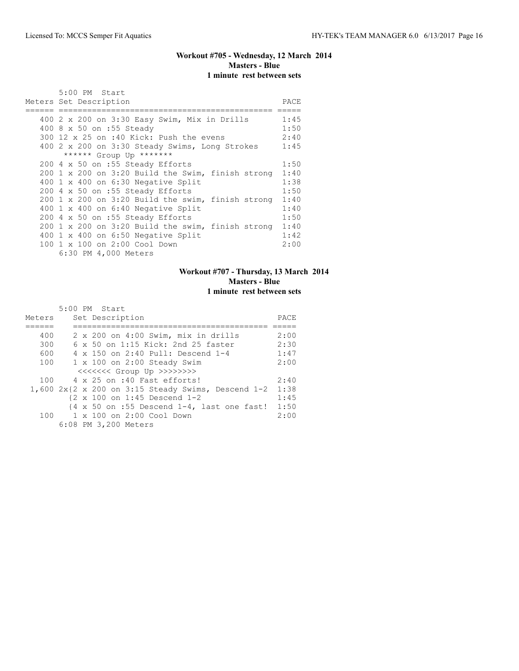# **Workout #705 - Wednesday, 12 March 2014 Masters - Blue 1 minute rest between sets**

|     | 5:00 PM Start<br>Meters Set Description                                       | PACE |
|-----|-------------------------------------------------------------------------------|------|
|     |                                                                               |      |
|     | 400 2 x 200 on 3:30 Easy Swim, Mix in Drills                                  | 1:45 |
|     | 400 8 x 50 on :55 Steady                                                      | 1:50 |
|     | 300 12 x 25 on :40 Kick: Push the evens                                       | 2:40 |
|     | 400 2 x 200 on 3:30 Steady Swims, Long Strokes                                | 1:45 |
|     | ****** Group Up *******                                                       |      |
|     | 200 4 x 50 on :55 Steady Efforts                                              | 1:50 |
|     | 200 1 x 200 on 3:20 Build the Swim, finish strong                             | 1:40 |
|     | 400 1 x 400 on 6:30 Negative Split                                            | 1:38 |
|     | 200 4 x 50 on :55 Steady Efforts                                              | 1:50 |
|     | $200 \text{ 1 x } 200 \text{ on } 3:20 \text{ Build the swim, finish strong}$ | 1:40 |
|     | 400 1 x 400 on 6:40 Negative Split                                            | 1:40 |
|     | 200 4 x 50 on :55 Steady Efforts                                              | 1:50 |
|     | $200 \text{ 1 x } 200 \text{ on } 3:20 \text{ Build the swim, finish strong}$ | 1:40 |
|     | 400 1 x 400 on 6:50 Negative Split                                            | 1:42 |
| 100 | 1 x 100 on 2:00 Cool Down                                                     | 2:00 |
|     | 6:30 PM 4,000 Meters                                                          |      |

# **Workout #707 - Thursday, 13 March 2014 Masters - Blue 1 minute rest between sets**

|        | 5:00 PM Start                                                          |      |
|--------|------------------------------------------------------------------------|------|
| Meters | Set Description                                                        | PACE |
|        |                                                                        |      |
| 400    | 2 x 200 on 4:00 Swim, mix in drills                                    | 2:00 |
| 300    | 6 x 50 on 1:15 Kick: 2nd 25 faster                                     | 2:30 |
| 600    | 4 x 150 on 2:40 Pull: Descend 1-4                                      | 1:47 |
| 100    | $1 \times 100$ on 2:00 Steady Swim                                     | 2:00 |
|        |                                                                        |      |
| 100    | 4 x 25 on :40 Fast efforts!                                            | 2:40 |
|        | $1,600 2x{2 x 200$ on 3:15 Steady Swims, Descend 1-2                   | 1:38 |
|        | $\{2 \times 100 \text{ on } 1:45 \text{ Descend } 1-2$                 | 1:45 |
|        | $\{4 \times 50 \text{ on } : 55 \text{ Descend } 1-4$ , last one fast! | 1:50 |
|        | 100 1 x 100 on 2:00 Cool Down                                          | 2:00 |
|        | 6:08 PM 3,200 Meters                                                   |      |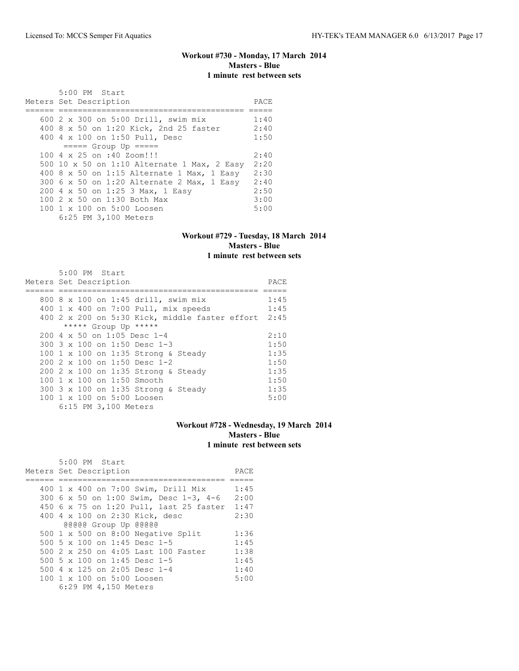# **Workout #730 - Monday, 17 March 2014 Masters - Blue 1 minute rest between sets**

| 5:00 PM Start                               |      |
|---------------------------------------------|------|
| Meters Set Description                      | PACE |
|                                             |      |
| 600 2 x 300 on 5:00 Drill, swim mix         | 1:40 |
| 400 8 x 50 on 1:20 Kick, 2nd 25 faster      | 2:40 |
| 400 4 x 100 on 1:50 Pull, Desc              | 1:50 |
| $== == $ Group Up $== == $                  |      |
| 100 4 x 25 on :40 Zoom!!!                   | 2:40 |
| 500 10 x 50 on 1:10 Alternate 1 Max, 2 Easy | 2:20 |
| 400 8 x 50 on 1:15 Alternate 1 Max, 1 Easy  | 2:30 |
| 300 6 x 50 on 1:20 Alternate 2 Max, 1 Easy  | 2:40 |
| 200 4 x 50 on 1:25 3 Max, 1 Easy            | 2:50 |
| 100 2 x 50 on 1:30 Both Max                 | 3:00 |
| 100 1 x 100 on 5:00 Loosen                  | 5:00 |
| 6:25 PM 3,100 Meters                        |      |

### **Workout #729 - Tuesday, 18 March 2014 Masters - Blue 1 minute rest between sets**

| 5:00 PM Start                                       |      |
|-----------------------------------------------------|------|
| Meters Set Description                              | PACE |
|                                                     |      |
| 800 8 x 100 on 1:45 drill, swim mix                 | 1:45 |
| 400 1 x 400 on 7:00 Pull, mix speeds                | 1:45 |
| 400 2 x 200 on 5:30 Kick, middle faster effort 2:45 |      |
| ***** Group Up *****                                |      |
| $200 \text{ } 4 \times 50$ on 1:05 Desc 1-4         | 2:10 |
| 300 $3 \times 100$ on 1:50 Desc 1-3                 | 1:50 |
| 100 1 x 100 on 1:35 Strong & Steady                 | 1:35 |
| 200 2 x 100 on 1:50 Desc 1-2                        | 1:50 |
| 200 2 x 100 on 1:35 Strong & Steady                 | 1:35 |
| 100 1 x 100 on 1:50 Smooth                          | 1:50 |
| 300 3 x 100 on 1:35 Strong & Steady                 | 1:35 |
| 100 1 x 100 on 5:00 Loosen                          | 5:00 |
| 6:15 PM 3,100 Meters                                |      |

# **Workout #728 - Wednesday, 19 March 2014 Masters - Blue 1 minute rest between sets**

|  | 5:00 PM Start          |                                                        |                                              |      |
|--|------------------------|--------------------------------------------------------|----------------------------------------------|------|
|  | Meters Set Description |                                                        |                                              | PACE |
|  |                        |                                                        |                                              |      |
|  |                        | 400 1 x 400 on 7:00 Swim, Drill Mix                    |                                              | 1:45 |
|  |                        |                                                        | 300 6 x 50 on 1:00 Swim, Desc 1-3, 4-6       | 2:00 |
|  |                        |                                                        | 450 6 x 75 on 1:20 Pull, last 25 faster 1:47 |      |
|  |                        | 400 4 x 100 on 2:30 Kick, desc                         |                                              | 2:30 |
|  | @@@@@ Group Up @@@@@   |                                                        |                                              |      |
|  |                        | 500 $1 \times 500$ on 8:00 Negative Split              |                                              | 1:36 |
|  |                        | 500 5 x 100 on 1:45 Desc 1-5                           |                                              | 1:45 |
|  |                        | 500 2 x 250 on 4:05 Last 100 Faster                    |                                              | 1:38 |
|  |                        | 500 5 x 100 on 1:45 Desc 1-5                           |                                              | 1:45 |
|  |                        | 500 4 x 125 on 2:05 Desc 1-4                           |                                              | 1:40 |
|  |                        | $100 \text{ 1 x } 100 \text{ on } 5:00 \text{ Loosen}$ |                                              | 5:00 |
|  | 6:29 PM 4,150 Meters   |                                                        |                                              |      |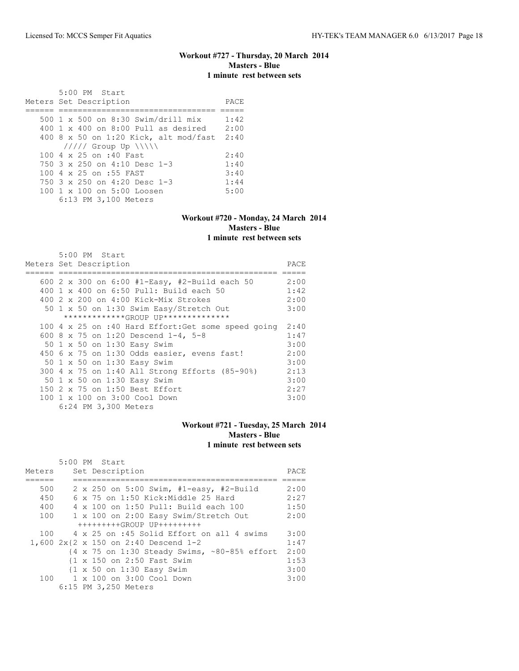### **Workout #727 - Thursday, 20 March 2014 Masters - Blue 1 minute rest between sets**

 5:00 PM Start Meters Set Description PACE ====== ================================= ===== 500 1 x 500 on 8:30 Swim/drill mix 1:42 400 1 x 400 on 8:00 Pull as desired 2:00 400 8 x 50 on 1:20 Kick, alt mod/fast 2:40  $11111$  Group Up  $\|\cdot\|$ 100 4 x 25 on :40 Fast 2:40<br>750 3 x 250 on 4:10 Desc 1-3 1:40 750 3 x 250 on 4:10 Desc 1-3 1:40<br>100 4 x 25 on :55 FAST 3:40 100 4 x 25 on :55 FAST 3:40<br>750 3 x 250 on 4:20 Desc 1-3 1:44 750 3 x 250 on 4:20 Desc 1-3 1:44<br>100 1 x 100 on 5:00 Loosen 5:00 100 1 x 100 on 5:00 Loosen 6:13 PM 3,100 Meters

#### **Workout #720 - Monday, 24 March 2014 Masters - Blue 1 minute rest between sets**

 5:00 PM Start Meters Set Description PACE ====== ============================================== ===== 600 2 x 300 on 6:00 #1-Easy, #2-Build each 50 2:00 400 1 x 400 on 6:50 Pull: Build each 50 1:42 400 2 x 200 on 4:00 Kick-Mix Strokes 2:00 50 1 x 50 on 1:30 Swim Easy/Stretch Out \*\*\*\*\*\*\*\*\*\*\*\*\*GROUP UP\*\*\*\*\*\*\*\*\*\*\*\*\*\* 100 4 x 25 on :40 Hard Effort:Get some speed going 2:40 600 8 x 75 on 1:20 Descend 1-4, 5-8 1:47 50 1 x 50 on 1:30 Easy Swim 3:00 450 6 x 75 on 1:30 Odds easier, evens fast! 2:00<br>50 1 x 50 on 1:30 Easy Swim 3:00 50 1 x 50 on 1:30 Easy Swim 300 4 x 75 on 1:40 All Strong Efforts (85-90%) 2:13 50 1 x 50 on 1:30 Easy Swim 3:00 150 2 x 75 on 1:50 Best Effort 2:27 100 1 x 100 on 3:00 Cool Down 3:00

6:24 PM 3,300 Meters

#### **Workout #721 - Tuesday, 25 March 2014 Masters - Blue 1 minute rest between sets**

|        | $5:00$ PM Start                                              |      |
|--------|--------------------------------------------------------------|------|
| Meters | Set Description                                              | PACE |
|        |                                                              |      |
| 500    | 2 x 250 on 5:00 Swim, #1-easy, #2-Build                      | 2:00 |
| 450    | 6 x 75 on 1:50 Kick: Middle 25 Hard                          | 2:27 |
| 400    | 4 x 100 on 1:50 Pull: Build each 100                         | 1:50 |
| 100    | 1 x 100 on 2:00 Easy Swim/Stretch Out                        | 2:00 |
|        | +++++++++GROUP UP+++++++++                                   |      |
|        | 100 4 x 25 on :45 Solid Effort on all 4 swims                | 3:00 |
|        | 1,600 2x{2 x 150 on 2:40 Descend 1-2                         | 1:47 |
|        | {4 x 75 on 1:30 Steady Swims, ~80-85% effort                 | 2:00 |
|        | {1 x 150 on 2:50 Fast Swim                                   | 1:53 |
|        | $\{1 \times 50 \text{ on } 1:30 \text{ Easy } \text{Swim}\}$ | 3:00 |
| 100    | 1 x 100 on 3:00 Cool Down                                    | 3:00 |
|        | 6:15 PM 3,250 Meters                                         |      |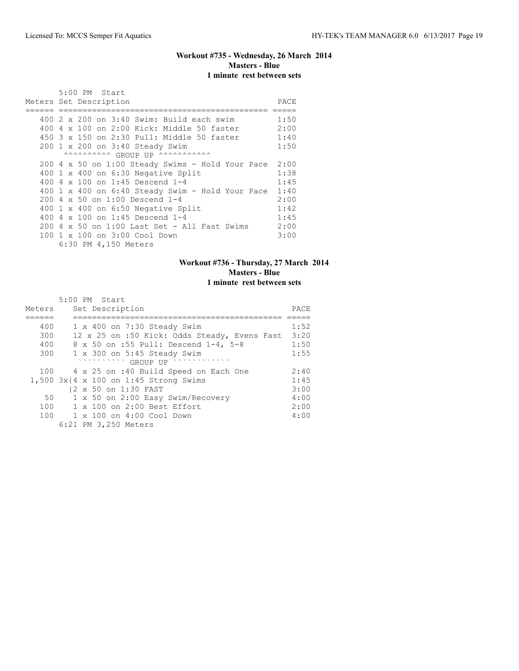# **Workout #735 - Wednesday, 26 March 2014 Masters - Blue 1 minute rest between sets**

|  | 5:00 PM Start                                         |      |
|--|-------------------------------------------------------|------|
|  | Meters Set Description                                | PACE |
|  |                                                       |      |
|  | $400$ 2 x 200 on 3:40 Swim: Build each swim           | 1:50 |
|  | 400 4 x 100 on 2:00 Kick: Middle 50 faster            | 2:00 |
|  | 450 3 x 150 on 2:30 Pull: Middle 50 faster            | 1:40 |
|  | 200 1 x 200 on 3:40 Steady Swim                       | 1:50 |
|  | ^^^^^^^^^^^ GROUP UP ^^^^^^^^^^^^^^                   |      |
|  | 200 4 x 50 on 1:00 Steady Swims - Hold Your Pace      | 2:00 |
|  | 400 1 x 400 on 6:30 Negative Split                    | 1:38 |
|  | 400 4 x 100 on 1:45 Descend 1-4                       | 1:45 |
|  | 400 1 x 400 on 6:40 Steady Swim - Hold Your Pace 1:40 |      |
|  | 200 4 x 50 on 1:00 Descend 1-4                        | 2:00 |
|  | 400 1 x 400 on 6:50 Negative Split                    | 1:42 |
|  | 400 4 $\times$ 100 on 1:45 Descend 1-4                | 1:45 |
|  | $200\,4\,$ x 50 on 1:00 Last Set - All Fast Swims     | 2:00 |
|  | 100 1 x 100 on 3:00 Cool Down                         | 3:00 |
|  | 6:30 PM 4,150 Meters                                  |      |

# **Workout #736 - Thursday, 27 March 2014 Masters - Blue 1 minute rest between sets**

|        | 5:00 PM Start                                                                                                                                                                                                                                  |      |
|--------|------------------------------------------------------------------------------------------------------------------------------------------------------------------------------------------------------------------------------------------------|------|
| Meters | Set Description                                                                                                                                                                                                                                | PACE |
|        |                                                                                                                                                                                                                                                |      |
| 400    | $1 \times 400$ on 7:30 Steady Swim                                                                                                                                                                                                             | 1:52 |
| 300    | 12 x 25 on :50 Kick: Odds Steady, Evens Fast                                                                                                                                                                                                   | 3:20 |
| 400    | 8 x 50 on :55 Pull: Descend 1-4, 5-8                                                                                                                                                                                                           | 1:50 |
| 300    | $1 \times 300$ on $5:45$ Steady Swim                                                                                                                                                                                                           | 1:55 |
|        | GROUP UP<br>$\mathcal{A}^{\mathcal{A}}\left( \mathcal{A}^{\mathcal{A}}\right) \left( \mathcal{A}^{\mathcal{A}}\right) \left( \mathcal{A}^{\mathcal{A}}\right) \left( \mathcal{A}^{\mathcal{A}}\right) \left( \mathcal{A}^{\mathcal{A}}\right)$ |      |
| 100    | 4 x 25 on :40 Build Speed on Each One                                                                                                                                                                                                          | 2:40 |
|        | 1,500 3x{4 x 100 on 1:45 Strong Swims                                                                                                                                                                                                          | 1:45 |
|        | {2 x 50 on 1:30 FAST                                                                                                                                                                                                                           | 3:00 |
| 50     | 1 x 50 on 2:00 Easy Swim/Recovery                                                                                                                                                                                                              | 4:00 |
| 100    | 1 x 100 on 2:00 Best Effort                                                                                                                                                                                                                    | 2:00 |
| 100    | 1 x 100 on 4:00 Cool Down                                                                                                                                                                                                                      | 4:00 |
|        | 6:21 PM 3,250 Meters                                                                                                                                                                                                                           |      |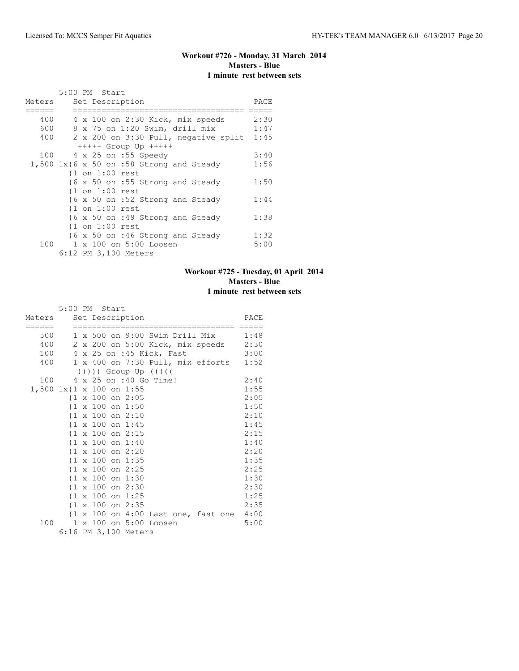# **Workout #726 - Monday, 31 March 2014 Masters - Blue 1 minute rest between sets**

|        | 5:00 PM Start                                 |      |
|--------|-----------------------------------------------|------|
| Meters | Set Description                               | PACE |
| ====== |                                               |      |
| 400    | 4 x 100 on 2:30 Kick, mix speeds              | 2:30 |
| 600    | 8 x 75 on 1:20 Swim, drill mix                | 1:47 |
| 400    | 2 x 200 on 3:30 Pull, negative split          | 1:45 |
|        | $++++$ Group Up $++++$                        |      |
| 100    | 4 x 25 on :55 Speedy                          | 3:40 |
|        | $1,500$ $1x$ {6 x 50 on :58 Strong and Steady | 1:56 |
|        | $\{1$ on $1:00$ rest                          |      |
|        | {6 x 50 on :55 Strong and Steady              | 1:50 |
|        | $\{1$ on $1:00$ rest                          |      |
|        | {6 x 50 on :52 Strong and Steady              | 1:44 |
|        | $\{1$ on $1:00$ rest                          |      |
|        | {6 x 50 on :49 Strong and Steady              | 1:38 |
|        | $\{1$ on $1:00$ rest                          |      |
|        | {6 x 50 on :46 Strong and Steady              | 1:32 |
| 100    | 1 x 100 on 5:00 Loosen                        | 5:00 |
|        | 6:12 PM 3,100 Meters                          |      |

# **Workout #725 - Tuesday, 01 April 2014 Masters - Blue 1 minute rest between sets**

|        | 5:00 PM Start                       |                                                                             |      |
|--------|-------------------------------------|-----------------------------------------------------------------------------|------|
| ====== | Meters Set Description              |                                                                             | PACE |
| 500    |                                     | 1 x 500 on 9:00 Swim Drill Mix 1:48                                         |      |
| 400    |                                     | 2 x 200 on 5:00 Kick, mix speeds 2:30                                       |      |
| 100    |                                     | 4 x 25 on :45 Kick, Fast                                                    | 3:00 |
| 400    |                                     | 1 x 400 on 7:30 Pull, mix efforts 1:52                                      |      |
|        |                                     | ( ( ( ( )                                                                   |      |
| 100    |                                     | 4 x 25 on :40 Go Time!                                                      | 2:40 |
|        | 1,500 1x{1 x 100 on 1:55            |                                                                             | 1:55 |
|        | $\{1 \times 100 \text{ on } 2:05\}$ |                                                                             | 2:05 |
|        | $\{1 \times 100 \text{ on } 1:50\}$ |                                                                             | 1:50 |
|        | $\{1 \times 100 \text{ on } 2:10\}$ |                                                                             | 2:10 |
|        | $\{1 \times 100 \text{ on } 1:45$   |                                                                             | 1:45 |
|        | $\{1 \times 100 \text{ on } 2:15$   |                                                                             | 2:15 |
|        | $\{1 \times 100 \text{ on } 1:40\}$ |                                                                             | 1:40 |
|        | $\{1 \times 100 \text{ on } 2:20\}$ |                                                                             | 2:20 |
|        | $\{1 \times 100 \text{ on } 1:35\}$ |                                                                             | 1:35 |
|        | $\{1 \times 100 \text{ on } 2:25\}$ |                                                                             | 2:25 |
|        | $\{1 \times 100 \text{ on } 1:30\}$ |                                                                             | 1:30 |
|        | $\{1 \times 100 \text{ on } 2:30\}$ |                                                                             | 2:30 |
|        | $\{1 \times 100 \text{ on } 1:25\}$ |                                                                             | 1:25 |
|        | $\{1 \times 100 \text{ on } 2:35$   |                                                                             | 2:35 |
|        |                                     | $\{1 \times 100 \text{ on } 4:00 \text{ Last one}, \text{fast one } 4:00\}$ |      |
| 100    |                                     | 1 x 100 on 5:00 Loosen                                                      | 5:00 |
|        |                                     | 6:16 PM 3,100 Meters                                                        |      |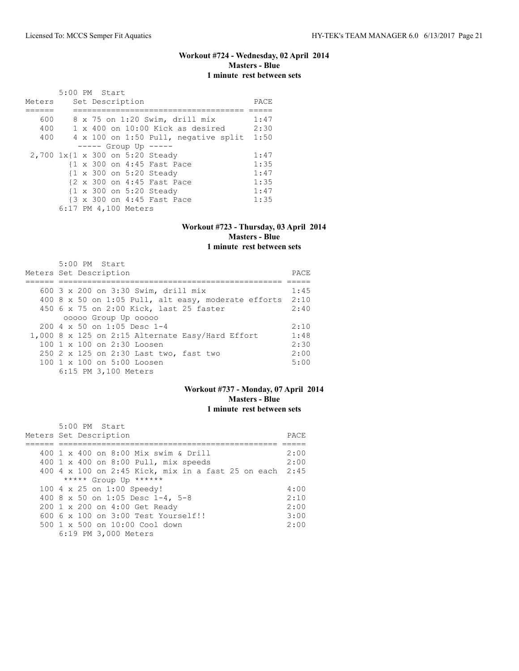# **Workout #724 - Wednesday, 02 April 2014 Masters - Blue 1 minute rest between sets**

|        | 5:00 PM Start |  |                      |                                           |      |
|--------|---------------|--|----------------------|-------------------------------------------|------|
| Meters |               |  | Set Description      |                                           | PACE |
|        |               |  |                      |                                           |      |
| 600    |               |  |                      | 8 x 75 on 1:20 Swim, drill mix            | 1:47 |
| 400    |               |  |                      | $1 \times 400$ on $10:00$ Kick as desired | 2:30 |
| 400    |               |  |                      | 4 x 100 on 1:50 Pull, negative split      | 1:50 |
|        |               |  |                      | $--- -$ Group Up $---$                    |      |
|        |               |  |                      | 2,700 1x{1 x 300 on 5:20 Steady           | 1:47 |
|        |               |  |                      | {1 x 300 on 4:45 Fast Pace                | 1:35 |
|        |               |  |                      | {1 x 300 on 5:20 Steady                   | 1:47 |
|        |               |  |                      | {2 x 300 on 4:45 Fast Pace                | 1:35 |
|        |               |  |                      | {1 x 300 on 5:20 Steady                   | 1:47 |
|        |               |  |                      | {3 x 300 on 4:45 Fast Pace                | 1:35 |
|        |               |  | 6:17 PM 4,100 Meters |                                           |      |

### **Workout #723 - Thursday, 03 April 2014 Masters - Blue 1 minute rest between sets**

| 5:00 PM Start<br>Meters Set Description                  | PACE |
|----------------------------------------------------------|------|
| 600 3 x 200 on 3:30 Swim, drill mix                      | 1:45 |
| 400 8 x 50 on 1:05 Pull, alt easy, moderate efforts 2:10 |      |
| 450 6 x 75 on 2:00 Kick, last 25 faster                  | 2:40 |
| 00000 Group Up 00000                                     |      |
| $200 \text{ } 4 \text{ } \times 50$ on 1:05 Desc 1-4     | 2:10 |
| 1,000 8 x 125 on 2:15 Alternate Easy/Hard Effort         | 1:48 |
| 100 1 x 100 on 2:30 Loosen                               | 2:30 |
| 250 2 x 125 on 2:30 Last two, fast two                   | 2:00 |
| 100 1 x 100 on 5:00 Loosen                               | 5:00 |
| 6:15 PM 3,100 Meters                                     |      |

# **Workout #737 - Monday, 07 April 2014 Masters - Blue 1 minute rest between sets**

| 5:00 PM Start                                           |      |
|---------------------------------------------------------|------|
| Meters Set Description                                  | PACE |
|                                                         |      |
| 400 1 x 400 on 8:00 Mix swim & Drill                    | 2:00 |
| 400 1 x 400 on 8:00 Pull, mix speeds                    | 2:00 |
| 400 4 x 100 on 2:45 Kick, mix in a fast 25 on each 2:45 |      |
| ***** Group Up ******                                   |      |
| 100 4 x 25 on 1:00 Speedy!                              | 4:00 |
| 400 8 x 50 on 1:05 Desc 1-4, 5-8                        | 2:10 |
| 200 1 x 200 on 4:00 Get Ready                           | 2:00 |
| 600 6 x 100 on 3:00 Test Yourself!!                     | 3:00 |
| $500 \t 1 \t x \t 500$ on $10:00$ Cool down             | 2:00 |
| 6:19 PM 3,000 Meters                                    |      |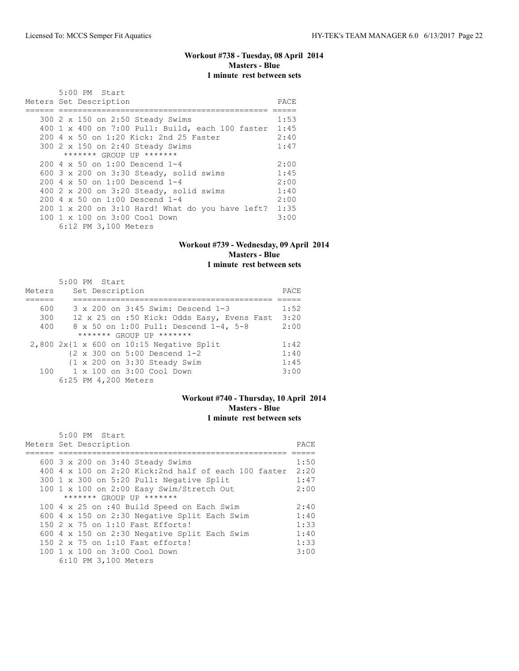# **Workout #738 - Tuesday, 08 April 2014 Masters - Blue 1 minute rest between sets**

| $5:00$ PM Start<br>Meters Set Description             | PACE |
|-------------------------------------------------------|------|
|                                                       |      |
| 300 2 x 150 on 2:50 Steady Swims                      | 1:53 |
| 400 1 x 400 on 7:00 Pull: Build, each 100 faster 1:45 |      |
| 200 4 x 50 on 1:20 Kick: 2nd 25 Faster                | 2:40 |
| 300 2 x 150 on 2:40 Steady Swims                      | 1:47 |
| ******* GROUP UP *******                              |      |
| $200 \, 4 \times 50$ on $1:00$ Descend 1-4            | 2:00 |
| 600 $3 \times 200$ on $3:30$ Steady, solid swims      | 1:45 |
| $200 \, 4 \times 50$ on $1:00$ Descend $1-4$          | 2:00 |
| 400 2 x 200 on $3:20$ Steady, solid swims             | 1:40 |
| $200 \, 4 \times 50$ on $1:00$ Descend $1-4$          | 2:00 |
| 200 1 x 200 on 3:10 Hard! What do you have left?      | 1:35 |
| 100 1 x 100 on 3:00 Cool Down                         | 3:00 |
| 6:12 PM 3,100 Meters                                  |      |

# **Workout #739 - Wednesday, 09 April 2014 Masters - Blue 1 minute rest between sets**

|        | 5:00 PM Start                                            |      |
|--------|----------------------------------------------------------|------|
| Meters | Set Description                                          | PACE |
|        |                                                          |      |
| 600    | 3 x 200 on 3:45 Swim: Descend 1-3                        | 1:52 |
| 300    | 12 x 25 on :50 Kick: Odds Easy, Evens Fast               | 3:20 |
| 400    | 8 x 50 on 1:00 Pull: Descend 1-4, 5-8                    | 2:00 |
|        | ******* GROUP UP *******                                 |      |
|        | $2,800$ 2x{1 x 600 on 10:15 Negative Split               | 1:42 |
|        | $\{2 \times 300 \text{ on } 5:00 \text{ Descend } 1-2\}$ | 1:40 |
|        | $\{1 \times 200 \text{ on } 3:30 \text{ Steady } Swim$   | 1:45 |
|        | $100 \t 1 \times 100$ on $3:00$ Cool Down                | 3:00 |
|        | 6:25 PM 4,200 Meters                                     |      |

### **Workout #740 - Thursday, 10 April 2014 Masters - Blue 1 minute rest between sets**

| 5:00 PM Start                                        |       |
|------------------------------------------------------|-------|
| Meters Set Description                               | PACE. |
|                                                      |       |
| 600 3 x 200 on 3:40 Steady Swims                     | 1:50  |
| 400 4 x 100 on 2:20 Kick:2nd half of each 100 faster | 2:20  |
| 300 1 x 300 on 5:20 Pull: Negative Split             | 1:47  |
| 100 1 x 100 on 2:00 Easy Swim/Stretch Out            | 2:00  |
| ******* GROUP UP *******                             |       |
| 100 4 x 25 on :40 Build Speed on Each Swim           | 2:40  |
| 600 4 x 150 on 2:30 Negative Split Each Swim         | 1:40  |
| $150$ 2 x 75 on 1:10 Fast Efforts!                   | 1:33  |
| 600 4 x 150 on 2:30 Negative Split Each Swim         | 1:40  |
| 150 2 x 75 on 1:10 Fast efforts!                     | 1:33  |
| 100 1 x 100 on 3:00 Cool Down                        | 3:00  |
| 6:10 PM 3,100 Meters                                 |       |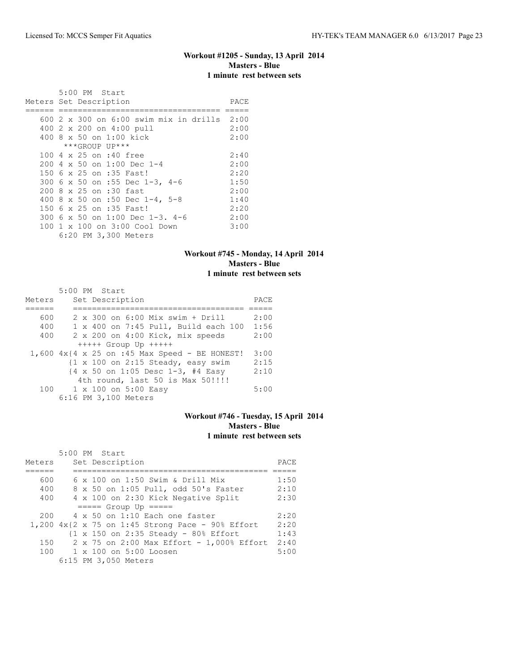# **Workout #1205 - Sunday, 13 April 2014 Masters - Blue 1 minute rest between sets**

|  | 5:00 PM Start                                                                                      |              |
|--|----------------------------------------------------------------------------------------------------|--------------|
|  | Meters Set Description                                                                             | PACE         |
|  | 600 2 x 300 on 6:00 swim mix in drills 2:00<br>400 2 x 200 on 4:00 pull<br>400 8 x 50 on 1:00 kick | 2:00<br>2:00 |
|  | ***GROUP UP***                                                                                     |              |
|  | 100 4 x 25 on :40 free                                                                             | 2:40         |
|  | $2004 \times 50$ on 1:00 Dec 1-4                                                                   | 2:00         |
|  | 150 6 x 25 on :35 Fast!<br>300 6 x 50 on :55 Dec 1-3, 4-6                                          | 2:20<br>1:50 |
|  | 200 8 x 25 on :30 fast                                                                             | 2:00         |
|  | 400 8 x 50 on :50 Dec 1-4, 5-8                                                                     | 1:40         |
|  | 150 6 x 25 on :35 Fast!                                                                            | 2:20         |
|  | $300.6 \times 50$ on 1:00 Dec 1-3, 4-6                                                             | 2:00         |
|  | 100 1 x 100 on 3:00 Cool Down<br>6:20 PM 3,300 Meters                                              | 3:00         |

### **Workout #745 - Monday, 14 April 2014 Masters - Blue 1 minute rest between sets**

|        | 5:00 PM Start                                                 |      |
|--------|---------------------------------------------------------------|------|
| Meters | Set Description                                               | PACE |
|        |                                                               |      |
| 600    | 2 x 300 on 6:00 Mix swim + Drill                              | 2:00 |
| 400    | 1 x 400 on 7:45 Pull, Build each 100                          | 1:56 |
| 400    | 2 x 200 on 4:00 Kick, mix speeds                              | 2:00 |
|        | $++++$ Group Up $++++$                                        |      |
|        | $1,600$ $4x$ { $4 \times 25$ on :45 Max Speed - BE HONEST!    | 3:00 |
|        | $\{1 \times 100 \text{ on } 2:15 \text{ Steady, easy swim}\}$ | 2:15 |
|        | {4 x 50 on 1:05 Desc 1-3, #4 Easy                             | 2:10 |
|        | 4th round, last 50 is Max 50!!!!                              |      |
| 100    | 1 x 100 on 5:00 Easy                                          | 5:00 |
|        | 6:16 PM 3,100 Meters                                          |      |

### **Workout #746 - Tuesday, 15 April 2014 Masters - Blue 1 minute rest between sets**

|        |  | $5:00$ PM Start                                                             |      |
|--------|--|-----------------------------------------------------------------------------|------|
| Meters |  | Set Description                                                             | PACE |
|        |  |                                                                             |      |
| 600    |  | $6 \times 100$ on 1:50 Swim & Drill Mix                                     | 1:50 |
| 400    |  | 8 x 50 on 1:05 Pull, odd 50's Faster                                        | 2:10 |
| 400    |  | 4 x 100 on 2:30 Kick Negative Split                                         | 2:30 |
|        |  | $====$ Group Up $====$                                                      |      |
| 200    |  | $4 \times 50$ on 1:10 Each one faster                                       | 2:20 |
|        |  | 1,200 $4x\{2 \times 75 \text{ on } 1:45 \text{ Strong Face - } 90\%$ Effort | 2:20 |
|        |  | $\{1 \times 150 \text{ on } 2:35 \text{ Steady} - 80\}$ Effort              | 1:43 |
| 150    |  | 2 x 75 on 2:00 Max Effort - 1,000% Effort                                   | 2:40 |
|        |  | 100 1 x 100 on 5:00 Loosen                                                  | 5:00 |
|        |  | 6:15 PM 3,050 Meters                                                        |      |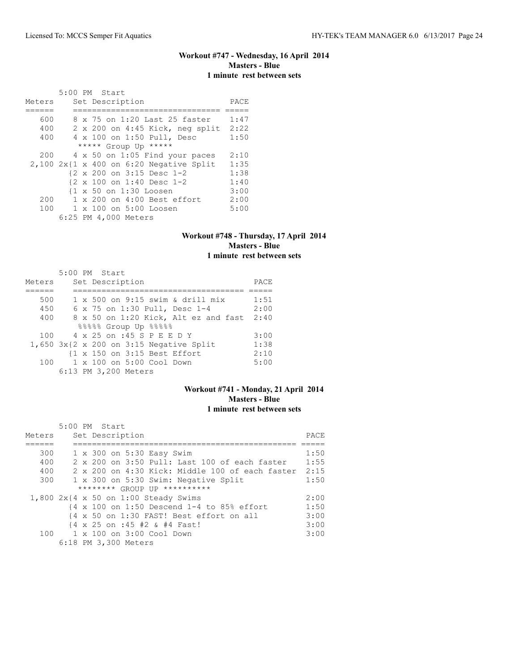# **Workout #747 - Wednesday, 16 April 2014 Masters - Blue 1 minute rest between sets**

|        |  | 5:00 PM Start                             |      |
|--------|--|-------------------------------------------|------|
| Meters |  | Set Description                           | PACE |
|        |  |                                           |      |
| 600    |  | 8 x 75 on 1:20 Last 25 faster             | 1:47 |
| 400    |  | 2 x 200 on 4:45 Kick, neg split           | 2:22 |
| 400    |  | 4 x 100 on 1:50 Pull, Desc                | 1:50 |
|        |  | ***** Group Up *****                      |      |
| 200    |  | 4 x 50 on 1:05 Find your paces            | 2:10 |
|        |  | $2,100$ 2x{1 x 400 on 6:20 Negative Split | 1:35 |
|        |  | {2 x 200 on 3:15 Desc 1-2                 | 1:38 |
|        |  | {2 x 100 on 1:40 Desc 1-2                 | 1:40 |
|        |  | {1 x 50 on 1:30 Loosen                    | 3:00 |
| 200    |  | $1 \times 200$ on $4:00$ Best effort      | 2:00 |
| 100    |  | 1 x 100 on 5:00 Loosen                    | 5:00 |
|        |  | 6:25 PM 4,000 Meters                      |      |

### **Workout #748 - Thursday, 17 April 2014 Masters - Blue 1 minute rest between sets**

|        | $5:00$ PM Start                              |      |
|--------|----------------------------------------------|------|
| Meters | Set Description                              | PACE |
|        |                                              |      |
| 500    | $1 \times 500$ on 9:15 swim & drill mix      | 1:51 |
| 450    | 6 x 75 on 1:30 Pull, Desc 1-4                | 2:00 |
| 400    | 8 x 50 on 1:20 Kick, Alt ez and fast         | 2:40 |
|        | %%%%% Group Up %%%%                          |      |
| 100    | 4 x 25 on :45 S P E E D Y                    | 3:00 |
|        | $1,650$ $3x$ {2 x 200 on 3:15 Negative Split | 1:38 |
|        | {1 x 150 on 3:15 Best Effort                 | 2:10 |
| 100    | 1 x 100 on 5:00 Cool Down                    | 5:00 |
|        | 6:13 PM 3,200 Meters                         |      |

# **Workout #741 - Monday, 21 April 2014 Masters - Blue 1 minute rest between sets**

|        | $5:00$ PM Start                                                                        |      |
|--------|----------------------------------------------------------------------------------------|------|
| Meters | Set Description                                                                        | PACE |
|        |                                                                                        |      |
| 300    | 1 x 300 on 5:30 Easy Swim                                                              | 1:50 |
| 400    | 2 x 200 on 3:50 Pull: Last 100 of each faster                                          | 1:55 |
| 400    | 2 x 200 on 4:30 Kick: Middle 100 of each faster                                        | 2:15 |
| 300    | 1 x 300 on 5:30 Swim: Negative Split                                                   | 1:50 |
|        | ******** GROUP UP **********                                                           |      |
|        | $1,800$ 2x{4 x 50 on 1:00 Steady Swims                                                 | 2:00 |
|        | $\{4 \times 100 \text{ on } 1:50 \text{ Descend } 1-4 \text{ to } 85\% \text{ effort}$ | 1:50 |
|        | {4 x 50 on 1:30 FAST! Best effort on all                                               | 3:00 |
|        | {4 x 25 on :45 #2 & #4 Fast!                                                           | 3:00 |
|        | 100 1 x 100 on 3:00 Cool Down                                                          | 3:00 |
|        | 6:18 PM 3,300 Meters                                                                   |      |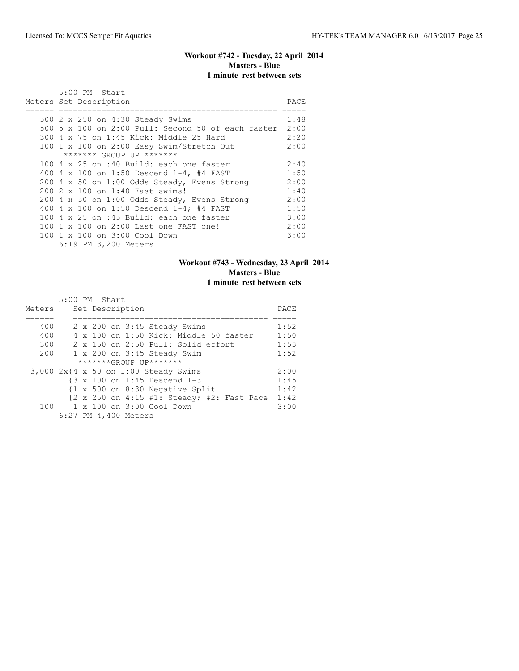# **Workout #742 - Tuesday, 22 April 2014 Masters - Blue 1 minute rest between sets**

|  | 5:00 PM Start                                           |      |
|--|---------------------------------------------------------|------|
|  | Meters Set Description                                  | PACE |
|  |                                                         |      |
|  | 500 2 x 250 on 4:30 Steady Swims                        | 1:48 |
|  | 500 5 x 100 on 2:00 Pull: Second 50 of each faster 2:00 |      |
|  | 300 4 x 75 on 1:45 Kick: Middle 25 Hard                 | 2:20 |
|  | 100 1 x 100 on 2:00 Easy Swim/Stretch Out               | 2:00 |
|  | ******* GROUP UP *******                                |      |
|  | 100 4 x 25 on :40 Build: each one faster                | 2:40 |
|  | 400 4 x 100 on 1:50 Descend 1-4, #4 FAST                | 1:50 |
|  | 200 4 x 50 on 1:00 Odds Steady, Evens Strong            | 2:00 |
|  | 200 2 x 100 on 1:40 Fast swims!                         | 1:40 |
|  | 200 4 x 50 on 1:00 Odds Steady, Evens Strong            | 2:00 |
|  | 400 4 x 100 on 1:50 Descend 1-4; #4 FAST                | 1:50 |
|  | 100 4 x 25 on :45 Build: each one faster                | 3:00 |
|  | 100 1 x 100 on 2:00 Last one FAST one!                  | 2:00 |
|  | 100 1 x 100 on 3:00 Cool Down                           | 3:00 |
|  | 6:19 PM 3,200 Meters                                    |      |

# **Workout #743 - Wednesday, 23 April 2014 Masters - Blue 1 minute rest between sets**

|        | $5:00$ PM Start                                                                     |      |
|--------|-------------------------------------------------------------------------------------|------|
| Meters | Set Description                                                                     | PACE |
|        |                                                                                     |      |
| 400    | 2 x 200 on 3:45 Steady Swims                                                        | 1:52 |
| 400    | 4 x 100 on 1:50 Kick: Middle 50 faster                                              | 1:50 |
| 300    | 2 x 150 on 2:50 Pull: Solid effort                                                  | 1:53 |
| 200    | $1 \times 200$ on $3:45$ Steady Swim                                                | 1:52 |
|        | *******GROUP UP*******                                                              |      |
|        | $3,000$ $2x$ {4 x 50 on 1:00 Steady Swims                                           | 2:00 |
|        | {3 x 100 on 1:45 Descend 1-3                                                        | 1:45 |
|        | $\{1 \times 500$ on 8:30 Negative Split                                             | 1:42 |
|        | $\{2 \times 250 \text{ on } 4:15 \text{ #1}: \text{Steady; #2}: \text{Fast Face}\}$ | 1:42 |
| 100    | 1 x 100 on 3:00 Cool Down                                                           | 3:00 |
|        | 6:27 PM 4,400 Meters                                                                |      |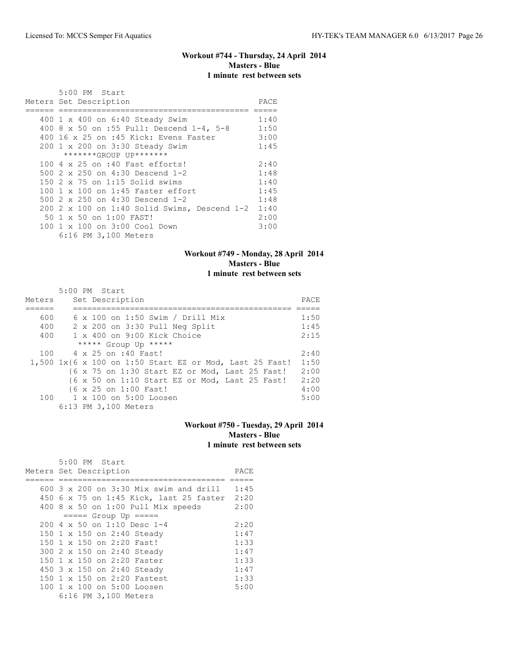# **Workout #744 - Thursday, 24 April 2014 Masters - Blue 1 minute rest between sets**

| 5:00 PM Start                                  |      |
|------------------------------------------------|------|
| Meters Set Description                         | PACE |
|                                                |      |
| 400 1 x 400 on 6:40 Steady Swim                | 1:40 |
| 400 8 x 50 on :55 Pull: Descend 1-4, 5-8       | 1:50 |
| 400 16 x 25 on :45 Kick: Evens Faster          | 3:00 |
| 200 1 x 200 on 3:30 Steady Swim                | 1:45 |
| *******GROUP UP*******                         |      |
| 100 4 x 25 on :40 Fast efforts!                | 2:40 |
| 500 2 x 250 on 4:30 Descend 1-2                | 1:48 |
| $150$ 2 x 75 on 1:15 Solid swims               | 1:40 |
| $100 \text{ 1 x } 100$ on 1:45 Faster effort   | 1:45 |
| 500 2 x 250 on 4:30 Descend 1-2                | 1:48 |
| $200$ 2 x 100 on 1:40 Solid Swims, Descend 1-2 | 1:40 |
| 50 1 x 50 on 1:00 FAST!                        | 2:00 |
| 100 1 x 100 on 3:00 Cool Down                  | 3:00 |
| 6:16 PM 3,100 Meters                           |      |

### **Workout #749 - Monday, 28 April 2014 Masters - Blue 1 minute rest between sets**

|        | 5:00 PM Start                                           |      |
|--------|---------------------------------------------------------|------|
| Meters | Set Description                                         | PACE |
|        |                                                         |      |
| 600    | 6 x 100 on 1:50 Swim / Drill Mix                        | 1:50 |
| 400    | 2 x 200 on 3:30 Pull Neg Split                          | 1:45 |
| 400    | $1 \times 400$ on 9:00 Kick Choice                      | 2:15 |
|        | ***** Group Up *****                                    |      |
| 100    | 4 x 25 on :40 Fast!                                     | 2:40 |
|        | 1,500 1x{6 x 100 on 1:50 Start EZ or Mod, Last 25 Fast! | 1:50 |
|        | {6 x 75 on 1:30 Start EZ or Mod, Last 25 Fast!          | 2:00 |
|        | {6 x 50 on 1:10 Start EZ or Mod, Last 25 Fast!          | 2:20 |
|        | {6 x 25 on 1:00 Fast!                                   | 4:00 |
| 100    | 1 x 100 on 5:00 Loosen                                  | 5:00 |
|        | 6:13 PM 3,100 Meters                                    |      |

# **Workout #750 - Tuesday, 29 April 2014 Masters - Blue 1 minute rest between sets**

|  | 5:00 PM Start                                   |      |
|--|-------------------------------------------------|------|
|  | Meters Set Description                          | PACE |
|  |                                                 |      |
|  | 600 $3 \times 200$ on $3:30$ Mix swim and drill | 1:45 |
|  | 450 6 x 75 on 1:45 Kick, last 25 faster         | 2:20 |
|  | 400 8 x 50 on 1:00 Pull Mix speeds              | 2:00 |
|  | $== == $ Group Up $== == $                      |      |
|  | 200 4 x 50 on 1:10 Desc 1-4                     | 2:20 |
|  | 150 1 x 150 on 2:40 Steady                      | 1:47 |
|  | 150 1 x 150 on 2:20 Fast!                       | 1:33 |
|  | 300 2 x 150 on 2:40 Steady                      | 1:47 |
|  | 150 1 x 150 on 2:20 Faster                      | 1:33 |
|  | 450 3 x 150 on 2:40 Steady                      | 1:47 |
|  | 150 1 x 150 on 2:20 Fastest                     | 1:33 |
|  | 100 1 x 100 on 5:00 Loosen                      | 5:00 |
|  | 6:16 PM 3,100 Meters                            |      |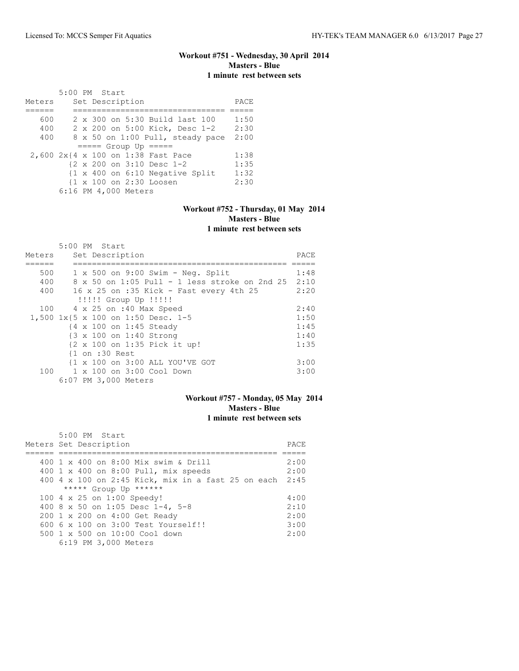# **Workout #751 - Wednesday, 30 April 2014 Masters - Blue 1 minute rest between sets**

 5:00 PM Start Meters Set Description PACE ====== ================================ ===== 600 2 x 300 on 5:30 Build last 100 1:50 400 2 x 200 on 5:00 Kick, Desc 1-2 2:30 400 8 x 50 on 1:00 Pull, steady pace 2:00  $=$  ===== Group Up =====<br>2,600  $2x(4 \times 100 \text{ on } 1:38 \text{ Fast Place})$  2,600 2x{4 x 100 on 1:38 Fast Pace 1:38 {2 x 200 on 3:10 Desc 1-2 1:35 {1 x 400 on 6:10 Negative Split 1:32<br>{1 x 100 on 2:30 Loosen 2:30  ${1 \times 100}$  on  $2:30$  Loosen 6:16 PM 4,000 Meters

### **Workout #752 - Thursday, 01 May 2014 Masters - Blue 1 minute rest between sets**

|        | 5:00 PM Start                                      |      |
|--------|----------------------------------------------------|------|
| Meters | Set Description                                    | PACE |
|        |                                                    |      |
| 500    | $1 \times 500$ on $9:00$ Swim - Neq. Split         | 1:48 |
| 400    | 8 x 50 on 1:05 Pull - 1 less stroke on 2nd 25 2:10 |      |
| 400    | 16 x 25 on :35 Kick - Fast every 4th 25            | 2:20 |
|        | !!!!! Group Up !!!!!                               |      |
|        | 100 4 x 25 on :40 Max Speed                        | 2:40 |
|        | 1,500 1x{5 x 100 on 1:50 Desc. 1-5                 | 1:50 |
|        | {4 x 100 on 1:45 Steady                            | 1:45 |
|        | {3 x 100 on 1:40 Strong                            | 1:40 |
|        | {2 x 100 on 1:35 Pick it up!                       | 1:35 |
|        | $\{1$ on :30 Rest                                  |      |
|        | {1 x 100 on 3:00 ALL YOU'VE GOT                    | 3:00 |
| 100    | 1 x 100 on 3:00 Cool Down                          | 3:00 |
|        | 6:07 PM 3,000 Meters                               |      |

### **Workout #757 - Monday, 05 May 2014 Masters - Blue 1 minute rest between sets**

| 5:00 PM Start                                           |      |
|---------------------------------------------------------|------|
| Meters Set Description                                  | PACE |
|                                                         |      |
| 400 1 x 400 on 8:00 Mix swim & Drill                    | 2:00 |
| 400 1 x 400 on 8:00 Pull, mix speeds                    | 2:00 |
| 400 4 x 100 on 2:45 Kick, mix in a fast 25 on each 2:45 |      |
| ***** Group Up ******                                   |      |
| 100 4 x 25 on 1:00 Speedy!                              | 4:00 |
| 400 8 x 50 on 1:05 Desc 1-4, 5-8                        | 2:10 |
| 200 1 x 200 on 4:00 Get Ready                           | 2:00 |
| $6006 \times 100$ on $3:00$ Test Yourself!!             | 3:00 |
| 500 1 x 500 on 10:00 Cool down                          | 2:00 |
| 6:19 PM 3,000 Meters                                    |      |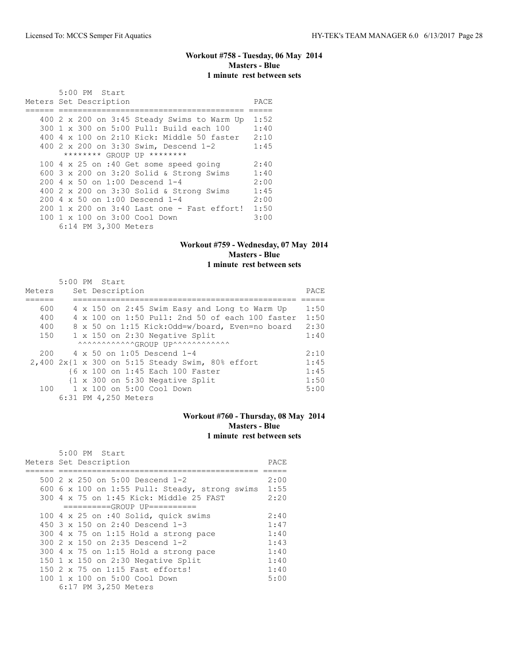# **Workout #758 - Tuesday, 06 May 2014 Masters - Blue 1 minute rest between sets**

| $5:00$ PM Start                                     |      |
|-----------------------------------------------------|------|
| Meters Set Description                              | PACE |
|                                                     |      |
| 400 2 x 200 on 3:45 Steady Swims to Warm Up         | 1:52 |
| 300 1 x 300 on 5:00 Pull: Build each 100            | 1:40 |
| $400\,4\,$ x $100\,$ on 2:10 Kick: Middle 50 faster | 2:10 |
| 400 2 x 200 on 3:30 Swim, Descend 1-2               | 1:45 |
| ******** GROUP UP ********                          |      |
| 100 4 x 25 on :40 Get some speed going              | 2:40 |
| 600 $3 \times 200$ on $3:20$ Solid & Strong Swims   | 1:40 |
| $200 \text{ } 4 \times 50$ on $1:00$ Descend $1-4$  | 2:00 |
| 400 2 x 200 on 3:30 Solid & Strong Swims            | 1:45 |
| $200 \, 4 \times 50$ on $1:00$ Descend $1-4$        | 2:00 |
| $200$ 1 x 200 on 3:40 Last one - Fast effort!       | 1:50 |
| 100 1 x 100 on 3:00 Cool Down                       | 3:00 |
| 6:14 PM 3,300 Meters                                |      |

# **Workout #759 - Wednesday, 07 May 2014 Masters - Blue 1 minute rest between sets**

|        |  | 5:00 PM Start                                         |      |
|--------|--|-------------------------------------------------------|------|
| Meters |  | Set Description                                       | PACE |
|        |  |                                                       |      |
| 600    |  | 4 x 150 on 2:45 Swim Easy and Long to Warm Up         | 1:50 |
| 400    |  | 4 x 100 on 1:50 Pull: 2nd 50 of each 100 faster       | 1:50 |
| 400    |  | 8 x 50 on 1:15 Kick:Odd=w/board, Even=no board        | 2:30 |
| 150    |  | 1 x 150 on 2:30 Negative Split                        | 1:40 |
|        |  | AAAAAAAAAAAAGROUP UPAAAAAAAAAAAA                      |      |
| 200    |  | 4 x 50 on 1:05 Descend 1-4                            | 2:10 |
|        |  | $2,400$ $2x$ {1 x 300 on 5:15 Steady Swim, 80% effort | 1:45 |
|        |  | {6 x 100 on 1:45 Each 100 Faster                      | 1:45 |
|        |  | {1 x 300 on 5:30 Negative Split                       | 1:50 |
| 100    |  | 1 x 100 on 5:00 Cool Down                             | 5:00 |
|        |  | 6:31 PM 4,250 Meters                                  |      |

# **Workout #760 - Thursday, 08 May 2014 Masters - Blue 1 minute rest between sets**

|  | 5:00 PM Start                                  |      |
|--|------------------------------------------------|------|
|  | Meters Set Description                         | PACE |
|  |                                                |      |
|  | 500 $2 \times 250$ on 5:00 Descend 1-2         | 2:00 |
|  | 600 6 x 100 on 1:55 Pull: Steady, strong swims | 1:55 |
|  | 300 4 x 75 on 1:45 Kick: Middle 25 FAST        | 2:20 |
|  | ==========GROUP UP==========                   |      |
|  | 100 4 x 25 on :40 Solid, quick swims           | 2:40 |
|  | 450 $3 \times 150$ on 2:40 Descend 1-3         | 1:47 |
|  | 300 4 x 75 on 1:15 Hold a strong pace          | 1:40 |
|  | 300 2 x 150 on 2:35 Descend 1-2                | 1:43 |
|  | $300$ 4 x 75 on 1:15 Hold a strong pace        | 1:40 |
|  | 150 1 x 150 on 2:30 Negative Split             | 1:40 |
|  | 150 2 x 75 on 1:15 Fast efforts!               | 1:40 |
|  | 100 1 x 100 on 5:00 Cool Down                  | 5:00 |
|  | 6:17 PM 3,250 Meters                           |      |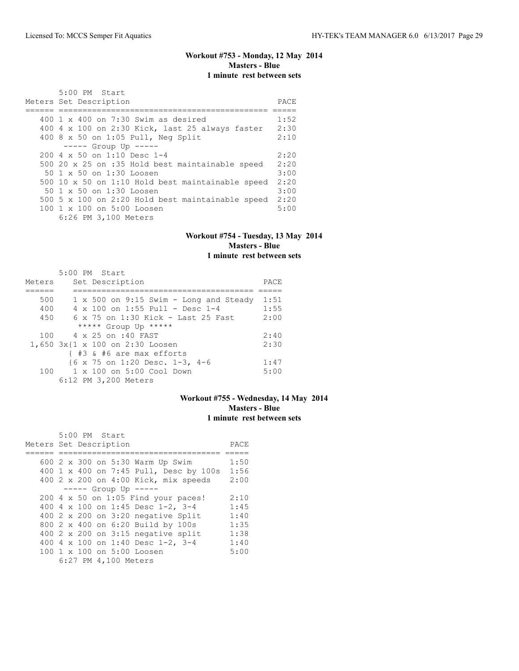### **Workout #753 - Monday, 12 May 2014 Masters - Blue 1 minute rest between sets**

| $5:00$ PM Start<br>Meters Set Description        | PACE |
|--------------------------------------------------|------|
|                                                  |      |
| 400 1 x 400 on 7:30 Swim as desired              | 1:52 |
| 400 4 x 100 on 2:30 Kick, last 25 always faster  | 2:30 |
| 400 8 x 50 on 1:05 Pull, Neg Split               | 2:10 |
| $--- $ Group Up $---$                            |      |
| $2004 \times 50$ on 1:10 Desc 1-4                | 2:20 |
| 500 20 x 25 on :35 Hold best maintainable speed  | 2:20 |
| 50 1 x 50 on 1:30 Loosen                         | 3:00 |
| 500 10 x 50 on 1:10 Hold best maintainable speed | 2:20 |
| 50 1 x 50 on 1:30 Loosen                         | 3:00 |
| 500 5 x 100 on 2:20 Hold best maintainable speed | 2:20 |
| 100 1 x 100 on 5:00 Loosen                       | 5:00 |
| 6:26 PM 3,100 Meters                             |      |

#### **Workout #754 - Tuesday, 13 May 2014 Masters - Blue 1 minute rest between sets**

#### 5:00 PM Start Meters Set Description **PACE** ====== ====================================== ===== 500 1 x 500 on 9:15 Swim - Long and Steady 1:51 400 4 x 100 on 1:55 Pull - Desc 1-4 1:55 450 6 x 75 on 1:30 Kick - Last 25 Fast 2:00 \*\*\*\*\* Group Up \*\*\*\*\* 100 4 x 25 on :40 FAST 2:40 1,650 3x{1 x 100 on 2:30 Loosen 2:30 { #3 & #6 are max efforts {6 x 75 on 1:20 Desc. 1-3, 4-6 1:47<br>1 x 100 on 5:00 Cool Down 5:00 100 1 x 100 on 5:00 Cool Down 5:00 6:12 PM 3,200 Meters

### **Workout #755 - Wednesday, 14 May 2014 Masters - Blue 1 minute rest between sets**

|                        |  | 5:00 PM Start |                      |                                           |      |
|------------------------|--|---------------|----------------------|-------------------------------------------|------|
| Meters Set Description |  |               |                      |                                           | PACE |
|                        |  |               |                      |                                           |      |
|                        |  |               |                      | 600 2 x 300 on 5:30 Warm Up Swim          | 1:50 |
|                        |  |               |                      | 400 1 x 400 on 7:45 Pull, Desc by 100s    | 1:56 |
|                        |  |               |                      | 400 2 x 200 on 4:00 Kick, mix speeds      | 2:00 |
|                        |  |               |                      | $--- -$ Group Up $---$                    |      |
|                        |  |               |                      | 200 4 x 50 on 1:05 Find your paces!       | 2:10 |
|                        |  |               |                      | 400 4 x 100 on 1:45 Desc 1-2, 3-4         | 1:45 |
|                        |  |               |                      | 400 2 x 200 on 3:20 negative Split        | 1:40 |
|                        |  |               |                      | 800 2 x 400 on 6:20 Build by 100s         | 1:35 |
|                        |  |               |                      | 400 $2 \times 200$ on 3:15 negative split | 1:38 |
|                        |  |               |                      | 400 4 x 100 on 1:40 Desc 1-2, 3-4         | 1:40 |
|                        |  |               |                      | 100 1 x 100 on 5:00 Loosen                | 5:00 |
|                        |  |               | 6:27 PM 4,100 Meters |                                           |      |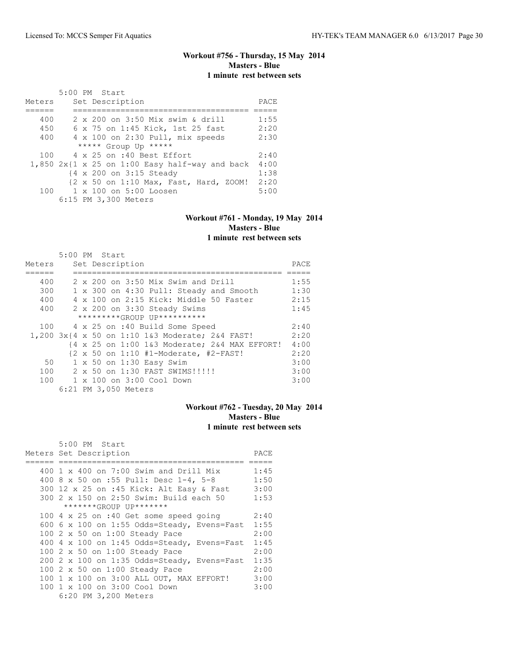# **Workout #756 - Thursday, 15 May 2014 Masters - Blue 1 minute rest between sets**

|        | 5:00 PM Start                                    |      |
|--------|--------------------------------------------------|------|
| Meters | Set Description                                  | PACE |
|        |                                                  |      |
| 400    | 2 x 200 on 3:50 Mix swim & drill                 | 1:55 |
| 450    | 6 x 75 on 1:45 Kick, 1st 25 fast                 | 2:20 |
| 400    | 4 x 100 on 2:30 Pull, mix speeds                 | 2:30 |
|        | ***** Group Up *****                             |      |
| 100    | 4 x 25 on :40 Best Effort                        | 2:40 |
|        | $1,850$ 2x{1 x 25 on 1:00 Easy half-way and back | 4:00 |
|        | {4 x 200 on 3:15 Steady                          | 1:38 |
|        | {2 x 50 on 1:10 Max, Fast, Hard, ZOOM!           | 2:20 |
|        | 100 1 x 100 on 5:00 Loosen                       | 5:00 |
|        | 6:15 PM 3,300 Meters                             |      |

# **Workout #761 - Monday, 19 May 2014 Masters - Blue**

# **1 minute rest between sets**

|        | 5:00 PM Start        |                                                                           |      |
|--------|----------------------|---------------------------------------------------------------------------|------|
| Meters | Set Description      |                                                                           | PACE |
|        |                      |                                                                           |      |
| 400    |                      | 2 x 200 on 3:50 Mix Swim and Drill                                        | 1:55 |
| 300    |                      | 1 x 300 on 4:30 Pull: Steady and Smooth                                   | 1:30 |
| 400    |                      | 4 x 100 on 2:15 Kick: Middle 50 Faster                                    | 2:15 |
| 400    |                      | 2 x 200 on 3:30 Steady Swims                                              | 1:45 |
|        |                      | *********GROUP UP**********                                               |      |
|        |                      | 100 4 x 25 on :40 Build Some Speed                                        | 2:40 |
|        |                      | 1,200 3x{4 x 50 on 1:10 1&3 Moderate; 2&4 FAST!                           | 2:20 |
|        |                      | {4 x 25 on 1:00 1&3 Moderate; 2&4 MAX EFFORT!                             | 4:00 |
|        |                      | $\{2 \times 50 \text{ on } 1:10\text{ #1-Model} \text{ rate, #2-FAST!}\}$ | 2:20 |
| 50     |                      | 1 x 50 on 1:30 Easy Swim                                                  | 3:00 |
| 100    |                      | 2 x 50 on 1:30 FAST SWIMS!!!!!                                            | 3:00 |
|        |                      | 100 1 x 100 on 3:00 Cool Down                                             | 3:00 |
|        | 6:21 PM 3,050 Meters |                                                                           |      |

# **Workout #762 - Tuesday, 20 May 2014 Masters - Blue 1 minute rest between sets**

| 5:00 PM Start                                 |      |
|-----------------------------------------------|------|
| Meters Set Description                        | PACE |
|                                               |      |
| 400 1 x 400 on 7:00 Swim and Drill Mix        | 1:45 |
| 400 8 x 50 on :55 Pull: Desc 1-4, 5-8         | 1:50 |
| 300 12 x 25 on :45 Kick: Alt Easy & Fast      | 3:00 |
| 300 2 x 150 on 2:50 Swim: Build each 50       | 1:53 |
| *******GROUP UP*******                        |      |
| 100 4 x 25 on :40 Get some speed going        | 2:40 |
| 600 6 x 100 on 1:55 Odds=Steady, Evens=Fast   | 1:55 |
| 100 2 x 50 on 1:00 Steady Pace                | 2:00 |
| 400 4 x 100 on 1:45 Odds=Steady, Evens=Fast   | 1:45 |
| 100 2 x 50 on 1:00 Steady Pace                | 2:00 |
| 200 2 x 100 on 1:35 Odds=Steady, Evens=Fast   | 1:35 |
| 100 2 x 50 on 1:00 Steady Pace                | 2:00 |
| 100 1 x 100 on 3:00 ALL OUT, MAX EFFORT! 3:00 |      |
| 100 1 x 100 on 3:00 Cool Down                 | 3:00 |
| 6:20 PM 3,200 Meters                          |      |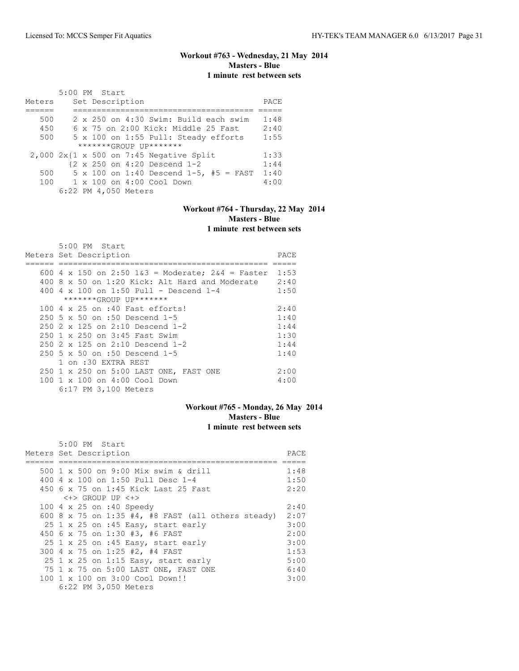# **Workout #763 - Wednesday, 21 May 2014 Masters - Blue 1 minute rest between sets**

|        | 5:00 PM Start        |                 |                                                          |      |
|--------|----------------------|-----------------|----------------------------------------------------------|------|
| Meters |                      | Set Description |                                                          | PACE |
|        |                      |                 |                                                          |      |
| 500    |                      |                 | 2 x 250 on 4:30 Swim: Build each swim                    | 1:48 |
| 450    |                      |                 | $6 \times 75$ on $2:00$ Kick: Middle 25 Fast             | 2:40 |
| 500    |                      |                 | 5 x 100 on 1:55 Pull: Steady efforts                     | 1:55 |
|        |                      |                 | $******GROUP$ $IP*******$                                |      |
|        |                      |                 | $2,000$ $2x$ {1 x 500 on 7:45 Negative Split             | 1:33 |
|        |                      |                 | $\{2 \times 250 \text{ on } 4:20 \text{ Descend } 1-2\}$ | 1:44 |
| 500    |                      |                 | $5 \times 100$ on 1:40 Descend 1-5, #5 = FAST            | 1:40 |
| 100    |                      |                 | $1 \times 100$ on $4:00$ Cool Down                       | 4:00 |
|        | 6:22 PM 4,050 Meters |                 |                                                          |      |

# **Workout #764 - Thursday, 22 May 2014 Masters - Blue 1 minute rest between sets**

| $5:00$ PM Start                                     |      |
|-----------------------------------------------------|------|
| Meters Set Description                              | PACE |
|                                                     |      |
| 600 4 x 150 on 2:50 $1\&3$ = Moderate; 2&4 = Faster | 1:53 |
| 400 8 x 50 on 1:20 Kick: Alt Hard and Moderate      | 2:40 |
| 400 4 $\times$ 100 on 1:50 Pull - Descend 1-4       | 1:50 |
| *******GROUP UP*******                              |      |
| 100 4 x 25 on :40 Fast efforts!                     | 2:40 |
| 250 5 x 50 on :50 Descend 1-5                       | 1:40 |
| $250$ $2 \times 125$ on $2:10$ Descend 1-2          | 1:44 |
| 250 1 x 250 on 3:45 Fast Swim                       | 1:30 |
| $250$ $2 \times 125$ on $2:10$ Descend 1-2          | 1:44 |
| 250 5 x 50 on :50 Descend 1-5                       | 1:40 |
| 1 on :30 EXTRA REST                                 |      |
| 250 1 x 250 on 5:00 LAST ONE, FAST ONE              | 2:00 |
| 100 1 x 100 on 4:00 Cool Down                       | 4:00 |
| 6:17 PM 3,100 Meters                                |      |

### **Workout #765 - Monday, 26 May 2014 Masters - Blue 1 minute rest between sets**

| 5:00 PM Start                                      |      |
|----------------------------------------------------|------|
| Meters Set Description                             | PACE |
|                                                    |      |
| 500 1 x 500 on 9:00 Mix swim & drill               | 1:48 |
| 400 4 x 100 on 1:50 Pull Desc 1-4                  | 1:50 |
| 450 6 x 75 on 1:45 Kick Last 25 Fast               | 2:20 |
| $\langle + \rangle$ GROUP UP $\langle + \rangle$   |      |
| 100 4 x 25 on :40 Speedy                           | 2:40 |
| 600 8 x 75 on 1:35 #4, #8 FAST (all others steady) | 2:07 |
| 25 1 x 25 on :45 Easy, start early                 | 3:00 |
| 450 6 x 75 on 1:30 #3, #6 FAST                     | 2:00 |
| 25 1 x 25 on :45 Easy, start early                 | 3:00 |
| 300 4 x 75 on 1:25 #2, #4 FAST                     | 1:53 |
| 25 1 x 25 on 1:15 Easy, start early                | 5:00 |
| 75 1 x 75 on 5:00 LAST ONE, FAST ONE               | 6:40 |
| 100 1 x 100 on 3:00 Cool Down!!                    | 3:00 |
| 6:22 PM 3,050 Meters                               |      |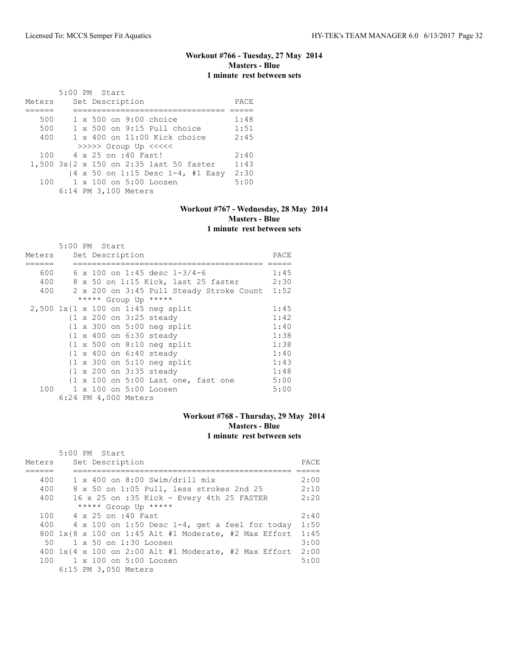# **Workout #766 - Tuesday, 27 May 2014 Masters - Blue 1 minute rest between sets**

|        |  | $5:00$ PM Start                                                       |      |
|--------|--|-----------------------------------------------------------------------|------|
| Meters |  | Set Description                                                       | PACE |
|        |  |                                                                       |      |
| 500    |  | $1 \times 500$ on 9:00 choice                                         | 1:48 |
| 500    |  | $1 \times 500$ on 9:15 Pull choice                                    | 1:51 |
| 400    |  | $1 \times 400$ on $11:00$ Kick choice                                 | 2:45 |
|        |  | >>>>> Group Up <<<<<                                                  |      |
| 100    |  | 4 x 25 on :40 Fast!                                                   | 2:40 |
|        |  | 1,500 3x{2 x 150 on 2:35 last 50 faster                               | 1:43 |
|        |  | $\{4 \times 50 \text{ on } 1:15 \text{ Desc } 1-4, \text{ #1 Easy}\}$ | 2:30 |
| 100    |  | $1 \times 100$ on $5:00$ Loosen                                       | 5:00 |
|        |  | 6:14 PM 3,100 Meters                                                  |      |

## **Workout #767 - Wednesday, 28 May 2014 Masters - Blue 1 minute rest between sets**

|        | 5:00 PM Start                                         |      |
|--------|-------------------------------------------------------|------|
| Meters | Set Description                                       | PACE |
|        |                                                       |      |
| 600    | 6 x 100 on 1:45 desc $1-3/4-6$                        | 1:45 |
| 400    | 8 x 50 on 1:15 Kick, last 25 faster                   | 2:30 |
| 400    | 2 x 200 on 3:45 Pull Steady Stroke Count 1:52         |      |
|        | ***** Group Up *****                                  |      |
|        | 2,500 1x{1 x 100 on 1:45 neg split                    | 1:45 |
|        | {1 x 200 on 3:25 steady                               | 1:42 |
|        | $\{1 \times 300 \text{ on } 5:00 \text{ neg split}\}$ | 1:40 |
|        | {1 x 400 on 6:30 steady                               | 1:38 |
|        | $\{1 \times 500$ on 8:10 neg split                    | 1:38 |
|        | $\{1 \times 400 \text{ on } 6:40 \text{ steady}\}$    | 1:40 |
|        | $\{1 \times 300 \text{ on } 5:10 \text{ neg split}\}$ | 1:43 |
|        | {1 x 200 on 3:35 steady                               | 1:48 |
|        | {1 x 100 on 5:00 Last one, fast one                   | 5:00 |
| 100    | 1 x 100 on 5:00 Loosen                                | 5:00 |
|        | 6:24 PM 4,000 Meters                                  |      |

## **Workout #768 - Thursday, 29 May 2014 Masters - Blue 1 minute rest between sets**

|        | $5:00$ PM Start                                           |       |
|--------|-----------------------------------------------------------|-------|
| Meters | Set Description                                           | PACE. |
|        |                                                           |       |
| 400    | $1 \times 400$ on 8:00 Swim/drill mix                     | 2:00  |
| 400    | 8 x 50 on 1:05 Pull, less strokes 2nd 25                  | 2:10  |
| 400    | 16 x 25 on :35 Kick - Every 4th 25 FASTER                 | 2:20  |
|        | ***** Group Up *****                                      |       |
| 100    | 4 x 25 on :40 Fast                                        | 2:40  |
|        | 400 $4 \times 100$ on 1:50 Desc 1-4, get a feel for today | 1:50  |
|        | 800 $1x88$ x 100 on 1:45 Alt #1 Moderate, #2 Max Effort   | 1:45  |
| 50     | 1 x 50 on 1:30 Loosen                                     | 3:00  |
|        | 400 $1x$ {4 x 100 on 2:00 Alt #1 Moderate, #2 Max Effort  | 2:00  |
| 100    | $1 \times 100$ on $5:00$ Loosen                           | 5:00  |
|        | 6:15 PM 3,050 Meters                                      |       |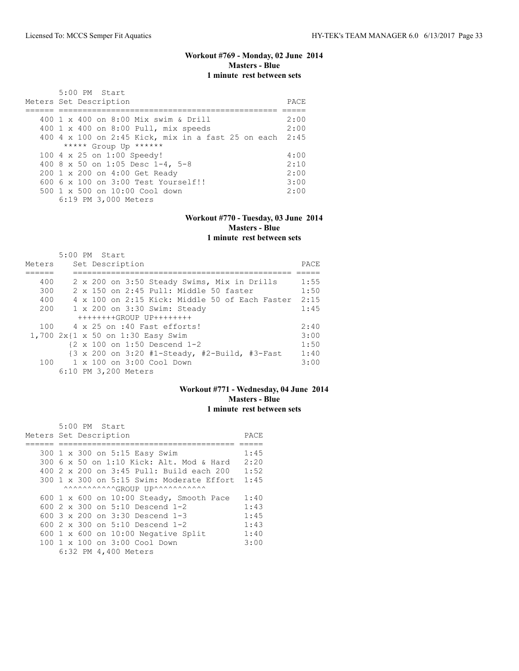# **Workout #769 - Monday, 02 June 2014 Masters - Blue 1 minute rest between sets**

| 5:00 PM Start<br>Meters Set Description                 | PACE |
|---------------------------------------------------------|------|
| 400 1 x 400 on 8:00 Mix swim & Drill                    | 2:00 |
| 400 1 x 400 on 8:00 Pull, mix speeds                    | 2:00 |
| 400 4 x 100 on 2:45 Kick, mix in a fast 25 on each 2:45 |      |
| ***** Group Up ******                                   |      |
| 100 4 x 25 on 1:00 Speedy!                              | 4:00 |
| 400 8 x 50 on 1:05 Desc 1-4, 5-8                        | 2:10 |
| 200 1 x 200 on 4:00 Get Ready                           | 2:00 |
| $6006 \times 100$ on $3:00$ Test Yourself!!             | 3:00 |
| $500 \t 1 \t x \t 500$ on $10:00$ Cool down             | 2:00 |
| 6:19 PM 3,000 Meters                                    |      |

### **Workout #770 - Tuesday, 03 June 2014 Masters - Blue 1 minute rest between sets**

|        | $5:00$ PM Start      |  |                 |                                   |                                             |  |                                                                           |      |
|--------|----------------------|--|-----------------|-----------------------------------|---------------------------------------------|--|---------------------------------------------------------------------------|------|
| Meters |                      |  | Set Description |                                   |                                             |  |                                                                           | PACE |
|        |                      |  |                 |                                   |                                             |  |                                                                           |      |
| 400    |                      |  |                 |                                   | 2 x 200 on 3:50 Steady Swims, Mix in Drills |  |                                                                           | 1:55 |
| 300    |                      |  |                 |                                   | 2 x 150 on 2:45 Pull: Middle 50 faster      |  |                                                                           | 1:50 |
| 400    |                      |  |                 |                                   |                                             |  | 4 x 100 on 2:15 Kick: Middle 50 of Each Faster                            | 2:15 |
| 200    |                      |  |                 |                                   | 1 x 200 on 3:30 Swim: Steady                |  |                                                                           | 1:45 |
|        |                      |  |                 | $++++++GROUP$ UP++++++++          |                                             |  |                                                                           |      |
| 100    |                      |  |                 | 4 x 25 on :40 Fast efforts!       |                                             |  |                                                                           | 2:40 |
|        |                      |  |                 | 1,700 2x{1 x 50 on 1:30 Easy Swim |                                             |  |                                                                           | 3:00 |
|        |                      |  |                 | {2 x 100 on 1:50 Descend 1-2      |                                             |  |                                                                           | 1:50 |
|        |                      |  |                 |                                   |                                             |  | $\{3 \times 200 \text{ on } 3:20 \text{ #1-Steady, #2-Build, #3-Fast} \}$ | 1:40 |
| 100    |                      |  |                 | 1 x 100 on 3:00 Cool Down         |                                             |  |                                                                           | 3:00 |
|        | 6:10 PM 3,200 Meters |  |                 |                                   |                                             |  |                                                                           |      |

# **Workout #771 - Wednesday, 04 June 2014 Masters - Blue 1 minute rest between sets**

|                        | 5:00 PM Start |                                          |  |                                                        |      |
|------------------------|---------------|------------------------------------------|--|--------------------------------------------------------|------|
| Meters Set Description |               |                                          |  |                                                        | PACE |
|                        |               |                                          |  |                                                        |      |
|                        |               | 300 1 x 300 on 5:15 Easy Swim            |  |                                                        | 1:45 |
|                        |               |                                          |  | 300 6 x 50 on 1:10 Kick: Alt. Mod & Hard               | 2:20 |
|                        |               |                                          |  | 400 2 x 200 on 3:45 Pull: Build each 200               | 1:52 |
|                        |               |                                          |  | $300 \text{ 1 x } 300$ on $5:15$ Swim: Moderate Effort | 1:45 |
|                        |               |                                          |  | ^^^^^^^^^^^^CROUP UP^^^^^^^^^^^^^^                     |      |
|                        |               |                                          |  | 600 1 x 600 on $10:00$ Steady, Smooth Pace             | 1:40 |
|                        |               | 600 2 x 300 on 5:10 Descend 1-2          |  |                                                        | 1:43 |
|                        |               | 600 $3 \times 200$ on $3:30$ Descend 1-3 |  |                                                        | 1:45 |
|                        |               | 600 $2 \times 300$ on $5:10$ Descend 1-2 |  |                                                        | 1:43 |
|                        |               |                                          |  | 600 $1 \times 600$ on 10:00 Negative Split             | 1:40 |
|                        |               | 100 1 x 100 on 3:00 Cool Down            |  |                                                        | 3:00 |
|                        |               | 6:32 PM 4,400 Meters                     |  |                                                        |      |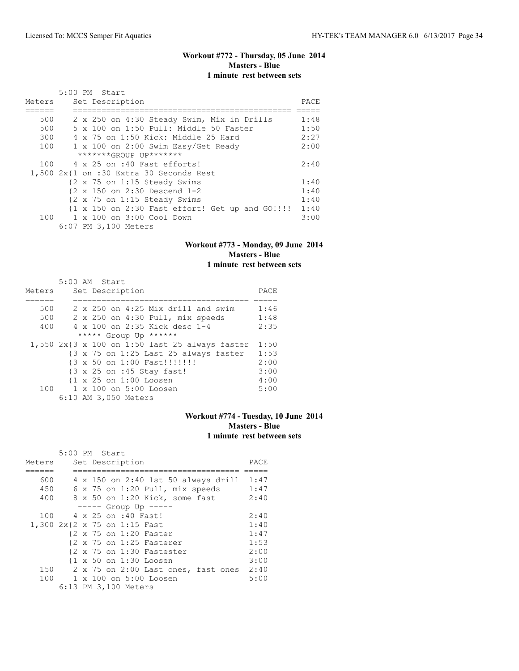# **Workout #772 - Thursday, 05 June 2014 Masters - Blue 1 minute rest between sets**

|        | $5:00$ PM Start                                 |       |
|--------|-------------------------------------------------|-------|
| Meters | Set Description                                 | PACE. |
|        |                                                 |       |
| 500    | 2 x 250 on 4:30 Steady Swim, Mix in Drills      | 1:48  |
| 500    | 5 x 100 on 1:50 Pull: Middle 50 Faster          | 1:50  |
| 300    | 4 x 75 on 1:50 Kick: Middle 25 Hard             | 2:27  |
| 100    | 1 x 100 on 2:00 Swim Easy/Get Ready             | 2:00  |
|        | *******GROUP UP*******                          |       |
| 100    | 4 x 25 on :40 Fast efforts!                     | 2:40  |
|        | $1,500$ $2x$ {1 on :30 Extra 30 Seconds Rest    |       |
|        | {2 x 75 on 1:15 Steady Swims                    | 1:40  |
|        | {2 x 150 on 2:30 Descend 1-2                    | 1:40  |
|        | {2 x 75 on 1:15 Steady Swims                    | 1:40  |
|        | {1 x 150 on 2:30 Fast effort! Get up and GO!!!! | 1:40  |
|        | 100 1 x 100 on 3:00 Cool Down                   | 3:00  |
|        | 6:07 PM 3,100 Meters                            |       |

# **Workout #773 - Monday, 09 June 2014 Masters - Blue 1 minute rest between sets**

|        | 5:00 AM Start                                                             |      |
|--------|---------------------------------------------------------------------------|------|
| Meters | Set Description                                                           | PACE |
|        |                                                                           |      |
| 500    | $2 \times 250$ on 4:25 Mix drill and swim                                 | 1:46 |
| 500    | 2 x 250 on 4:30 Pull, mix speeds                                          | 1:48 |
| 400    | 4 x 100 on 2:35 Kick desc 1-4                                             | 2:35 |
|        | ***** Group Up ******                                                     |      |
|        | 1,550 2x{3 x 100 on 1:50 last 25 always faster                            | 1:50 |
|        | $\{3 \times 75 \text{ on } 1:25 \text{ Last } 25 \text{ always faster}\}$ | 1:53 |
|        | {3 x 50 on 1:00 Fast!!!!!!!!                                              | 2:00 |
|        | {3 x 25 on :45 Stay fast!                                                 | 3:00 |
|        | $\{1 \times 25 \text{ on } 1:00 \text{ Loosen}\}$                         | 4:00 |
| 100    | 1 x 100 on 5:00 Loosen                                                    | 5:00 |
|        | 6:10 AM 3,050 Meters                                                      |      |

## **Workout #774 - Tuesday, 10 June 2014 Masters - Blue 1 minute rest between sets**

|                              | 5:00 PM Start |  |  |  |                      |                                                      |  |                                     |      |  |
|------------------------------|---------------|--|--|--|----------------------|------------------------------------------------------|--|-------------------------------------|------|--|
| Meters                       |               |  |  |  | Set Description      |                                                      |  |                                     | PACE |  |
|                              |               |  |  |  |                      |                                                      |  |                                     |      |  |
| 600                          |               |  |  |  |                      |                                                      |  | 4 x 150 on 2:40 1st 50 always drill | 1:47 |  |
| 450                          |               |  |  |  |                      | 6 x 75 on 1:20 Pull, mix speeds                      |  |                                     | 1:47 |  |
| 400                          |               |  |  |  |                      | 8 x 50 on 1:20 Kick, some fast                       |  |                                     | 2:40 |  |
|                              |               |  |  |  |                      | $--- $ Group Up $---$                                |  |                                     |      |  |
| 100                          |               |  |  |  | 4 x 25 on :40 Fast!  |                                                      |  |                                     | 2:40 |  |
| 1,300 2x{2 x 75 on 1:15 Fast |               |  |  |  |                      |                                                      |  |                                     | 1:40 |  |
|                              |               |  |  |  |                      | {2 x 75 on 1:20 Faster                               |  |                                     | 1:47 |  |
|                              |               |  |  |  |                      | $\{2 \times 75 \text{ on } 1:25 \text{ faster}\}$    |  |                                     | 1:53 |  |
|                              |               |  |  |  |                      | $\{2 \times 75 \text{ on } 1:30 \text{ Fastester}\}$ |  |                                     | 2:00 |  |
|                              |               |  |  |  |                      | {1 x 50 on 1:30 Loosen                               |  |                                     | 3:00 |  |
| 150                          |               |  |  |  |                      |                                                      |  | 2 x 75 on 2:00 Last ones, fast ones | 2:40 |  |
|                              |               |  |  |  |                      | 100 1 x 100 on 5:00 Loosen                           |  |                                     | 5:00 |  |
|                              |               |  |  |  | 6:13 PM 3,100 Meters |                                                      |  |                                     |      |  |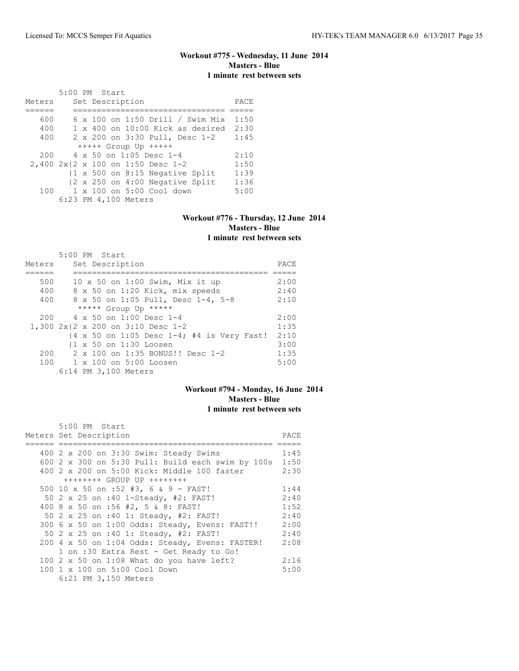# **Workout #775 - Wednesday, 11 June 2014 Masters - Blue 1 minute rest between sets**

|        | 5:00 PM Start |  |                      |                                    |                                           |      |
|--------|---------------|--|----------------------|------------------------------------|-------------------------------------------|------|
| Meters |               |  | Set Description      |                                    |                                           | PACE |
|        |               |  |                      |                                    |                                           |      |
| 600    |               |  |                      |                                    | $6 \times 100$ on 1:50 Drill / Swim Mix   | 1:50 |
| 400    |               |  |                      |                                    | $1 \times 400$ on $10:00$ Kick as desired | 2:30 |
| 400    |               |  |                      |                                    | 2 x 200 on 3:30 Pull, Desc 1-2            | 1:45 |
|        |               |  |                      | $++++$ Group Up $++++$             |                                           |      |
| 200    |               |  |                      | $4 \times 50$ on 1:05 Desc 1-4     |                                           | 2:10 |
|        |               |  |                      | 2,400 2x{2 x 100 on 1:50 Desc 1-2  |                                           | 1:50 |
|        |               |  |                      |                                    | {1 x 500 on 8:15 Negative Split           | 1:39 |
|        |               |  |                      |                                    | {2 x 250 on 4:00 Negative Split           | 1:36 |
| 100    |               |  |                      | $1 \times 100$ on $5:00$ Cool down |                                           | 5:00 |
|        |               |  | 6:23 PM 4,100 Meters |                                    |                                           |      |

#### **Workout #776 - Thursday, 12 June 2014 Masters - Blue 1 minute rest between sets**

| 1 minute lest between sets |  |  |
|----------------------------|--|--|
|                            |  |  |

|        | 5:00 PM Start                                                                  |      |
|--------|--------------------------------------------------------------------------------|------|
| Meters | Set Description                                                                | PACE |
|        |                                                                                |      |
| 500    | 10 x 50 on 1:00 Swim, Mix it up                                                | 2:00 |
| 400    | 8 x 50 on 1:20 Kick, mix speeds                                                | 2:40 |
| 400    | 8 x 50 on 1:05 Pull, Desc 1-4, 5-8                                             | 2:10 |
|        | ***** Group Up *****                                                           |      |
| 200    | $4 \times 50$ on 1:00 Desc 1-4                                                 | 2:00 |
|        | 1,300 2x{2 x 200 on 3:10 Desc 1-2                                              | 1:35 |
|        | $\{4 \times 50 \text{ on } 1:05 \text{ Desc } 1-4; #4 \text{ is Very Fast!}\}$ | 2:10 |
|        | {1 x 50 on 1:30 Loosen                                                         | 3:00 |
| 200    | 2 x 100 on 1:35 BONUS!! Desc 1-2                                               | 1:35 |
| 100    | 1 x 100 on 5:00 Loosen                                                         | 5:00 |
|        | 6:14 PM 3,100 Meters                                                           |      |

# **Workout #794 - Monday, 16 June 2014 Masters - Blue 1 minute rest between sets**

| 5:00 PM Start                                            |      |
|----------------------------------------------------------|------|
| Meters Set Description                                   | PACE |
|                                                          |      |
| 400 2 x 200 on 3:30 Swim: Steady Swims                   | 1:45 |
| 600 $2 \times 300$ on 5:30 Pull: Build each swim by 100s | 1:50 |
| 400 2 x 200 on 5:00 Kick: Middle 100 faster              | 2:30 |
| $++++++$ GROUP UP $++++++$                               |      |
| 500 10 x 50 on :52 #3, 6 & 9 - FAST!                     | 1:44 |
| 50 2 x 25 on :40 1-Steady, #2: FAST!                     | 2:40 |
| 400 8 x 50 on :56 #2, 5 & 8: FAST!                       | 1:52 |
| 50 2 x 25 on :40 1: Steady, #2: FAST!                    | 2:40 |
| 300 6 x 50 on 1:00 Odds: Steady, Evens: FAST!!           | 2:00 |
| 50 2 x 25 on :40 1: Steady, #2: FAST!                    | 2:40 |
| 200 4 x 50 on 1:04 Odds: Steady, Evens: FASTER!          | 2:08 |
| 1 on :30 Extra Rest - Get Ready to Go!                   |      |
| 100 2 x 50 on 1:08 What do you have left?                | 2:16 |
| 100 1 x 100 on 5:00 Cool Down                            | 5:00 |
| 6:21 PM 3,150 Meters                                     |      |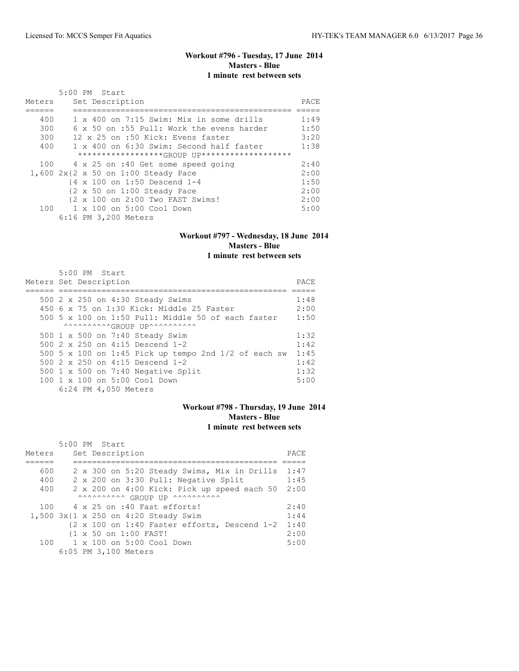# **Workout #796 - Tuesday, 17 June 2014 Masters - Blue 1 minute rest between sets**

|        | 5:00 PM Start                                          |       |
|--------|--------------------------------------------------------|-------|
| Meters | Set Description                                        | PACE. |
|        |                                                        |       |
| 400    | $1 \times 400$ on 7:15 Swim: Mix in some drills        | 1:49  |
| 300    | 6 x 50 on :55 Pull: Work the evens harder              | 1:50  |
| 300    | 12 x 25 on :50 Kick: Evens faster                      | 3:20  |
| 400    | 1 x 400 on 6:30 Swim: Second half faster               | 1:38  |
|        | *******************(GROUP UP*******************        |       |
| 100    | 4 x 25 on :40 Get some speed going                     | 2:40  |
|        | 1,600 2x{2 x 50 on 1:00 Steady Pace                    | 2:00  |
|        | $\{4 \times 100 \text{ on } 1:50 \text{ Descend } 1-4$ | 1:50  |
|        | $\{2 \times 50 \text{ on } 1:00 \text{ Steadv Race}\}$ | 2:00  |
|        | {2 x 100 on 2:00 Two FAST Swims!                       | 2:00  |
|        | 100 1 x 100 on 5:00 Cool Down                          | 5:00  |
|        | 6:16 PM 3,200 Meters                                   |       |

#### **Workout #797 - Wednesday, 18 June 2014 Masters - Blue 1 minute rest between sets**

#### 5:00 PM Start Meters Set Description PACE ====== ================================================ ===== 500 2 x 250 on 4:30 Steady Swims 1:48 450 6 x 75 on 1:30 Kick: Middle 25 Faster 2:00 500 5 x 100 on 1:50 Pull: Middle 50 of each faster 1:50  $\wedge\wedge\wedge\wedge\wedge\wedge\wedge\wedge\wedge\wedge\wedge\mathsf{GROUP}$  UP^^^^^^^^^^^^^^^ 500 1 x 500 on 7:40 Steady Swim 1:32 500 2 x 250 on 4:15 Descend 1-2 1:42 500 5 x 100 on 1:45 Pick up tempo 2nd 1/2 of each sw 1:45 500 2 x 250 on 4:15 Descend 1-2 500 1 x 500 on 7:40 Negative Split 1:32 100 1 x 100 on 5:00 Cool Down 5:00 6:24 PM 4,050 Meters

### **Workout #798 - Thursday, 19 June 2014 Masters - Blue 1 minute rest between sets**

|        | 5:00 PM Start |  |                       |                                           |                                             |  |                                              |      |
|--------|---------------|--|-----------------------|-------------------------------------------|---------------------------------------------|--|----------------------------------------------|------|
| Meters |               |  | Set Description       |                                           |                                             |  |                                              | PACE |
|        |               |  |                       |                                           |                                             |  |                                              |      |
| 600    |               |  |                       |                                           |                                             |  | 2 x 300 on 5:20 Steady Swims, Mix in Drills  | 1:47 |
| 400    |               |  |                       |                                           | 2 x 200 on 3:30 Pull: Negative Split        |  |                                              | 1:45 |
| 400    |               |  |                       |                                           | 2 x 200 on 4:00 Kick: Pick up speed each 50 |  |                                              | 2:00 |
|        |               |  |                       |                                           | AAAAAAAAAA GROUP UP AAAAAAAAAA              |  |                                              |      |
| 100    |               |  |                       | 4 x 25 on :40 Fast efforts!               |                                             |  |                                              | 2:40 |
|        |               |  |                       | 1,500 3x{1 x 250 on 4:20 Steady Swim      |                                             |  |                                              | 1:44 |
|        |               |  |                       |                                           |                                             |  | {2 x 100 on 1:40 Faster efforts, Descend 1-2 | 1:40 |
|        |               |  | {1 x 50 on 1:00 FAST! |                                           |                                             |  |                                              | 2:00 |
|        |               |  |                       | $100 \t 1 \times 100$ on $5:00$ Cool Down |                                             |  |                                              | 5:00 |
|        |               |  | 6:05 PM 3,100 Meters  |                                           |                                             |  |                                              |      |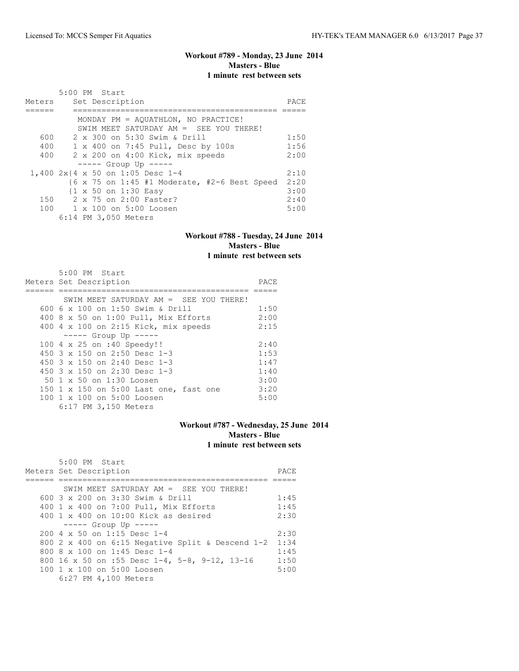# **Workout #789 - Monday, 23 June 2014 Masters - Blue 1 minute rest between sets**

| Meters | 5:00 PM Start<br>Set Description                                                        |      |  |  |  |  |  |  |
|--------|-----------------------------------------------------------------------------------------|------|--|--|--|--|--|--|
|        | MONDAY PM = AQUATHLON, NO PRACTICE!                                                     |      |  |  |  |  |  |  |
|        | SWIM MEET SATURDAY AM = SEE YOU THERE!                                                  |      |  |  |  |  |  |  |
| 600    | 2 x 300 on 5:30 Swim & Drill                                                            | 1:50 |  |  |  |  |  |  |
| 400    | 1 x 400 on 7:45 Pull, Desc by 100s                                                      | 1:56 |  |  |  |  |  |  |
| 400    | 2 x 200 on 4:00 Kick, mix speeds                                                        | 2:00 |  |  |  |  |  |  |
|        | $--- $ Group Up $---$                                                                   |      |  |  |  |  |  |  |
|        | 1,400 2x{4 x 50 on 1:05 Desc 1-4                                                        | 2:10 |  |  |  |  |  |  |
|        | $\{6 \times 75 \text{ on } 1:45 \pm 1 \text{ Moderate, } \pm 2-6 \text{ Best Speed} \}$ | 2:20 |  |  |  |  |  |  |
|        | {1 x 50 on 1:30 Easy                                                                    | 3:00 |  |  |  |  |  |  |
|        | 150 2 x 75 on 2:00 Faster?                                                              | 2:40 |  |  |  |  |  |  |
|        | 100 1 x 100 on 5:00 Loosen                                                              | 5:00 |  |  |  |  |  |  |
|        | 6:14 PM 3,050 Meters                                                                    |      |  |  |  |  |  |  |

#### **Workout #788 - Tuesday, 24 June 2014 Masters - Blue 1 minute rest between sets**

| 5:00 PM Start                            |      |
|------------------------------------------|------|
| Meters Set Description                   | PACE |
|                                          |      |
| SWIM MEET SATURDAY AM $=$ SEE YOU THERE! |      |
| 600 6 x 100 on 1:50 Swim & Drill         | 1:50 |
| 400 8 x 50 on 1:00 Pull, Mix Efforts     | 2:00 |
| 400 4 x 100 on 2:15 Kick, mix speeds     | 2:15 |
| $--- $ Group Up $---$                    |      |
| 100 4 x 25 on :40 Speedy!!               | 2:40 |
| 450 $3 \times 150$ on 2:50 Desc 1-3      | 1:53 |
| 450 $3 \times 150$ on 2:40 Desc 1-3      | 1:47 |
| 450 3 x 150 on 2:30 Desc 1-3             | 1:40 |
| 50 1 x 50 on 1:30 Loosen                 | 3:00 |
| 150 1 x 150 on 5:00 Last one, fast one   | 3:20 |
| 100 1 x 100 on 5:00 Loosen               | 5:00 |
| 6:17 PM 3,150 Meters                     |      |

# **Workout #787 - Wednesday, 25 June 2014 Masters - Blue 1 minute rest between sets**

| $5:00$ PM Start                                        |      |
|--------------------------------------------------------|------|
| Meters Set Description                                 | PACE |
|                                                        |      |
| SWIM MEET SATURDAY AM $=$ SEE YOU THERE!               |      |
| 600 3 x 200 on 3:30 Swim & Drill                       | 1:45 |
| 400 1 x 400 on 7:00 Pull, Mix Efforts                  | 1:45 |
| $400 \t1 x 400$ on $10:00$ Kick as desired             | 2:30 |
| $--- $ Group Up $---$                                  |      |
| $200 \text{ } 4 \times 50$ on 1:15 Desc 1-4            | 2:30 |
| 800 2 x 400 on 6:15 Negative Split & Descend 1-2       | 1:34 |
| 800 8 $\times$ 100 on 1:45 Desc 1-4                    | 1:45 |
| 800 16 x 50 on :55 Desc $1-4$ , 5-8, 9-12, 13-16       | 1:50 |
| $100 \text{ 1 x } 100 \text{ on } 5:00 \text{ Loosen}$ | 5:00 |
| 6:27 PM 4,100 Meters                                   |      |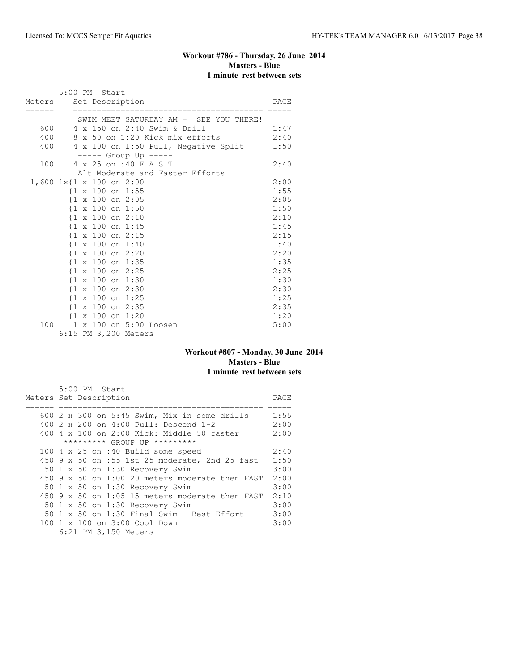# **Workout #786 - Thursday, 26 June 2014 Masters - Blue 1 minute rest between sets**

|        |  | 5:00 PM Start<br>Meters Set Description      |                                        | PACE |
|--------|--|----------------------------------------------|----------------------------------------|------|
| ====== |  |                                              | SWIM MEET SATURDAY AM = SEE YOU THERE! |      |
|        |  |                                              | 600 4 x 150 on 2:40 Swim & Drill       | 1:47 |
| 400    |  |                                              | 8 x 50 on 1:20 Kick mix efforts        | 2:40 |
| 400    |  |                                              | 4 x 100 on 1:50 Pull, Negative Split   | 1:50 |
|        |  | ----- Group Up -----                         |                                        |      |
| 100    |  | 4 x 25 on :40 F A S T                        |                                        | 2:40 |
|        |  |                                              | Alt Moderate and Faster Efforts        |      |
|        |  | $1,600 \, 1x\{1 \times 100 \text{ on } 2:00$ |                                        | 2:00 |
|        |  | $\{1 \times 100 \text{ on } 1:55\}$          |                                        | 1:55 |
|        |  | $\{1 \times 100 \text{ on } 2:05\}$          |                                        | 2:05 |
|        |  | $\{1 \times 100 \text{ on } 1:50$            |                                        | 1:50 |
|        |  | $\{1 \times 100 \text{ on } 2:10\}$          |                                        | 2:10 |
|        |  | $\{1 \times 100 \text{ on } 1:45$            |                                        | 1:45 |
|        |  | $\{1 \times 100 \text{ on } 2:15$            |                                        | 2:15 |
|        |  | $\{1 \times 100 \text{ on } 1:40\}$          |                                        | 1:40 |
|        |  | $\{1 \times 100 \text{ on } 2:20\}$          |                                        | 2:20 |
|        |  | {1 x 100 on 1:35                             |                                        | 1:35 |
|        |  | $\{1 \times 100 \text{ on } 2:25\}$          |                                        | 2:25 |
|        |  | $\{1 \times 100 \text{ on } 1:30\}$          |                                        | 1:30 |
|        |  | {1 x 100 on 2:30                             |                                        | 2:30 |
|        |  | $\{1 \times 100 \text{ on } 1:25\}$          |                                        | 1:25 |
|        |  | {1 x 100 on 2:35                             |                                        | 2:35 |
|        |  | $\{1 \times 100 \text{ on } 1:20\}$          |                                        | 1:20 |
| 100    |  | 1 x 100 on 5:00 Loosen                       |                                        | 5:00 |
|        |  | 6:15 PM 3,200 Meters                         |                                        |      |

#### **Workout #807 - Monday, 30 June 2014 Masters - Blue 1 minute rest between sets**

| 5:00 PM Start                                           |      |
|---------------------------------------------------------|------|
| Meters Set Description                                  | PACE |
|                                                         |      |
| 600 2 x 300 on 5:45 Swim, Mix in some drills            | 1:55 |
| 400 2 x 200 on 4:00 Pull: Descend 1-2                   | 2:00 |
| $400\,4\,$ x $100\,$ on $2:00\,$ Kick: Middle 50 faster | 2:00 |
| ********* GROUP UP *********                            |      |
| 100 4 x 25 on :40 Build some speed                      | 2:40 |
| 450 9 x 50 on :55 1st 25 moderate, 2nd 25 fast          | 1:50 |
| 50 1 x 50 on 1:30 Recovery Swim                         | 3:00 |
| 450 9 x 50 on 1:00 20 meters moderate then FAST         | 2:00 |
| 50 1 x 50 on 1:30 Recovery Swim                         | 3:00 |
| $450$ 9 x 50 on 1:05 15 meters moderate then FAST       | 2:10 |
| 50 1 x 50 on 1:30 Recovery Swim                         | 3:00 |
| 50 1 x 50 on 1:30 Final Swim - Best Effort              | 3:00 |
| 100 1 x 100 on 3:00 Cool Down                           | 3:00 |
| 6:21 PM 3,150 Meters                                    |      |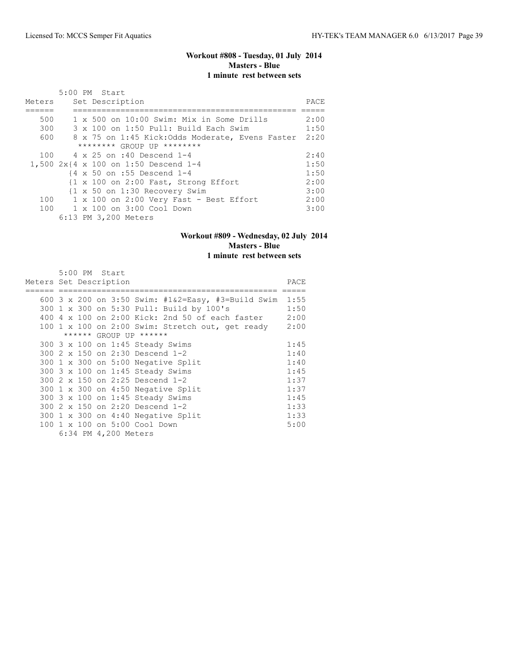# **Workout #808 - Tuesday, 01 July 2014 Masters - Blue 1 minute rest between sets**

|        | $5:00$ PM Start                                         |      |
|--------|---------------------------------------------------------|------|
| Meters | Set Description                                         | PACE |
|        |                                                         |      |
| 500    | 1 x 500 on 10:00 Swim: Mix in Some Drills               | 2:00 |
| 300    | 3 x 100 on 1:50 Pull: Build Each Swim                   | 1:50 |
| 600    | 8 x 75 on 1:45 Kick: Odds Moderate, Evens Faster        | 2:20 |
|        | ******** GROUP UP ********                              |      |
|        | 100 4 x 25 on :40 Descend 1-4                           | 2:40 |
|        | 1,500 $2x$ $4 \times 100$ on 1:50 Descend 1-4           | 1:50 |
|        | $\{4 \times 50 \text{ on } : 55 \text{ Descend } 1 - 4$ | 1:50 |
|        | {1 x 100 on 2:00 Fast, Strong Effort                    | 2:00 |
|        | {1 x 50 on 1:30 Recovery Swim                           | 3:00 |
| 100    | $1 \times 100$ on 2:00 Very Fast - Best Effort          | 2:00 |
|        | 100 1 x 100 on 3:00 Cool Down                           | 3:00 |
|        | 6:13 PM 3,200 Meters                                    |      |

#### **Workout #809 - Wednesday, 02 July 2014 Masters - Blue 1 minute rest between sets**

|                        |  | 5:00 PM Start |                      |                                                    |      |
|------------------------|--|---------------|----------------------|----------------------------------------------------|------|
| Meters Set Description |  |               |                      |                                                    | PACE |
|                        |  |               |                      |                                                    |      |
|                        |  |               |                      | 600 3 x 200 on 3:50 Swim: #1&2=Easy, #3=Build Swim | 1:55 |
|                        |  |               |                      | 300 1 x 300 on 5:30 Pull: Build by 100's           | 1:50 |
| 400                    |  |               |                      | 4 x 100 on 2:00 Kick: 2nd 50 of each faster        | 2:00 |
|                        |  |               |                      | 100 1 x 100 on 2:00 Swim: Stretch out, get ready   | 2:00 |
|                        |  |               |                      | ****** GROUP UP ******                             |      |
|                        |  |               |                      | 300 3 x 100 on 1:45 Steady Swims                   | 1:45 |
|                        |  |               |                      | 300 2 x 150 on 2:30 Descend 1-2                    | 1:40 |
|                        |  |               |                      | 300 1 x 300 on 5:00 Negative Split                 | 1:40 |
|                        |  |               |                      | 300 3 x 100 on 1:45 Steady Swims                   | 1:45 |
|                        |  |               |                      | 300 2 x 150 on 2:25 Descend 1-2                    | 1:37 |
|                        |  |               |                      | 300 1 x 300 on 4:50 Negative Split                 | 1:37 |
|                        |  |               |                      | 300 3 x 100 on 1:45 Steady Swims                   | 1:45 |
|                        |  |               |                      | 300 2 x 150 on 2:20 Descend 1-2                    | 1:33 |
|                        |  |               |                      | 300 1 x 300 on 4:40 Negative Split                 | 1:33 |
| 100                    |  |               |                      | 1 x 100 on 5:00 Cool Down                          | 5:00 |
|                        |  |               | 6:34 PM 4,200 Meters |                                                    |      |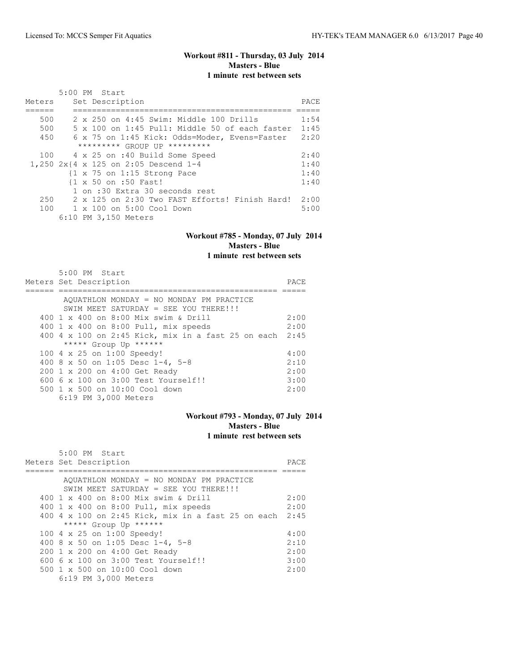$\overline{5}$ :00 PM  $\overline{2}$ 

# **Workout #811 - Thursday, 03 July 2014 Masters - Blue 1 minute rest between sets**

|        | 5:00 PM Start                                          |      |
|--------|--------------------------------------------------------|------|
| Meters | Set Description                                        | PACE |
|        |                                                        |      |
| 500    | 2 x 250 on 4:45 Swim: Middle 100 Drills                | 1:54 |
| 500    | 5 x 100 on 1:45 Pull: Middle 50 of each faster         | 1:45 |
| 450    | 6 x 75 on 1:45 Kick: Odds=Moder, Evens=Faster          | 2:20 |
|        | ********* GROUP UP *********                           |      |
|        | 100 4 x 25 on :40 Build Some Speed                     | 2:40 |
|        | 1,250 $2x$ $4 \times 125$ on 2:05 Descend 1-4          | 1:40 |
|        | $\{1 \times 75 \text{ on } 1:15 \text{ Strong Race}\}$ | 1:40 |
|        | {1 x 50 on :50 Fast!                                   | 1:40 |
|        | 1 on :30 Extra 30 seconds rest                         |      |
| 250    | 2 x 125 on 2:30 Two FAST Efforts! Finish Hard!         | 2:00 |
|        | 100 1 x 100 on 5:00 Cool Down                          | 5:00 |
|        | 6:10 PM 3,150 Meters                                   |      |

#### **Workout #785 - Monday, 07 July 2014 Masters - Blue 1 minute rest between sets**

#### 5:00 PM Start Meters Set Description PACE ====== ============================================== ===== AQUATHLON MONDAY = NO MONDAY PM PRACTICE SWIM MEET SATURDAY = SEE YOU THERE!!! 400 1 x 400 on 8:00 Mix swim & Drill 2:00 400 1 x 400 on 8:00 Pull, mix speeds 2:00 400 4 x 100 on 2:45 Kick, mix in a fast 25 on each 2:45 \*\*\*\*\* Group Up \*\*\*\*\*\* 100 4 x 25 on 1:00 Speedy! 4:00<br>400 8 x 50 on 1:05 Desc 1-4, 5-8 2:10 400 8 x 50 on 1:05 Desc 1-4, 5-8 2:10 200 1 x 200 on 4:00 Get Ready 2:00 600 6 x 100 on 3:00 Test Yourself!! 3:00 500 1 x 500 on 10:00 Cool down 2:00 6:19 PM 3,000 Meters

#### **Workout #793 - Monday, 07 July 2014 Masters - Blue 1 minute rest between sets**

| 5:00 PM START                                           |      |
|---------------------------------------------------------|------|
| Meters Set Description                                  | PACE |
|                                                         |      |
| AQUATHLON MONDAY = NO MONDAY PM PRACTICE                |      |
| SWIM MEET SATURDAY = SEE YOU THERE!!!                   |      |
| 400 1 x 400 on 8:00 Mix swim & Drill                    | 2:00 |
| 400 1 x 400 on 8:00 Pull, mix speeds                    | 2:00 |
| 400 4 x 100 on 2:45 Kick, mix in a fast 25 on each 2:45 |      |
| ***** Group Up ******                                   |      |
| 100 4 x 25 on 1:00 Speedy!                              | 4:00 |
| 400 8 x 50 on 1:05 Desc 1-4, 5-8                        | 2:10 |
| 200 1 x 200 on 4:00 Get Ready                           | 2:00 |
| $6006 \times 100$ on $3:00$ Test Yourself!!             | 3:00 |
| 500 1 x 500 on 10:00 Cool down                          | 2:00 |
| 6:19 PM 3,000 Meters                                    |      |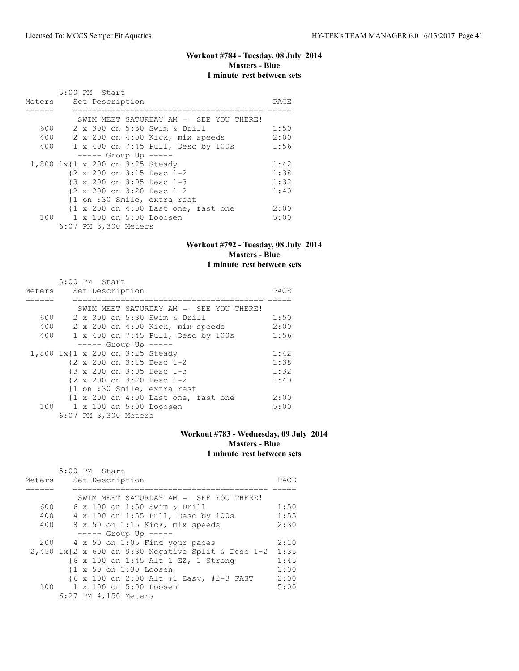# **Workout #784 - Tuesday, 08 July 2014 Masters - Blue 1 minute rest between sets**

|        | 5:00 PM Start                                                         |      |
|--------|-----------------------------------------------------------------------|------|
| Meters | Set Description                                                       | PACE |
|        |                                                                       |      |
|        | SWIM MEET SATURDAY AM $=$ SEE YOU THERE!                              |      |
| 600    | 2 x 300 on 5:30 Swim & Drill                                          | 1:50 |
| 400    | 2 x 200 on 4:00 Kick, mix speeds                                      | 2:00 |
| 400    | 1 x 400 on 7:45 Pull, Desc by 100s                                    | 1:56 |
|        | $--- $ Group Up $---$                                                 |      |
|        | 1,800 1x{1 x 200 on 3:25 Steady                                       | 1:42 |
|        | $\{2 \times 200 \text{ on } 3:15 \text{ Desc } 1-2$                   | 1:38 |
|        | {3 x 200 on 3:05 Desc 1-3                                             | 1:32 |
|        | {2 x 200 on 3:20 Desc 1-2                                             | 1:40 |
|        | {1 on :30 Smile, extra rest                                           |      |
|        | $\{1 \times 200 \text{ on } 4:00 \text{ Last one}, \text{fast one}\}$ | 2:00 |
|        | 100 1 x 100 on 5:00 Looosen                                           | 5:00 |
|        | 6:07 PM 3,300 Meters                                                  |      |

# **Workout #792 - Tuesday, 08 July 2014 Masters - Blue 1 minute rest between sets**

|        | 5:00 PM Start |  |                      |                                                                |      |
|--------|---------------|--|----------------------|----------------------------------------------------------------|------|
| Meters |               |  | Set Description      |                                                                | PACE |
|        |               |  |                      |                                                                |      |
|        |               |  |                      | SWIM MEET SATURDAY AM $=$ SEE YOU THERE!                       |      |
| 600    |               |  |                      | 2 x 300 on 5:30 Swim & Drill                                   | 1:50 |
| 400    |               |  |                      | 2 x 200 on 4:00 Kick, mix speeds                               | 2:00 |
|        |               |  |                      | 400 1 x 400 on 7:45 Pull, Desc by 100s                         | 1:56 |
|        |               |  |                      | $--- $ Group Up $--- $                                         |      |
|        |               |  |                      | 1,800 1x{1 x 200 on 3:25 Steady                                | 1:42 |
|        |               |  |                      | $\{2 \times 200 \text{ on } 3:15 \text{ Desc } 1-2$            | 1:38 |
|        |               |  |                      | {3 x 200 on 3:05 Desc 1-3                                      | 1:32 |
|        |               |  |                      | {2 x 200 on 3:20 Desc 1-2                                      | 1:40 |
|        |               |  |                      | {1 on :30 Smile, extra rest                                    |      |
|        |               |  |                      | $\{1 \times 200 \text{ on } 4:00 \text{ Last one, fast one}\}$ | 2:00 |
|        |               |  |                      | 100 1 x 100 on 5:00 Looosen                                    | 5:00 |
|        |               |  | 6:07 PM 3,300 Meters |                                                                |      |

### **Workout #783 - Wednesday, 09 July 2014 Masters - Blue 1 minute rest between sets**

|        | 5:00 PM Start |                                                                                              |      |
|--------|---------------|----------------------------------------------------------------------------------------------|------|
| Meters |               | Set Description                                                                              | PACE |
|        |               |                                                                                              |      |
|        |               | SWIM MEET SATURDAY AM $=$ SEE YOU THERE!                                                     |      |
| 600    |               | 6 x 100 on 1:50 Swim & Drill                                                                 | 1:50 |
| 400    |               | 4 x 100 on 1:55 Pull, Desc by 100s                                                           | 1:55 |
| 400    |               | 8 x 50 on 1:15 Kick, mix speeds                                                              | 2:30 |
|        |               | $--- $ Group Up $---$                                                                        |      |
|        |               | 200 4 x 50 on 1:05 Find your paces                                                           | 2:10 |
|        |               | 2,450 $1 \times \{2 \times 600 \text{ on } 9:30 \text{ Negative Split } \& \text{Desc } 1-2$ | 1:35 |
|        |               | {6 x 100 on 1:45 Alt 1 EZ, 1 Strong                                                          | 1:45 |
|        |               | {1 x 50 on 1:30 Loosen                                                                       | 3:00 |
|        |               | {6 x 100 on 2:00 Alt #1 Easy, #2-3 FAST                                                      | 2:00 |
|        |               | 100 1 x 100 on 5:00 Loosen                                                                   | 5:00 |
|        |               | 6:27 PM 4,150 Meters                                                                         |      |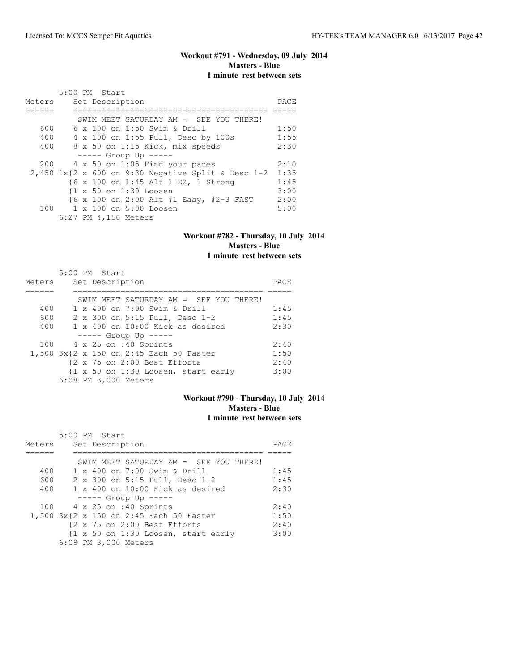#### **Workout #791 - Wednesday, 09 July 2014 Masters - Blue 1 minute rest between sets**

| Meters | 5:00 PM Start<br>Set Description                     | PACE |
|--------|------------------------------------------------------|------|
|        | SWIM MEET SATURDAY AM = SEE YOU THERE!               |      |
| 600    | 6 x 100 on 1:50 Swim & Drill                         | 1:50 |
| 400    | 4 x 100 on 1:55 Pull, Desc by 100s                   | 1:55 |
| 400    | 8 x 50 on 1:15 Kick, mix speeds                      | 2:30 |
|        | $--- $ Group Up $---$                                |      |
| 200    | $4 \times 50$ on 1:05 Find your paces                | 2:10 |
|        | $2,450$ 1x{2 x 600 on 9:30 Negative Split & Desc 1-2 | 1:35 |
|        | {6 x 100 on 1:45 Alt 1 EZ, 1 Strong                  | 1:45 |
|        | {1 x 50 on 1:30 Loosen                               | 3:00 |
|        | {6 x 100 on 2:00 Alt #1 Easy, #2-3 FAST              | 2:00 |
|        | 100 1 x 100 on 5:00 Loosen                           | 5:00 |
|        | 6:27 PM 4,150 Meters                                 |      |

#### **Workout #782 - Thursday, 10 July 2014 Masters - Blue 1 minute rest between sets**

|        | $5:00$ PM Start                           |      |
|--------|-------------------------------------------|------|
| Meters | Set Description                           | PACE |
|        |                                           |      |
|        | SWIM MEET SATURDAY AM $=$ SEE YOU THERE!  |      |
| 400    | 1 x 400 on 7:00 Swim & Drill              | 1:45 |
| 600    | 2 x 300 on 5:15 Pull, Desc 1-2            | 1:45 |
| 400    | $1 \times 400$ on $10:00$ Kick as desired | 2:30 |
|        | $--- $ Group Up $---$                     |      |
|        | 100 4 x 25 on :40 Sprints                 | 2:40 |
|        | 1,500 3x{2 x 150 on 2:45 Each 50 Faster   | 1:50 |
|        | {2 x 75 on 2:00 Best Efforts              | 2:40 |
|        | {1 x 50 on 1:30 Loosen, start early       | 3:00 |
|        | 6:08 PM 3,000 Meters                      |      |

# **Workout #790 - Thursday, 10 July 2014 Masters - Blue 1 minute rest between sets**

|        | $5:00$ PM Start                           |      |
|--------|-------------------------------------------|------|
| Meters | Set Description                           | PACE |
|        |                                           |      |
|        | SWIM MEET SATURDAY AM $=$ SEE YOU THERE!  |      |
| 400    | 1 x 400 on 7:00 Swim & Drill              | 1:45 |
| 600    | 2 x 300 on 5:15 Pull, Desc 1-2            | 1:45 |
| 400    | $1 \times 400$ on $10:00$ Kick as desired | 2:30 |
|        | $--- $ Group Up $--- $                    |      |
|        | 100 4 x 25 on :40 Sprints                 | 2:40 |
|        | 1,500 3x{2 x 150 on 2:45 Each 50 Faster   | 1:50 |
|        | {2 x 75 on 2:00 Best Efforts              | 2:40 |
|        | {1 x 50 on 1:30 Loosen, start early       | 3:00 |
|        | 6:08 PM 3,000 Meters                      |      |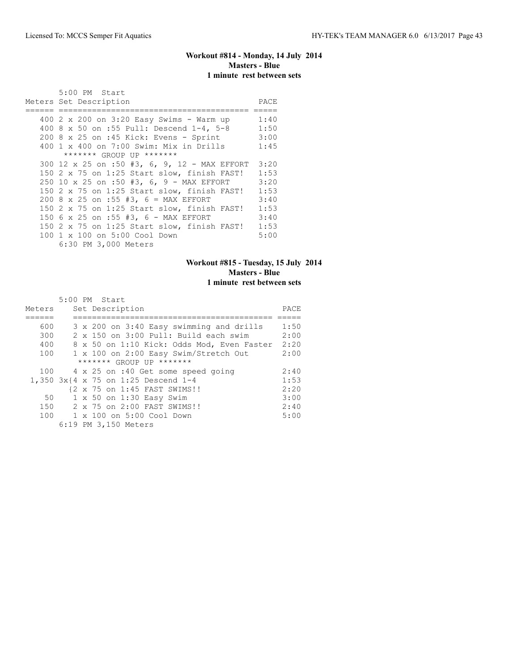# **Workout #814 - Monday, 14 July 2014 Masters - Blue 1 minute rest between sets**

| 5:00 PM Start                                |      |
|----------------------------------------------|------|
| Meters Set Description                       | PACE |
|                                              |      |
| 400 2 x 200 on 3:20 Easy Swims - Warm up     | 1:40 |
| 400 8 x 50 on :55 Pull: Descend 1-4, 5-8     | 1:50 |
| 200 8 x 25 on :45 Kick: Evens - Sprint       | 3:00 |
| 400 1 x 400 on 7:00 Swim: Mix in Drills      | 1:45 |
| ******* GROUP UP *******                     |      |
| 300 12 x 25 on :50 #3, 6, 9, 12 - MAX EFFORT | 3:20 |
| 150 2 x 75 on 1:25 Start slow, finish FAST!  | 1:53 |
| 250 10 x 25 on :50 #3, 6, 9 - MAX EFFORT     | 3:20 |
| 150 2 x 75 on 1:25 Start slow, finish FAST!  | 1:53 |
| 200 8 x 25 on :55 #3, 6 = MAX EFFORT         | 3:40 |
| 150 2 x 75 on 1:25 Start slow, finish FAST!  | 1:53 |
| 150 6 x 25 on :55 #3, 6 - MAX EFFORT         | 3:40 |
| 150 2 x 75 on 1:25 Start slow, finish FAST!  | 1:53 |
| 100 1 x 100 on 5:00 Cool Down                | 5:00 |
| 6:30 PM 3,000 Meters                         |      |

# **Workout #815 - Tuesday, 15 July 2014 Masters - Blue 1 minute rest between sets**

|        | $5:00$ PM Start                                |      |
|--------|------------------------------------------------|------|
| Meters | Set Description                                | PACE |
|        |                                                |      |
| 600    | 3 x 200 on 3:40 Easy swimming and drills       | 1:50 |
| 300    | $2 \times 150$ on $3:00$ Pull: Build each swim | 2:00 |
| 400    | 8 x 50 on 1:10 Kick: Odds Mod, Even Faster     | 2:20 |
| 100    | 1 x 100 on 2:00 Easy Swim/Stretch Out          | 2:00 |
|        | ******* GROUP UP *******                       |      |
|        | 100 4 x 25 on :40 Get some speed going         | 2:40 |
|        | 1,350 3x{4 x 75 on 1:25 Descend 1-4            | 1:53 |
|        | {2 x 75 on 1:45 FAST SWIMS!!                   | 2:20 |
| 50     | 1 x 50 on 1:30 Easy Swim                       | 3:00 |
| 150    | 2 x 75 on 2:00 FAST SWIMS!!                    | 2:40 |
| 100    | 1 x 100 on 5:00 Cool Down                      | 5:00 |
|        | 6:19 PM 3,150 Meters                           |      |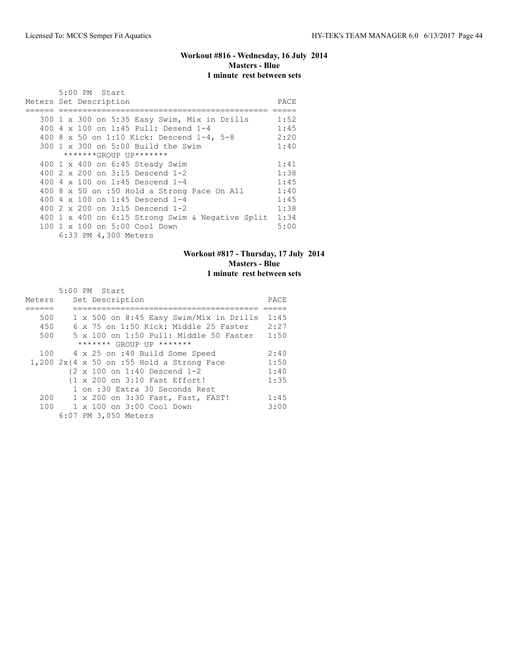#### **Workout #816 - Wednesday, 16 July 2014 Masters - Blue 1 minute rest between sets**

| 5:00 PM Start                                    |      |
|--------------------------------------------------|------|
| Meters Set Description                           | PACE |
|                                                  |      |
| 300 1 x 300 on 5:35 Easy Swim, Mix in Drills     | 1:52 |
| 400 4 x 100 on 1:45 Pull: Desend 1-4             | 1:45 |
| 400 8 x 50 on 1:10 Kick: Descend 1-4, 5-8        | 2:20 |
| $300 \t1 x 300$ on $5:00$ Build the Swim         | 1:40 |
| *******GROUP UP*******                           |      |
| 400 1 x 400 on 6:45 Steady Swim                  | 1:41 |
| 400 $2 \times 200$ on $3:15$ Descend 1-2         | 1:38 |
| 400 4 $\times$ 100 on 1:45 Descend 1-4           | 1:45 |
| 400 8 x 50 on :50 Hold a Strong Pace On All      | 1:40 |
| 400 4 x 100 on 1:45 Descend 1-4                  | 1:45 |
| 400 2 x 200 on 3:15 Descend 1-2                  | 1:38 |
| 400 1 x 400 on 6:15 Strong Swim & Negative Split | 1:34 |
| 100 1 x 100 on 5:00 Cool Down                    | 5:00 |
| 6:33 PM 4,300 Meters                             |      |

# **Workout #817 - Thursday, 17 July 2014 Masters - Blue 1 minute rest between sets**

|        | 5:00 PM Start                                          |      |
|--------|--------------------------------------------------------|------|
| Meters | Set Description                                        | PACE |
|        |                                                        |      |
| 500    | 1 x 500 on 8:45 Easy Swim/Mix in Drills                | 1:45 |
| 450    | $6 \times 75$ on 1:50 Kick: Middle 25 Faster           | 2:27 |
| 500    | 5 x 100 on 1:50 Pull: Middle 50 Faster                 | 1:50 |
|        | ******* GROUP UP *******                               |      |
| 100    | 4 x 25 on :40 Build Some Speed                         | 2:40 |
|        | $1,200$ $2x$ {4 x 50 on :55 Hold a Strong Pace         | 1:50 |
|        | $\{2 \times 100 \text{ on } 1:40 \text{ Descend } 1-2$ | 1:40 |
|        | {1 x 200 on 3:10 Fast Effort!                          | 1:35 |
|        | 1 on :30 Extra 30 Seconds Rest                         |      |
| 200    | 1 x 200 on 3:30 Fast, Fast, FAST!                      | 1:45 |
| 100    | 1 x 100 on 3:00 Cool Down                              | 3:00 |
|        | 6:07 PM 3,050 Meters                                   |      |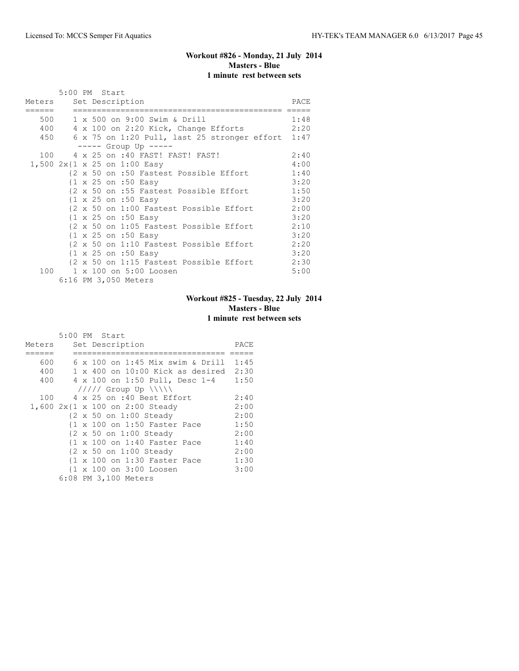# **Workout #826 - Monday, 21 July 2014 Masters - Blue 1 minute rest between sets**

|        | 5:00 PM Start                                                         |      |
|--------|-----------------------------------------------------------------------|------|
| Meters | Set Description                                                       | PACE |
|        |                                                                       |      |
|        | 500 1 x 500 on 9:00 Swim & Drill                                      | 1:48 |
|        | 400 4 x 100 on 2:20 Kick, Change Efforts<br>2:20                      |      |
| 450    | 6 x 75 on 1:20 Pull, last 25 stronger effort 1:47                     |      |
|        | $--- $ Group Up $---$                                                 |      |
|        | 100 4 x 25 on :40 FAST! FAST! FAST!                                   | 2:40 |
|        | 1,500 2x{1 x 25 on 1:00 Easy                                          | 4:00 |
|        | 1:40<br>{2 x 50 on :50 Fastest Possible Effort                        |      |
|        | $\{1 \times 25 \text{ on } : 50 \text{ Easy}\}$                       | 3:20 |
|        | 1:50<br>{2 x 50 on :55 Fastest Possible Effort                        |      |
|        | $\{1 \times 25 \text{ on } : 50 \text{ Easy}\}$                       | 3:20 |
|        | {2 x 50 on 1:00 Fastest Possible Effort 2:00                          |      |
|        | $\{1 \times 25 \text{ on } : 50 \text{ Easy}\}$                       | 3:20 |
|        | 2:10<br>{2 x 50 on 1:05 Fastest Possible Effort                       |      |
|        | $\{1 \times 25 \text{ on } : 50 \text{ Easy}\}$                       | 3:20 |
|        | 2:20<br>{2 x 50 on 1:10 Fastest Possible Effort                       |      |
|        | {1 x 25 on :50 Easy                                                   | 3:20 |
|        | $\{2 \times 50 \text{ on } 1:15 \text{ Fastest Possible Effect}$ 2:30 |      |
|        | 100 1 x 100 on 5:00 Loosen                                            | 5:00 |
|        | 6:16 PM 3,050 Meters                                                  |      |

# **Workout #825 - Tuesday, 22 July 2014 Masters - Blue 1 minute rest between sets**

|        | 5:00 PM Start                             |      |
|--------|-------------------------------------------|------|
| Meters | Set Description                           | PACE |
|        |                                           |      |
| 600    | $6 \times 100$ on 1:45 Mix swim & Drill   | 1:45 |
| 400    | $1 \times 400$ on $10:00$ Kick as desired | 2:30 |
| 400    | 4 x 100 on 1:50 Pull, Desc 1-4            | 1:50 |
|        | $11111$ Group Up $11111$                  |      |
| 100    | 4 x 25 on :40 Best Effort                 | 2:40 |
|        | 1,600 2x{1 x 100 on 2:00 Steady           | 2:00 |
|        | {2 x 50 on 1:00 Steady                    | 2:00 |
|        | {1 x 100 on 1:50 Faster Pace              | 1:50 |
|        | {2 x 50 on 1:00 Steady                    | 2:00 |
|        | {1 x 100 on 1:40 Faster Pace              | 1:40 |
|        | {2 x 50 on 1:00 Steady                    | 2:00 |
|        | {1 x 100 on 1:30 Faster Pace              | 1:30 |
|        | {1 x 100 on 3:00 Loosen                   | 3:00 |
|        | 6:08 PM 3,100 Meters                      |      |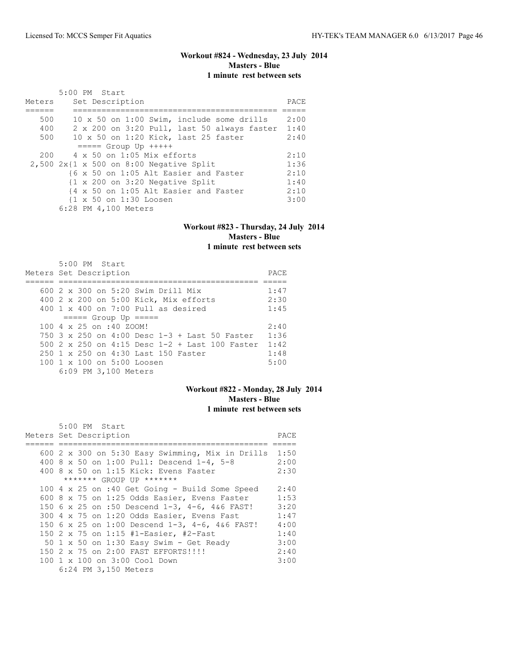# **Workout #824 - Wednesday, 23 July 2014 Masters - Blue 1 minute rest between sets**

|        | 5:00 PM Start                                              |      |
|--------|------------------------------------------------------------|------|
| Meters | Set Description                                            | PACE |
|        |                                                            |      |
| 500    | 10 x 50 on 1:00 Swim, include some drills                  | 2:00 |
| 400    | 2 x 200 on 3:20 Pull, last 50 always faster 1:40           |      |
| 500    | 10 x 50 on 1:20 Kick, last 25 faster                       | 2:40 |
|        | $====$ Group Up $++++$                                     |      |
| 200    | $4 \times 50$ on 1:05 Mix efforts                          | 2:10 |
|        | $2,500$ 2x{1 x 500 on 8:00 Negative Split                  | 1:36 |
|        | {6 x 50 on 1:05 Alt Easier and Faster                      | 2:10 |
|        | $\{1 \times 200 \text{ on } 3:20 \text{ Negative Split}\}$ | 1:40 |
|        | {4 x 50 on 1:05 Alt Easier and Faster                      | 2:10 |
|        | {1 x 50 on 1:30 Loosen                                     | 3:00 |
|        | 6:28 PM 4,100 Meters                                       |      |

#### **Workout #823 - Thursday, 24 July 2014 Masters - Blue 1 minute rest between sets**

|  | $5:00$ PM Start<br>Meters Set Description              | PACE |
|--|--------------------------------------------------------|------|
|  |                                                        |      |
|  | 600 2 x 300 on 5:20 Swim Drill Mix                     | 1:47 |
|  | 400 2 x 200 on 5:00 Kick, Mix efforts                  | 2:30 |
|  | $400 \t 1 \t x \t 400$ on 7:00 Pull as desired         | 1:45 |
|  | $== == $ Group Up $== == $                             |      |
|  | 100 4 x 25 on :40 ZOOM!                                | 2:40 |
|  | $750$ 3 x 250 on 4:00 Desc 1-3 + Last 50 Faster        | 1:36 |
|  | 500 $2 \times 250$ on 4:15 Desc 1-2 + Last 100 Faster  | 1:42 |
|  | 250 1 x 250 on 4:30 Last 150 Faster                    | 1:48 |
|  | $100 \text{ 1 x } 100 \text{ on } 5:00 \text{ Loosen}$ | 5:00 |
|  | 6:09 PM 3,100 Meters                                   |      |

# **Workout #822 - Monday, 28 July 2014 Masters - Blue 1 minute rest between sets**

| $5:00$ PM Start                                  |      |
|--------------------------------------------------|------|
| Meters Set Description                           | PACE |
|                                                  |      |
| 600 2 x 300 on 5:30 Easy Swimming, Mix in Drills | 1:50 |
| 400 8 x 50 on 1:00 Pull: Descend 1-4, 5-8        | 2:00 |
| 400 8 x 50 on 1:15 Kick: Evens Faster            | 2:30 |
| ******* GROUP UP *******                         |      |
| 100 4 x 25 on :40 Get Going - Build Some Speed   | 2:40 |
| 600 8 x 75 on 1:25 Odds Easier, Evens Faster     | 1:53 |
| 150 6 x 25 on :50 Descend 1-3, 4-6, 4&6 FAST!    | 3:20 |
| 300 4 x 75 on 1:20 Odds Easier, Evens Fast       | 1:47 |
| 150 6 x 25 on 1:00 Descend 1-3, 4-6, 4&6 FAST!   | 4:00 |
| 150 2 x 75 on 1:15 #1-Easier, #2-Fast            | 1:40 |
| 50 $1 \times 50$ on 1:30 Easy Swim - Get Ready   | 3:00 |
| 150 2 x 75 on 2:00 FAST EFFORTS!!!!              | 2:40 |
| 100 1 x 100 on 3:00 Cool Down                    | 3:00 |
| 6:24 PM 3,150 Meters                             |      |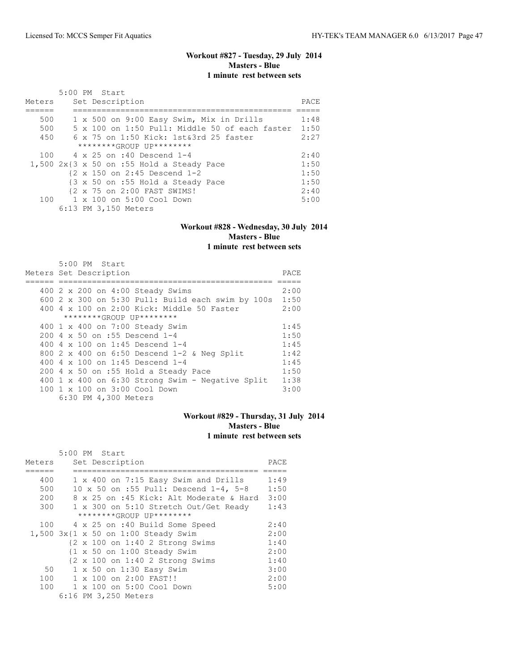# **Workout #827 - Tuesday, 29 July 2014 Masters - Blue 1 minute rest between sets**

| Meters | 5:00 PM Start<br>Set Description                       | PACE |
|--------|--------------------------------------------------------|------|
|        |                                                        |      |
| 500    | 1 x 500 on 9:00 Easy Swim, Mix in Drills               | 1:48 |
| 500    | 5 x 100 on 1:50 Pull: Middle 50 of each faster         | 1:50 |
| 450    | $6 \times 75$ on 1:50 Kick: 1st&3rd 25 faster          | 2:27 |
|        | ********GROUP UP********                               |      |
| 100    | 4 x 25 on :40 Descend 1-4                              | 2:40 |
|        | $1,500$ $2x13$ x 50 on :55 Hold a Steady Pace          | 1:50 |
|        | $\{2 \times 150 \text{ on } 2:45 \text{ Descend } 1-2$ | 1:50 |
|        | {3 x 50 on :55 Hold a Steady Pace                      | 1:50 |
|        | {2 x 75 on 2:00 FAST SWIMS!                            | 2:40 |
| 100    | 1 x 100 on 5:00 Cool Down                              | 5:00 |
|        | 6:13 PM 3,150 Meters                                   |      |

#### **Workout #828 - Wednesday, 30 July 2014 Masters - Blue 1 minute rest between sets**

| $5:00$ PM Start                                        |      |
|--------------------------------------------------------|------|
| Meters Set Description                                 | PACE |
|                                                        |      |
| 400 2 x 200 on 4:00 Steady Swims                       | 2:00 |
| 600 2 x 300 on 5:30 Pull: Build each swim by 100s 1:50 |      |
| 400 4 x 100 on 2:00 Kick: Middle 50 Faster             | 2:00 |
| ********GROUP UP********                               |      |
| 400 1 x 400 on 7:00 Steady Swim                        | 1:45 |
| 200 4 x 50 on :55 Descend 1-4                          | 1:50 |
| 400 4 x 100 on 1:45 Descend 1-4                        | 1:45 |
| 800 2 x 400 on 6:50 Descend 1-2 & Neg Split            | 1:42 |
| 400 4 $\times$ 100 on 1:45 Descend 1-4                 | 1:45 |
| 200 4 x 50 on :55 Hold a Steady Pace                   | 1:50 |
| 400 1 x 400 on $6:30$ Strong Swim - Negative Split     | 1:38 |
| 100 1 x 100 on 3:00 Cool Down                          | 3:00 |
| 6:30 PM 4,300 Meters                                   |      |

# **Workout #829 - Thursday, 31 July 2014 Masters - Blue 1 minute rest between sets**

|        | 5:00 PM Start                                                    |      |
|--------|------------------------------------------------------------------|------|
| Meters | Set Description                                                  | PACE |
|        |                                                                  |      |
| 400    | 1 x 400 on 7:15 Easy Swim and Drills                             | 1:49 |
| 500    | 10 x 50 on :55 Pull: Descend 1-4, 5-8                            | 1:50 |
| 200    | 8 x 25 on :45 Kick: Alt Moderate & Hard                          | 3:00 |
| 300    | 1 x 300 on 5:10 Stretch Out/Get Ready                            | 1:43 |
|        | ********GROUP UP********                                         |      |
| 100    | 4 x 25 on :40 Build Some Speed                                   | 2:40 |
|        | $1,500$ $3x$ {1 x 50 on 1:00 Steady Swim                         | 2:00 |
|        | {2 x 100 on 1:40 2 Strong Swims                                  | 1:40 |
|        | $\{1 \times 50 \text{ on } 1:00 \text{ Steady Swim}\}$           | 2:00 |
|        | $\{2 \times 100 \text{ on } 1:402 \text{ Strong} \text{Swims}\}$ | 1:40 |
| 50     | $1 \times 50$ on $1:30$ Easy Swim                                | 3:00 |
| 100    | $1 \times 100$ on $2:00$ FAST!!                                  | 2:00 |
| 100    | 1 x 100 on 5:00 Cool Down                                        | 5:00 |
|        | 6:16 PM 3,250 Meters                                             |      |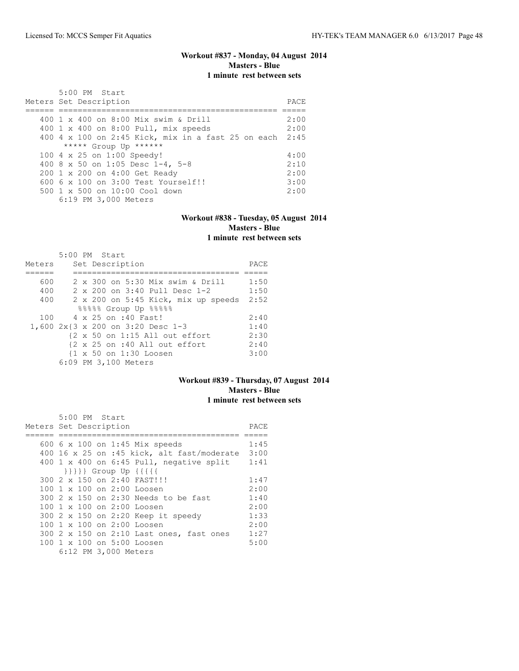# **Workout #837 - Monday, 04 August 2014 Masters - Blue 1 minute rest between sets**

| 5:00 PM Start<br>Meters Set Description              | PACE. |
|------------------------------------------------------|-------|
| 400 1 x 400 on 8:00 Mix swim & Drill                 | 2:00  |
| 400 1 x 400 on 8:00 Pull, mix speeds                 | 2:00  |
|                                                      |       |
| $400$ 4 x 100 on 2:45 Kick, mix in a fast 25 on each | 2:45  |
| ***** Group Up ******                                |       |
| 100 4 x 25 on 1:00 Speedy!                           | 4:00  |
| 400 8 x 50 on 1:05 Desc 1-4, 5-8                     | 2:10  |
| 200 1 x 200 on 4:00 Get Ready                        | 2:00  |
| $6006 \times 100$ on $3:00$ Test Yourself!!          | 3:00  |
| $500 \t 1 \t x \t 500$ on $10:00$ Cool down          | 2:00  |
| 6:19 PM 3,000 Meters                                 |       |

#### **Workout #838 - Tuesday, 05 August 2014 Masters - Blue 1 minute rest between sets**

|        |  | 5:00 PM Start                                             |      |
|--------|--|-----------------------------------------------------------|------|
| Meters |  | Set Description                                           | PACE |
|        |  |                                                           |      |
| 600    |  | 2 x 300 on 5:30 Mix swim & Drill                          | 1:50 |
| 400    |  | 2 x 200 on 3:40 Pull Desc 1-2                             | 1:50 |
| 400    |  | 2 x 200 on 5:45 Kick, mix up speeds                       | 2:52 |
|        |  | 88888 Group Up 88888                                      |      |
| 100    |  | 4 x 25 on :40 Fast!                                       | 2:40 |
|        |  | 1,600 2x{3 x 200 on 3:20 Desc 1-3                         | 1:40 |
|        |  | $\{2 \times 50 \text{ on } 1:15 \text{ All out effort}\}$ | 2:30 |
|        |  | {2 x 25 on :40 All out effort                             | 2:40 |
|        |  | {1 x 50 on 1:30 Loosen                                    | 3:00 |
|        |  | 6:09 PM 3,100 Meters                                      |      |

### **Workout #839 - Thursday, 07 August 2014 Masters - Blue 1 minute rest between sets**

| 5:00 PM Start                                   |      |
|-------------------------------------------------|------|
| Meters Set Description                          | PACE |
|                                                 |      |
| 600 6 x 100 on 1:45 Mix speeds                  | 1:45 |
| 400 16 x 25 on :45 kick, alt fast/moderate 3:00 |      |
| 400 1 x 400 on 6:45 Pull, negative split        | 1:41 |
| }}}} Group Up {{{{{                             |      |
| 300 2 x 150 on 2:40 FAST!!!                     | 1:47 |
| 100 1 x 100 on 2:00 Loosen                      | 2:00 |
| 300 2 x 150 on 2:30 Needs to be fast            | 1:40 |
| 100 1 x 100 on 2:00 Loosen                      | 2:00 |
| 300 2 x 150 on 2:20 Keep it speedy              | 1:33 |
| 100 1 x 100 on 2:00 Loosen                      | 2:00 |
| 300 2 x 150 on 2:10 Last ones, fast ones        | 1:27 |
| $100 \t 1 \t x \t 100$ on 5:00 Loosen           | 5:00 |
| 6:12 PM 3,000 Meters                            |      |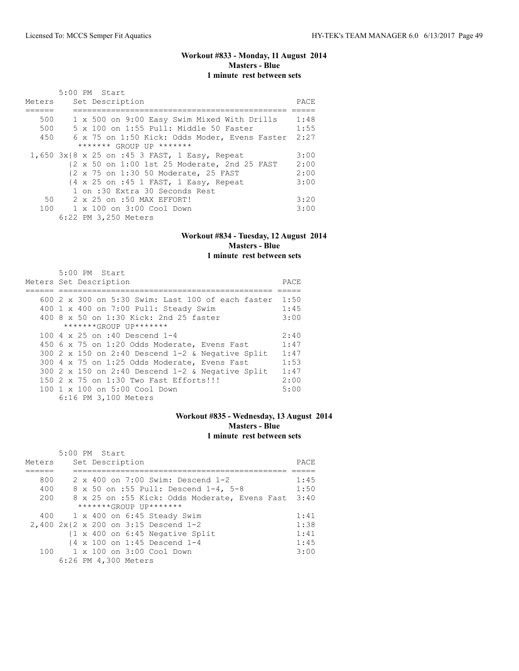# **Workout #833 - Monday, 11 August 2014 Masters - Blue 1 minute rest between sets**

| Meters | 5:00 PM Start<br>Set Description              | PACE |
|--------|-----------------------------------------------|------|
| 500    | 1 x 500 on 9:00 Easy Swim Mixed With Drills   | 1:48 |
| 500    | 5 x 100 on 1:55 Pull: Middle 50 Faster        | 1:55 |
| 450    | 6 x 75 on 1:50 Kick: Odds Moder, Evens Faster | 2:27 |
|        | ******* GROUP UP *******                      |      |
|        | 1,650 3x{8 x 25 on :45 3 FAST, 1 Easy, Repeat | 3:00 |
|        | {2 x 50 on 1:00 1st 25 Moderate, 2nd 25 FAST  | 2:00 |
|        | {2 x 75 on 1:30 50 Moderate, 25 FAST          | 2:00 |
|        | {4 x 25 on :45 1 FAST, 1 Easy, Repeat         | 3:00 |
|        | 1 on :30 Extra 30 Seconds Rest                |      |
| 50     | 2 x 25 on :50 MAX EFFORT!                     | 3:20 |
|        | 100 1 x 100 on 3:00 Cool Down                 | 3:00 |
|        | 6:22 PM 3,250 Meters                          |      |

#### **Workout #834 - Tuesday, 12 August 2014 Masters - Blue 1 minute rest between sets**

| 5:00 PM Start                                            |      |
|----------------------------------------------------------|------|
| Meters Set Description                                   | PACE |
|                                                          |      |
| 600 $2 \times 300$ on 5:30 Swim: Last 100 of each faster | 1:50 |
| 400 1 x 400 on 7:00 Pull: Steady Swim                    | 1:45 |
| 400 8 x 50 on 1:30 Kick: 2nd 25 faster                   | 3:00 |
| *******GROUP UP*******                                   |      |
| 100 4 x 25 on :40 Descend 1-4                            | 2:40 |
| 450 6 x 75 on 1:20 Odds Moderate, Evens Fast             | 1:47 |
| 300 2 x 150 on 2:40 Descend $1-2$ & Negative Split       | 1:47 |
| 300 4 x 75 on 1:25 Odds Moderate, Evens Fast             | 1:53 |
| 300 2 x 150 on 2:40 Descend $1-2$ & Negative Split       | 1:47 |
| 150 2 x 75 on 1:30 Two Fast Efforts!!!                   | 2:00 |
| 100 1 x 100 on 5:00 Cool Down                            | 5:00 |
| 6:16 PM 3,100 Meters                                     |      |

#### **Workout #835 - Wednesday, 13 August 2014 Masters - Blue 1 minute rest between sets**

|        |  | 5:00 PM Start |                                                            |      |
|--------|--|---------------|------------------------------------------------------------|------|
| Meters |  |               | Set Description                                            | PACE |
|        |  |               |                                                            |      |
| 800    |  |               | $2 \times 400$ on $7:00$ Swim: Descend 1-2                 | 1:45 |
| 400    |  |               | 8 x 50 on :55 Pull: Descend 1-4, 5-8                       | 1:50 |
| 200    |  |               | 8 x 25 on :55 Kick: Odds Moderate, Evens Fast              | 3:40 |
|        |  |               | *******GROUP UP*******                                     |      |
|        |  |               | 400 1 x 400 on 6:45 Steady Swim                            | 1:41 |
|        |  |               | 2,400 2x{2 x 200 on 3:15 Descend 1-2                       | 1:38 |
|        |  |               | $\{1 \times 400 \text{ on } 6:45 \text{ Negative Split}\}$ | 1:41 |
|        |  |               | $\{4 \times 100 \text{ on } 1:45 \text{ Descend } 1-4$     | 1:45 |
|        |  |               | 100    1 x 100    0n    3:00    Cool    Down               | 3:00 |
|        |  |               | 6:26 PM 4,300 Meters                                       |      |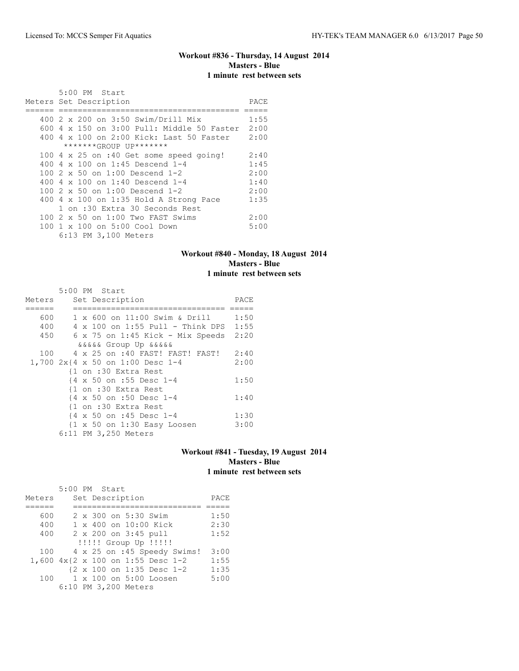# **Workout #836 - Thursday, 14 August 2014 Masters - Blue 1 minute rest between sets**

| 5:00 PM Start                                 |      |
|-----------------------------------------------|------|
| Meters Set Description                        | PACE |
|                                               |      |
| 400 2 x 200 on 3:50 Swim/Drill Mix            | 1:55 |
| 600 4 x 150 on 3:00 Pull: Middle 50 Faster    | 2:00 |
| 400 4 x 100 on 2:00 Kick: Last 50 Faster      | 2:00 |
| *******GROUP UP*******                        |      |
| 100 4 x 25 on :40 Get some speed going!       | 2:40 |
| 400 4 x 100 on 1:45 Descend 1-4               | 1:45 |
| 100 $2 \times 50$ on 1:00 Descend 1-2         | 2:00 |
| 400 4 $\times$ 100 on 1:40 Descend 1-4        | 1:40 |
| 100 $2 \times 50$ on 1:00 Descend 1-2         | 2:00 |
| 400 $4 \times 100$ on 1:35 Hold A Strong Pace | 1:35 |
| 1 on :30 Extra 30 Seconds Rest                |      |
| $100.2 \times 50$ on $1:00$ Two FAST Swims    | 2:00 |
| 100 1 x 100 on 5:00 Cool Down                 | 5:00 |
| 6:13 PM 3,100 Meters                          |      |

#### **Workout #840 - Monday, 18 August 2014 Masters - Blue 1 minute rest between sets**

|        | $5:00$ PM Start                                        |      |
|--------|--------------------------------------------------------|------|
| Meters | Set Description                                        | PACE |
|        |                                                        |      |
| 600    | 1 x 600 on 11:00 Swim & Drill                          | 1:50 |
| 400    | $4 \times 100$ on 1:55 Pull - Think DPS 1:55           |      |
| 450    | $6 \times 75$ on $1:45$ Kick - Mix Speeds              | 2:20 |
|        | <i>aaaaa</i> Group Up aaaaa                            |      |
| 100    | 4 x 25 on :40 FAST! FAST! FAST!                        | 2:40 |
|        | 1,700 2x{4 x 50 on 1:00 Desc 1-4                       | 2:00 |
|        | {1 on :30 Extra Rest                                   |      |
|        | {4 x 50 on :55 Desc 1-4                                | 1:50 |
|        | {1 on :30 Extra Rest                                   |      |
|        | {4 x 50 on :50 Desc 1-4                                | 1:40 |
|        | {1 on :30 Extra Rest                                   |      |
|        | {4 x 50 on :45 Desc 1-4                                | 1:30 |
|        | $\{1 \times 50 \text{ on } 1:30 \text{ Easy Loosen}\}$ | 3:00 |
|        | 6:11 PM 3,250 Meters                                   |      |

# **Workout #841 - Tuesday, 19 August 2014 Masters - Blue 1 minute rest between sets**

|        | 5:00 PM Start                     |      |
|--------|-----------------------------------|------|
| Meters | Set Description                   | PACE |
|        |                                   |      |
| 600    | 2 x 300 on 5:30 Swim              | 1:50 |
| 400    | 1 x 400 on 10:00 Kick             | 2:30 |
| 400    | 2 x 200 on 3:45 pull              | 1:52 |
|        | !!!!! Group Up !!!!!              |      |
| 100    | 4 x 25 on :45 Speedy Swims!       | 3:00 |
|        | 1,600 4x{2 x 100 on 1:55 Desc 1-2 | 1:55 |
|        | {2 x 100 on 1:35 Desc 1-2         | 1:35 |
| 100    | 1 x 100 on 5:00 Loosen            | 5:00 |
|        | 6:10 PM 3,200 Meters              |      |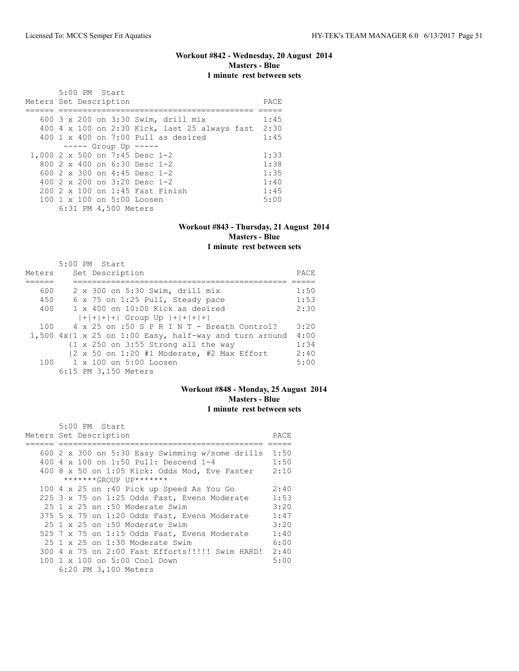# **Workout #842 - Wednesday, 20 August 2014 Masters - Blue 1 minute rest between sets**

| Meters Set Description |  | 5:00 PM Start |                      |                                                    | PACE |
|------------------------|--|---------------|----------------------|----------------------------------------------------|------|
|                        |  |               |                      | 600 3 x 200 on 3:30 Swim, drill mix                | 1:45 |
|                        |  |               |                      | 400 4 x 100 on 2:30 Kick, last 25 always fast 2:30 |      |
|                        |  |               |                      | $400 \t 1 \t x \t 400$ on $7:00$ Pull as desired   | 1:45 |
|                        |  |               |                      | $--- $ Group Up $--- $                             |      |
|                        |  |               |                      | 1,000 2 x 500 on 7:45 Desc 1-2                     | 1:33 |
|                        |  |               |                      | 800 $2 \times 400$ on 6:30 Desc 1-2                | 1:38 |
|                        |  |               |                      | 600 2 x 300 on 4:45 Desc 1-2                       | 1:35 |
|                        |  |               |                      | 400 $2 \times 200$ on $3:20$ Desc 1-2              | 1:40 |
|                        |  |               |                      | 200 2 x 100 on 1:45 Fast Finish                    | 1:45 |
|                        |  |               |                      | 100 1 x 100 on 5:00 Loosen                         | 5:00 |
|                        |  |               | 6:31 PM 4,500 Meters |                                                    |      |

#### **Workout #843 - Thursday, 21 August 2014 Masters - Blue 1 minute rest between sets**

|        | 5:00 PM Start                                                                             |      |
|--------|-------------------------------------------------------------------------------------------|------|
| Meters | Set Description                                                                           | PACE |
|        |                                                                                           |      |
| 600    | 2 x 300 on 5:30 Swim, drill mix                                                           | 1:50 |
| 450    | 6 x 75 on 1:25 Pull, Steady pace                                                          | 1:53 |
| 400    | $1 \times 400$ on $10:00$ Kick as desired                                                 | 2:30 |
|        | $ + + + + $ Group Up $ + + + + $                                                          |      |
| 100    | $4 \times 25$ on :50 S P R I N T - Breath Control?                                        | 3:20 |
|        | 1,500 $4x$ {1 x 25 on 1:00 Easy, half-way and turn around                                 | 4:00 |
|        | $\{1 \times 250 \text{ on } 3:55 \text{ Strong all the way}\$                             | 1:34 |
|        | $\{2 \times 50 \text{ on } 1:20 \text{ } \#1 \text{ Moderate, } \#2 \text{ Max Effect}\}$ | 2:40 |
| 100    | 1 x 100 on 5:00 Loosen                                                                    | 5:00 |
|        | 6:15 PM 3,150 Meters                                                                      |      |

# **Workout #848 - Monday, 25 August 2014 Masters - Blue 1 minute rest between sets**

| 5:00 PM Start                                        |      |
|------------------------------------------------------|------|
| Meters Set Description                               | PACE |
|                                                      |      |
| 600 2 x 300 on 5:30 Easy Swimming w/some drills 1:50 |      |
| 400 4 x 100 on 1:50 Pull: Descend 1-4                | 1:50 |
| $400$ 8 x 50 on 1:05 Kick: Odds Mod, Eve Faster      | 2:10 |
| *******GROUP UP*******                               |      |
| 100 4 x 25 on :40 Pick up Speed As You Go            | 2:40 |
| 225 3 x 75 on 1:25 Odds Fast, Evens Moderate         | 1:53 |
| $25 \t1 x 25$ on :50 Moderate Swim                   | 3:20 |
| 375 5 x 75 on 1:20 Odds Fast, Evens Moderate         | 1:47 |
| 25 1 x 25 on :50 Moderate Swim                       | 3:20 |
| 525 7 x 75 on 1:15 Odds Fast, Evens Moderate         | 1:40 |
| $25 \t1 x 25$ on 1:30 Moderate Swim                  | 6:00 |
| 300 4 x 75 on 2:00 Fast Efforts!!!!! Swim HARD! 2:40 |      |
| 100 1 x 100 on 5:00 Cool Down                        | 5:00 |
| 6:20 PM 3,100 Meters                                 |      |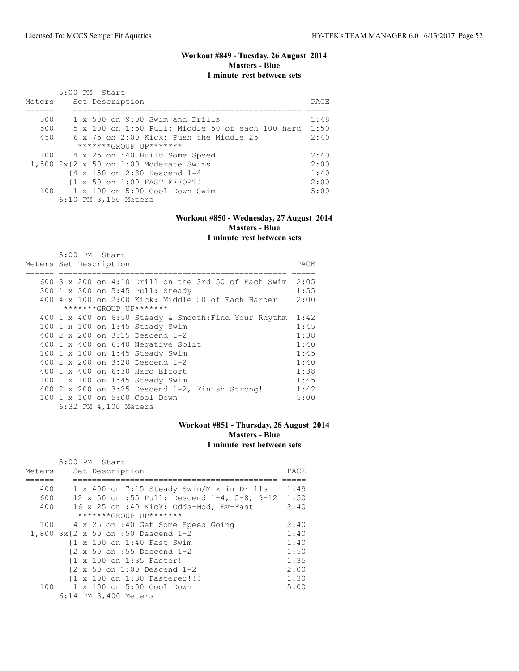5:00 PM Start

# **Workout #849 - Tuesday, 26 August 2014 Masters - Blue 1 minute rest between sets**

| Meters | 5:00 PM Start<br>Set Description                       | PACE |
|--------|--------------------------------------------------------|------|
| 500    | $1 \times 500$ on 9:00 Swim and Drills                 | 1:48 |
| 500    | 5 x 100 on 1:50 Pull: Middle 50 of each 100 hard       | 1:50 |
| 450    | 6 x 75 on 2:00 Kick: Push the Middle 25                | 2:40 |
|        | $******GROUP$ $IP*******$                              |      |
|        | 100 4 x 25 on :40 Build Some Speed                     | 2:40 |
|        | $1,500$ $2x{2x50}$ on $1:00$ Moderate Swims            | 2:00 |
|        | $\{4 \times 150 \text{ on } 2:30 \text{ Descend } 1-4$ | 1:40 |
|        | {1 x 50 on 1:00 FAST EFFORT!                           | 2:00 |
| 100    | $1 \times 100$ on $5:00$ Cool Down Swim                | 5:00 |
|        | 6:10 PM 3,150 Meters                                   |      |

#### **Workout #850 - Wednesday, 27 August 2014 Masters - Blue 1 minute rest between sets**

| Meters Set Description |  |  |                      |                                                                |      |  |  |
|------------------------|--|--|----------------------|----------------------------------------------------------------|------|--|--|
|                        |  |  |                      |                                                                |      |  |  |
|                        |  |  |                      | 600 3 x 200 on 4:10 Drill on the 3rd 50 of Each Swim           | 2:05 |  |  |
|                        |  |  |                      | 300 1 x 300 on 5:45 Pull: Steady                               | 1:55 |  |  |
|                        |  |  |                      | $400\,$ 4 x $100\,$ on $2:00\,$ Kick: Middle 50 of Each Harder | 2:00 |  |  |
|                        |  |  |                      | *******GROUP UP*******                                         |      |  |  |
|                        |  |  |                      | 400 1 x 400 on 6:50 Steady & Smooth: Find Your Rhythm          | 1:42 |  |  |
|                        |  |  |                      | 100 1 x 100 on 1:45 Steady Swim                                | 1:45 |  |  |
|                        |  |  |                      | 400 2 x 200 on 3:15 Descend 1-2                                | 1:38 |  |  |
|                        |  |  |                      | $400$ 1 x $400$ on $6:40$ Negative Split                       | 1:40 |  |  |
|                        |  |  |                      | 100 1 x 100 on 1:45 Steady Swim                                | 1:45 |  |  |
|                        |  |  |                      | 400 2 x 200 on 3:20 Descend 1-2                                | 1:40 |  |  |
|                        |  |  |                      | 400 1 x 400 on 6:30 Hard Effort                                | 1:38 |  |  |
|                        |  |  |                      | 100 1 x 100 on 1:45 Steady Swim                                | 1:45 |  |  |
|                        |  |  |                      | 400 2 x 200 on 3:25 Descend 1-2, Finish Strong!                | 1:42 |  |  |
|                        |  |  |                      | 100 1 x 100 on 5:00 Cool Down                                  | 5:00 |  |  |
|                        |  |  | 6:32 PM 4,100 Meters |                                                                |      |  |  |

#### **Workout #851 - Thursday, 28 August 2014 Masters - Blue 1 minute rest between sets**

|        | 5:00 PM Start                                       |      |  |  |  |  |  |
|--------|-----------------------------------------------------|------|--|--|--|--|--|
| Meters | Set Description                                     |      |  |  |  |  |  |
|        |                                                     |      |  |  |  |  |  |
| 400    | 1 x 400 on 7:15 Steady Swim/Mix in Drills           | 1:49 |  |  |  |  |  |
| 600    | 12 x 50 on :55 Pull: Descend $1-4$ , 5-8, 9-12 1:50 |      |  |  |  |  |  |
| 400    | 16 x 25 on :40 Kick: Odds-Mod, Ev-Fast              | 2:40 |  |  |  |  |  |
|        | *******GROUP UP*******                              |      |  |  |  |  |  |
| 100    | 4 x 25 on :40 Get Some Speed Going                  | 2:40 |  |  |  |  |  |
|        | 1,800 3x{2 x 50 on :50 Descend 1-2                  | 1:40 |  |  |  |  |  |
|        | {1 x 100 on 1:40 Fast Swim                          | 1:40 |  |  |  |  |  |
|        | {2 x 50 on :55 Descend 1-2                          | 1:50 |  |  |  |  |  |
|        | {1 x 100 on 1:35 Faster!                            | 1:35 |  |  |  |  |  |
|        | {2 x 50 on 1:00 Descend 1-2                         | 2:00 |  |  |  |  |  |
|        | {1 x 100 on 1:30 Fasterer!!!                        | 1:30 |  |  |  |  |  |
|        | 100 1 x 100 on 5:00 Cool Down                       | 5:00 |  |  |  |  |  |
|        | 6:14 PM 3,400 Meters                                |      |  |  |  |  |  |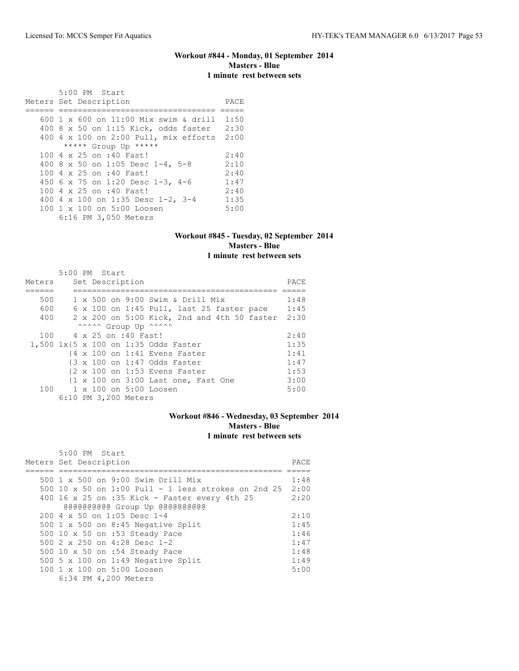#### **Workout #844 - Monday, 01 September 2014 Masters - Blue 1 minute rest between sets**

 5:00 PM Start Meters Set Description PACE ====== ================================= ===== 600 1 x 600 on 11:00 Mix swim & drill 1:50 400 8 x 50 on 1:15 Kick, odds faster 2:30 400 4 x 100 on 2:00 Pull, mix efforts 2:00 \*\*\*\*\* Group Up \*\*\*\*\* 100 4 x 25 on :40 Fast! 2:40<br>400 8 x 50 on 1:05 Desc 1-4, 5-8 2:10 400 8 x 50 on 1:05 Desc 1-4, 5-8 2:10<br>100 4 x 25 on :40 Fast! 2:40 100 4 x 25 on :40 Fast! 2:40<br>450 6 x 75 on 1:20 Desc 1-3, 4-6 1:47 450 6 x 75 on 1:20 Desc 1-3, 4-6 1:47<br>100 4 x 25 on :40 Fast! 2:40 100 4 x 25 on :40 Fast! 2:40<br>400 4 x 100 on 1:35 Desc 1-2, 3-4 1:35 400 4 x 100 on 1:35 Desc 1-2, 3-4 1:35<br>100 1 x 100 on 5:00 Loosen 5:00 100 1 x 100 on 5:00 Loosen 6:16 PM 3,050 Meters

#### **Workout #845 - Tuesday, 02 September 2014 Masters - Blue 1 minute rest between sets**

|        | 5:00 PM Start |  |                      |                                                  |      |
|--------|---------------|--|----------------------|--------------------------------------------------|------|
| Meters |               |  | Set Description      |                                                  | PACE |
|        |               |  |                      |                                                  |      |
| 500    |               |  |                      | $1 \times 500$ on 9:00 Swim & Drill Mix          | 1:48 |
| 600    |               |  |                      | $6 \times 100$ on 1:45 Pull, last 25 faster pace | 1:45 |
| 400    |               |  |                      | 2 x 200 on 5:00 Kick, 2nd and 4th 50 faster 2:30 |      |
|        |               |  |                      | ^^^^^^ Group Up ^^^^^^                           |      |
| 100    |               |  | 4 x 25 on :40 Fast!  |                                                  | 2:40 |
|        |               |  |                      | 1,500 1x{5 x 100 on 1:35 Odds Faster             | 1:35 |
|        |               |  |                      | {4 x 100 on 1:41 Evens Faster                    | 1:41 |
|        |               |  |                      | {3 x 100 on 1:47 Odds Faster                     | 1:47 |
|        |               |  |                      | {2 x 100 on 1:53 Evens Faster                    | 1:53 |
|        |               |  |                      | {1 x 100 on 3:00 Last one, Fast One              | 3:00 |
| 100    |               |  |                      | 1 x 100 on 5:00 Loosen                           | 5:00 |
|        |               |  | 6:10 PM 3,200 Meters |                                                  |      |

#### **Workout #846 - Wednesday, 03 September 2014 Masters - Blue 1 minute rest between sets**

| 5:00 PM Start<br>Meters Set Description                  | PACE |
|----------------------------------------------------------|------|
|                                                          |      |
| 500 1 x 500 on 9:00 Swim Drill Mix                       | 1:48 |
| 500 10 x 50 on 1:00 Pull - 1 less strokes on 2nd 25 2:00 |      |
| 400 16 x 25 on :35 Kick - Faster every 4th 25            | 2:20 |
| GGGGGGGGGG Group Up GGGGGGGGGGG                          |      |
| $200 \text{ } 4 \text{ } \times 50$ on 1:05 Desc 1-4     | 2:10 |
| 500 $1 \times 500$ on 8:45 Negative Split                | 1:45 |
| 500 10 x 50 on :53 Steady Pace                           | 1:46 |
| 500 2 x 250 on 4:28 Desc 1-2                             | 1:47 |
| 500 10 x 50 on :54 Steady Pace                           | 1:48 |
| 500 5 x 100 on 1:49 Negative Split                       | 1:49 |
| 100 1 x 100 on 5:00 Loosen                               | 5:00 |
| 6:34 PM 4,200 Meters                                     |      |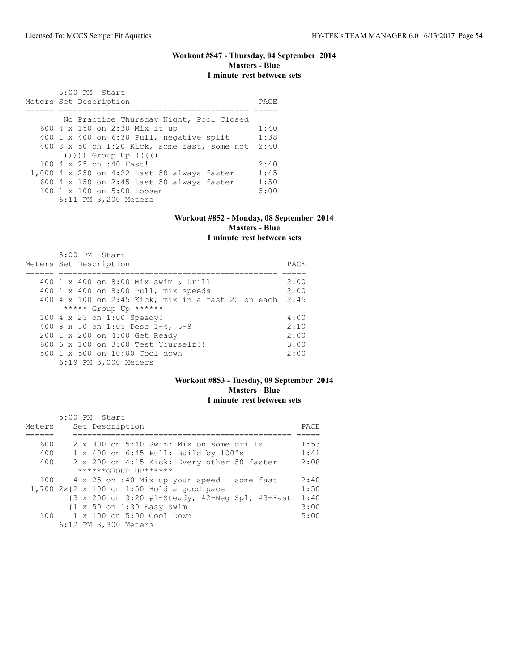# **Workout #847 - Thursday, 04 September 2014 Masters - Blue 1 minute rest between sets**

| 5:00 PM Start<br>Meters Set Description                                                                                                                                                                                      | PACE |
|------------------------------------------------------------------------------------------------------------------------------------------------------------------------------------------------------------------------------|------|
| No Practice Thursday Night, Pool Closed                                                                                                                                                                                      |      |
| 600 4 x 150 on 2:30 Mix it up                                                                                                                                                                                                | 1:40 |
| 400 1 x 400 on 6:30 Pull, negative split                                                                                                                                                                                     | 1:38 |
| 400 8 x 50 on 1:20 Kick, some fast, some not                                                                                                                                                                                 | 2:40 |
| $($ $($ $($ $($ $($ $($ $))$ $)$ $)$ $($ $)$ $($ $)$ $($ $)$ $($ $)$ $($ $)$ $($ $)$ $($ $)$ $($ $)$ $($ $)$ $($ $)$ $($ $)$ $($ $)$ $($ $)$ $($ $)$ $($ $)$ $($ $)$ $($ $)$ $($ $)$ $($ $)$ $($ $)$ $($ $)$ $($ $)$ $($ $)$ |      |
| 100 4 x 25 on :40 Fast!                                                                                                                                                                                                      | 2:40 |
| 1,000 4 x 250 on 4:22 Last 50 always faster                                                                                                                                                                                  | 1:45 |
| 600 4 x 150 on 2:45 Last 50 always faster                                                                                                                                                                                    | 1:50 |
| 100 1 x 100 on 5:00 Loosen                                                                                                                                                                                                   | 5:00 |
| 6:11 PM 3,200 Meters                                                                                                                                                                                                         |      |

# **Workout #852 - Monday, 08 September 2014 Masters - Blue**

**1 minute rest between sets**

| $5:00$ PM Start                                    |      |
|----------------------------------------------------|------|
| Meters Set Description                             | PACE |
|                                                    |      |
| 400 1 x 400 on 8:00 Mix swim & Drill               | 2:00 |
| 400 1 x 400 on 8:00 Pull, mix speeds               | 2:00 |
| 400 4 x 100 on 2:45 Kick, mix in a fast 25 on each | 2:45 |
| ***** Group Up ******                              |      |
| 100 4 x 25 on 1:00 Speedy!                         | 4:00 |
| 400 8 x 50 on 1:05 Desc 1-4, 5-8                   | 2:10 |
| 200 1 x 200 on 4:00 Get Ready                      | 2:00 |
| $6006 \times 100$ on $3:00$ Test Yourself!!        | 3:00 |
| $500 \t 1 \t x \t 500$ on $10:00$ Cool down        | 2:00 |
| 6:19 PM 3,000 Meters                               |      |

#### **Workout #853 - Tuesday, 09 September 2014 Masters - Blue 1 minute rest between sets**

|        | 5:00 PM Start                                                      |      |
|--------|--------------------------------------------------------------------|------|
| Meters | Set Description                                                    | PACE |
|        |                                                                    |      |
| 600    | 2 x 300 on 5:40 Swim: Mix on some drills                           | 1:53 |
| 400    | 1 x 400 on 6:45 Pull: Build by 100's                               | 1:41 |
| 400    | 2 x 200 on 4:15 Kick: Every other 50 faster                        | 2:08 |
|        | $*****GROUP$ $IP*******$                                           |      |
| 100    | 4 x 25 on :40 Mix up your speed - some fast                        | 2:40 |
|        | 1,700 $2x\{2 \times 100 \text{ on } 1:50 \text{ Hold a good pace}$ | 1:50 |
|        | {3 x 200 on 3:20 #1-Steady, #2-Neg Spl, #3-Fast                    | 1:40 |
|        | $\{1 \times 50 \text{ on } 1:30 \text{ Easy } \text{Swim}\}$       | 3:00 |
| 100    | 1 x 100 on 5:00 Cool Down                                          | 5:00 |
|        | 6:12 PM 3,300 Meters                                               |      |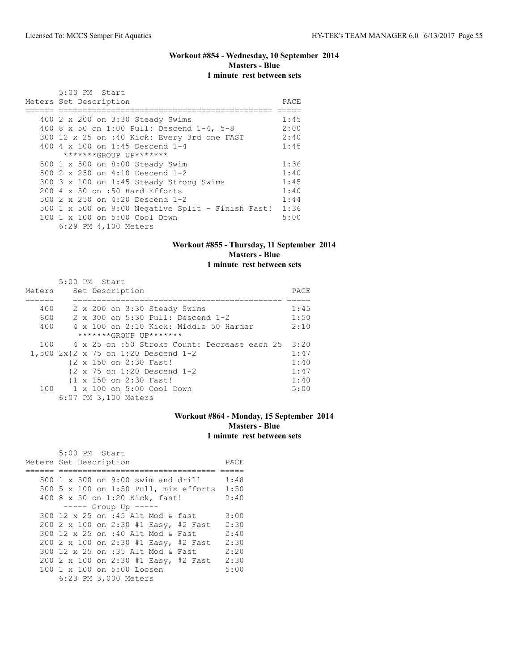# **Workout #854 - Wednesday, 10 September 2014 Masters - Blue 1 minute rest between sets**

| $5:00$ PM Start                                                                    |      |
|------------------------------------------------------------------------------------|------|
| Meters Set Description                                                             | PACE |
|                                                                                    |      |
| 400 2 x 200 on 3:30 Steady Swims                                                   | 1:45 |
| 400 8 x 50 on 1:00 Pull: Descend 1-4, 5-8                                          | 2:00 |
| 300 12 x 25 on :40 Kick: Every 3rd one FAST                                        | 2:40 |
| 400 4 $\times$ 100 on 1:45 Descend 1-4                                             | 1:45 |
| $******GROUP$ $IP*******$                                                          |      |
| 500 1 x 500 on 8:00 Steady Swim                                                    | 1:36 |
| 500 2 x 250 on 4:10 Descend 1-2                                                    | 1:40 |
| 300 3 x 100 on 1:45 Steady Strong Swims                                            | 1:45 |
| $200 \text{ } 4 \text{ } \times \text{ } 50 \text{ on } : 50 \text{ Hard Effects}$ | 1:40 |
| 500 2 x 250 on 4:20 Descend 1-2                                                    | 1:44 |
| 500 1 x 500 on 8:00 Negative Split - Finish Fast!                                  | 1:36 |
| $100 \t 1 \t x \t 100$ on $5:00$ Cool Down                                         | 5:00 |
| 6:29 PM 4,100 Meters                                                               |      |

# **Workout #855 - Thursday, 11 September 2014 Masters - Blue**

# **1 minute rest between sets**

|        | 5:00 PM Start                                                 |      |
|--------|---------------------------------------------------------------|------|
| Meters | Set Description                                               | PACE |
|        |                                                               |      |
| 400    | 2 x 200 on 3:30 Steady Swims                                  | 1:45 |
| 600    | 2 x 300 on 5:30 Pull: Descend 1-2                             | 1:50 |
| 400    | 4 x 100 on 2:10 Kick: Middle 50 Harder                        | 2:10 |
|        | *******GROUP UP*******                                        |      |
| 100    | 4 x 25 on :50 Stroke Count: Decrease each 25 3:20             |      |
|        | 1,500 $2x\{2 \times 75 \text{ on } 1:20 \text{ Descend } 1-2$ | 1:47 |
|        | {2 x 150 on 2:30 Fast!                                        | 1:40 |
|        | $\{2 \times 75 \text{ on } 1:20 \text{ Descend } 1-2\}$       | 1:47 |
|        | {1 x 150 on 2:30 Fast!                                        | 1:40 |
| 100    | 1 x 100 on 5:00 Cool Down                                     | 5:00 |
|        | 6:07 PM 3,100 Meters                                          |      |

# **Workout #864 - Monday, 15 September 2014 Masters - Blue 1 minute rest between sets**

| 5:00 PM Start                         |      |
|---------------------------------------|------|
| Meters Set Description                | PACE |
|                                       |      |
| 500 1 x 500 on 9:00 swim and drill    | 1:48 |
| 500 5 x 100 on 1:50 Pull, mix efforts | 1:50 |
| 400 8 x 50 on 1:20 Kick, fast!        | 2:40 |
| $--- $ Group Up $--- $                |      |
| 300 12 x 25 on :45 Alt Mod & fast     | 3:00 |
| 200 2 x 100 on 2:30 #1 Easy, #2 Fast  | 2:30 |
| 300 12 x 25 on :40 Alt Mod & Fast     | 2:40 |
| 200 2 x 100 on 2:30 #1 Easy, #2 Fast  | 2:30 |
| 300 12 x 25 on :35 Alt Mod & Fast     | 2:20 |
| 200 2 x 100 on 2:30 #1 Easy, #2 Fast  | 2:30 |
| 100 1 x 100 on 5:00 Loosen            | 5:00 |
| 6:23 PM 3,000 Meters                  |      |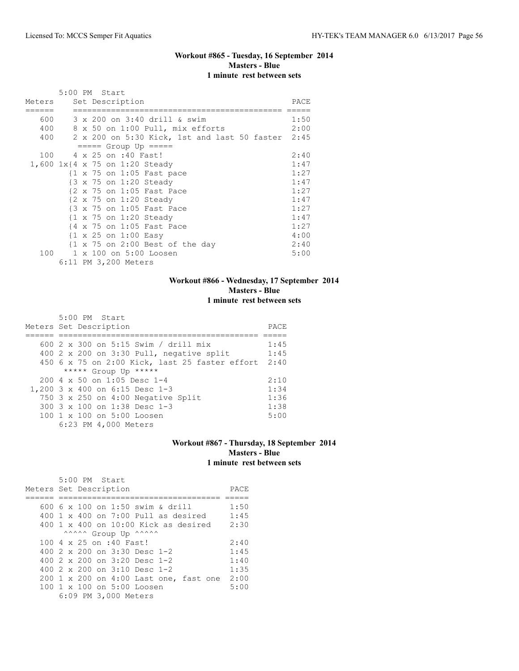# **Workout #865 - Tuesday, 16 September 2014 Masters - Blue 1 minute rest between sets**

|           |  | 5:00 PM Start |                      |                                                            |      |
|-----------|--|---------------|----------------------|------------------------------------------------------------|------|
| Meters    |  |               | Set Description      |                                                            | PACE |
|           |  |               |                      |                                                            |      |
| 600 - 100 |  |               |                      | 3 x 200 on 3:40 drill & swim                               | 1:50 |
| 400       |  |               |                      | 8 x 50 on 1:00 Pull, mix efforts                           | 2:00 |
| 400       |  |               |                      | 2 x 200 on 5:30 Kick, 1st and last 50 faster 2:45          |      |
|           |  |               |                      | $====$ Group Up $====$                                     |      |
| 100       |  |               |                      | 4 x 25 on :40 Fast!                                        | 2:40 |
|           |  |               |                      | 1,600 1x{4 x 75 on 1:20 Steady                             | 1:47 |
|           |  |               |                      | $\{1 \times 75 \text{ on } 1:05 \text{ Fast pace}\}$       | 1:27 |
|           |  |               |                      | {3 x 75 on 1:20 Steady                                     | 1:47 |
|           |  |               |                      | {2 x 75 on 1:05 Fast Pace                                  | 1:27 |
|           |  |               |                      | $\{2 \times 75 \text{ on } 1:20 \text{ Steady}\}$          | 1:47 |
|           |  |               |                      | {3 x 75 on 1:05 Fast Pace                                  | 1:27 |
|           |  |               |                      | {1 x 75 on 1:20 Steady                                     | 1:47 |
|           |  |               |                      | {4 x 75 on 1:05 Fast Pace                                  | 1:27 |
|           |  |               |                      | $\{1 \times 25 \text{ on } 1:00 \text{ Easy}\}$            | 4:00 |
|           |  |               |                      | $\{1 \times 75 \text{ on } 2:00 \text{ Best of the day}\}$ | 2:40 |
| 100       |  |               |                      | 1 x 100 on 5:00 Loosen                                     | 5:00 |
|           |  |               | 6:11 PM 3,200 Meters |                                                            |      |

# **Workout #866 - Wednesday, 17 September 2014 Masters - Blue 1 minute rest between sets**

| $5:00$ PM Start<br>Meters Set Description              | PACE |
|--------------------------------------------------------|------|
|                                                        |      |
| 600 2 x 300 on 5:15 Swim / drill mix                   | 1:45 |
| 400 $2 \times 200$ on 3:30 Pull, negative split        | 1:45 |
| 450 6 x 75 on 2:00 Kick, last 25 faster effort 2:40    |      |
| ***** Group Up *****                                   |      |
| $200.4 \times 50$ on 1:05 Desc 1-4                     | 2:10 |
| 1,200 3 x 400 on 6:15 Desc 1-3                         | 1:34 |
| 750 3 x 250 on 4:00 Negative Split                     | 1:36 |
| 300 3 x 100 on 1:38 Desc 1-3                           | 1:38 |
| $100 \text{ 1 x } 100 \text{ on } 5:00 \text{ Loosen}$ | 5:00 |
| 6:23 PM 4,000 Meters                                   |      |

#### **Workout #867 - Thursday, 18 September 2014 Masters - Blue 1 minute rest between sets**

| 5:00 PM Start                                    |      |
|--------------------------------------------------|------|
| Meters Set Description                           | PACE |
|                                                  |      |
| 600 6 x 100 on 1:50 swim & drill                 | 1:50 |
| $400 \t1 x 400$ on 7:00 Pull as desired          | 1:45 |
| $400\,$ 1 x $400\,$ on $10:00\,$ Kick as desired | 2:30 |
| ^^^^^ Group Up ^^^^^^                            |      |
| 100 4 x 25 on :40 Fast!                          | 2:40 |
| 400 2 x 200 on 3:30 Desc 1-2                     | 1:45 |
| 400 $2 \times 200$ on $3:20$ Desc 1-2            | 1:40 |
| 400 $2 \times 200$ on $3:10$ Desc 1-2            | 1:35 |
| 200 1 x 200 on 4:00 Last one, fast one           | 2:00 |
| 100 1 x 100 on 5:00 Loosen                       | 5:00 |
| 6:09 PM 3,000 Meters                             |      |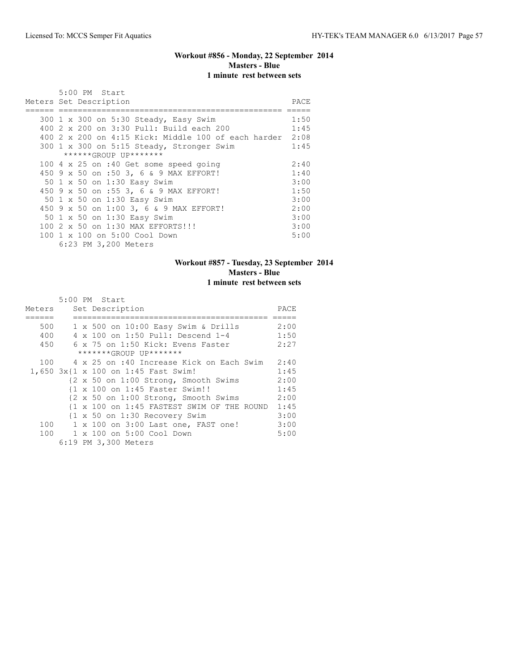# **Workout #856 - Monday, 22 September 2014 Masters - Blue 1 minute rest between sets**

| 5:00 PM Start                                            |      |
|----------------------------------------------------------|------|
| Meters Set Description                                   | PACE |
|                                                          |      |
| 300 1 x 300 on 5:30 Steady, Easy Swim                    | 1:50 |
| 400 2 x 200 on 3:30 Pull: Build each 200                 | 1:45 |
| 400 2 x 200 on 4:15 Kick: Middle 100 of each harder 2:08 |      |
| 300 1 x 300 on 5:15 Steady, Stronger Swim                | 1:45 |
| ******GROUP UP*******                                    |      |
| 100 4 x 25 on :40 Get some speed going                   | 2:40 |
| 450 9 x 50 on :50 3, 6 & 9 MAX EFFORT!                   | 1:40 |
| 50 1 x 50 on 1:30 Easy Swim                              | 3:00 |
| 450 9 x 50 on :55 3, 6 & 9 MAX EFFORT!                   | 1:50 |
| 50 1 x 50 on 1:30 Easy Swim                              | 3:00 |
| 450 9 x 50 on 1:00 3, 6 & 9 MAX EFFORT!                  | 2:00 |
| 50 1 x 50 on 1:30 Easy Swim                              | 3:00 |
| 100 2 x 50 on 1:30 MAX EFFORTS!!!                        | 3:00 |
| 100 1 x 100 on 5:00 Cool Down                            | 5:00 |
| 6:23 PM 3,200 Meters                                     |      |

# **Workout #857 - Tuesday, 23 September 2014 Masters - Blue 1 minute rest between sets**

|        | 5:00 PM Start                                                                 |      |
|--------|-------------------------------------------------------------------------------|------|
| Meters | Set Description                                                               | PACE |
|        |                                                                               |      |
| 500    | $1 \times 500$ on $10:00$ Easy Swim & Drills                                  | 2:00 |
| 400    | 4 x 100 on 1:50 Pull: Descend 1-4                                             | 1:50 |
| 450    | 6 x 75 on 1:50 Kick: Evens Faster                                             | 2:27 |
|        | *******GROUP UP*******                                                        |      |
| 100    | 4 x 25 on :40 Increase Kick on Each Swim                                      | 2:40 |
|        | 1,650 3x{1 x 100 on 1:45 Fast Swim!                                           | 1:45 |
|        | {2 x 50 on 1:00 Strong, Smooth Swims                                          | 2:00 |
|        | {1 x 100 on 1:45 Faster Swim!!                                                | 1:45 |
|        | $\{2 \times 50 \text{ on } 1:00 \text{ Strong}, \text{Smooth} \text{Swims}\}$ | 2:00 |
|        | {1 x 100 on 1:45 FASTEST SWIM OF THE ROUND 1:45                               |      |
|        | {1 x 50 on 1:30 Recovery Swim                                                 | 3:00 |
|        | 100 1 x 100 on 3:00 Last one, FAST one!                                       | 3:00 |
|        | 100 1 x 100 on 5:00 Cool Down                                                 | 5:00 |
|        | 6:19 PM 3,300 Meters                                                          |      |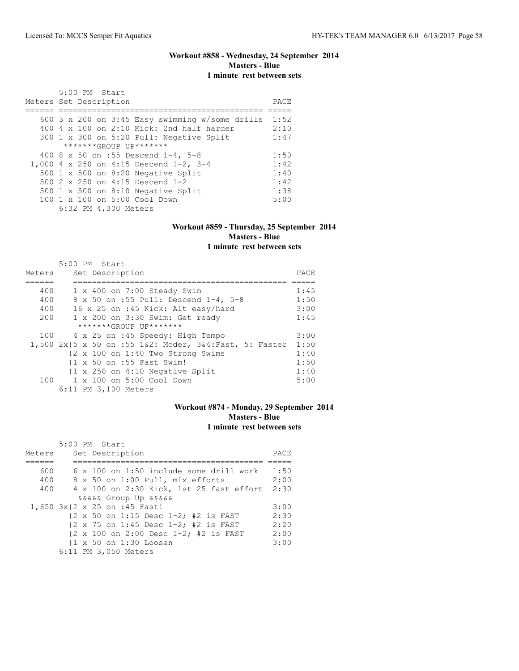## **Workout #858 - Wednesday, 24 September 2014 Masters - Blue 1 minute rest between sets**

| 5:00 PM Start                                      |      |
|----------------------------------------------------|------|
| Meters Set Description                             | PACE |
|                                                    |      |
| 600 3 x 200 on 3:45 Easy swimming $w/$ some drills | 1:52 |
| 400 $4 \times 100$ on 2:10 Kick: 2nd half harder   | 2:10 |
| 300 1 x 300 on 5:20 Pull: Negative Split           | 1:47 |
| *******GROUP UP*******                             |      |
| 400 8 x 50 on :55 Descend 1-4, 5-8                 | 1:50 |
| 1,000 4 x 250 on 4:15 Descend 1-2, 3-4             | 1:42 |
| 500 1 x 500 on 8:20 Negative Split                 | 1:40 |
| 500 2 x 250 on 4:15 Descend 1-2                    | 1:42 |
| 500 $1 \times 500$ on 8:10 Negative Split          | 1:38 |
| 100 1 x 100 on 5:00 Cool Down                      | 5:00 |
| 6:32 PM 4,300 Meters                               |      |

#### **Workout #859 - Thursday, 25 September 2014 Masters - Blue 1 minute rest between sets**

|        | 5:00 PM Start                                                |      |
|--------|--------------------------------------------------------------|------|
| Meters | Set Description                                              | PACE |
|        |                                                              |      |
| 400    | $1 \times 400$ on 7:00 Steady Swim                           | 1:45 |
| 400    | 8 x 50 on :55 Pull: Descend 1-4, 5-8                         | 1:50 |
| 400    | 16 x 25 on :45 Kick: Alt easy/hard                           | 3:00 |
| 200    | 1 x 200 on 3:30 Swim: Get ready                              | 1:45 |
|        | *******GROUP UP*******                                       |      |
| 100    | 4 x 25 on :45 Speedy: High Tempo                             | 3:00 |
|        | 1,500 2x{5 x 50 on :55 1&2: Moder, 3&4:Fast, 5: Faster       | 1:50 |
|        | $\{2 \times 100 \text{ on } 1:40 \text{ Two Strong Swims}\}$ | 1:40 |
|        | {1 x 50 on :55 Fast Swim!                                    | 1:50 |
|        | $\{1 \times 250 \text{ on } 4:10 \text{ Negative Split}\}$   | 1:40 |
|        | 100 1 x 100 on 5:00 Cool Down                                | 5:00 |
|        | 6:11 PM 3,100 Meters                                         |      |

# **Workout #874 - Monday, 29 September 2014 Masters - Blue 1 minute rest between sets**

|        | 5:00 PM Start                                                             |      |
|--------|---------------------------------------------------------------------------|------|
| Meters | Set Description                                                           | PACE |
|        |                                                                           |      |
| 600    | $6 \times 100$ on 1:50 include some drill work                            | 1:50 |
| 400    | 8 x 50 on 1:00 Pull, mix efforts                                          | 2:00 |
| 400    | 4 x 100 on 2:30 Kick, 1st 25 fast effort                                  | 2:30 |
|        | <i>aaaaa</i> Group Up <i>aaaaa</i>                                        |      |
|        | 1,650 3x{2 x 25 on :45 Fast!                                              | 3:00 |
|        | $\{2 \times 50 \text{ on } 1:15 \text{ Desc } 1-2; 12 \text{ is FAST}\}$  | 2:30 |
|        | $\{2 \times 75 \text{ on } 1:45 \text{ Desc } 1-2; #2 \text{ is FAST }$   | 2:20 |
|        | $\{2 \times 100 \text{ on } 2:00 \text{ Desc } 1-2; \#2 \text{ is FAST }$ | 2:00 |
|        | {1 x 50 on 1:30 Loosen                                                    | 3:00 |
|        | 6:11 PM 3,050 Meters                                                      |      |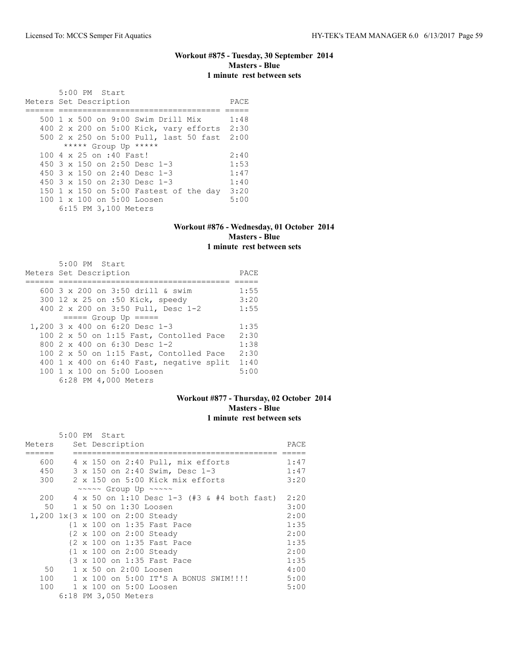#### **Workout #875 - Tuesday, 30 September 2014 Masters - Blue 1 minute rest between sets**

 5:00 PM Start Meters Set Description PACE ====== ================================== ===== 500 1 x 500 on 9:00 Swim Drill Mix 1:48 400 2 x 200 on 5:00 Kick, vary efforts 2:30 500 2 x 250 on 5:00 Pull, last 50 fast 2:00 \*\*\*\*\* Group Up \*\*\*\*\* 100 4 x 25 on :40 Fast! 2:40<br>450 3 x 150 on 2:50 Desc 1-3 1:53 450 3 x 150 on 2:50 Desc 1-3 1:53<br>450 3 x 150 on 2:40 Desc 1-3 1:47 450 3 x 150 on 2:40 Desc 1-3 1:47<br>450 3 x 150 on 2:30 Desc 1-3 1:40 450 3 x 150 on 2:30 Desc 1-3 150 1 x 150 on 5:00 Fastest of the day 3:20<br>100 1 x 100 on 5:00 Loosen 5:00 100 1 x 100 on 5:00 Loosen 6:15 PM 3,100 Meters

#### **Workout #876 - Wednesday, 01 October 2014 Masters - Blue 1 minute rest between sets**

| 5:00 PM Start<br>Meters Set Description  | PACE |
|------------------------------------------|------|
| 600 3 x 200 on 3:50 drill & swim         | 1:55 |
| 300 12 x 25 on :50 Kick, speedy          | 3:20 |
| 400 2 x 200 on 3:50 Pull, Desc 1-2       | 1:55 |
| $== == $ Group Up $== == $               |      |
| 1,200 3 x 400 on 6:20 Desc 1-3           | 1:35 |
| 100 2 x 50 on 1:15 Fast, Contolled Pace  | 2:30 |
| 800 2 x 400 on 6:30 Desc 1-2             | 1:38 |
| 100 2 x 50 on 1:15 Fast, Contolled Pace  | 2:30 |
| 400 1 x 400 on 6:40 Fast, negative split | 1:40 |
| 100 1 x 100 on 5:00 Loosen               | 5:00 |
| 6:28 PM 4,000 Meters                     |      |

#### **Workout #877 - Thursday, 02 October 2014 Masters - Blue 1 minute rest between sets**

|        | 5:00 PM Start                                        |      |
|--------|------------------------------------------------------|------|
| Meters | Set Description                                      | PACE |
|        |                                                      |      |
| 600    | 4 x 150 on 2:40 Pull, mix efforts                    | 1:47 |
| 450    | 3 x 150 on 2:40 Swim, Desc 1-3                       | 1:47 |
| 300    | 2 x 150 on 5:00 Kick mix efforts                     | 3:20 |
|        | $\sim \sim \sim \sim$ Group Up $\sim \sim \sim \sim$ |      |
| 200    | 4 x 50 on 1:10 Desc 1-3 (#3 & #4 both fast)          | 2:20 |
| 50     | 1 x 50 on 1:30 Loosen                                | 3:00 |
|        | 1,200 1x{3 x 100 on 2:00 Steady                      | 2:00 |
|        | {1 x 100 on 1:35 Fast Pace                           | 1:35 |
|        | {2 x 100 on 2:00 Steady                              | 2:00 |
|        | {2 x 100 on 1:35 Fast Pace                           | 1:35 |
|        | {1 x 100 on 2:00 Steady                              | 2:00 |
|        | {3 x 100 on 1:35 Fast Pace                           | 1:35 |
| 50     | 1 x 50 on 2:00 Loosen                                | 4:00 |
| 100    | 1 x 100 on 5:00 IT'S A BONUS SWIM!!!!                | 5:00 |
| 100    | 1 x 100 on 5:00 Loosen                               | 5:00 |
|        | 6:18 PM 3,050 Meters                                 |      |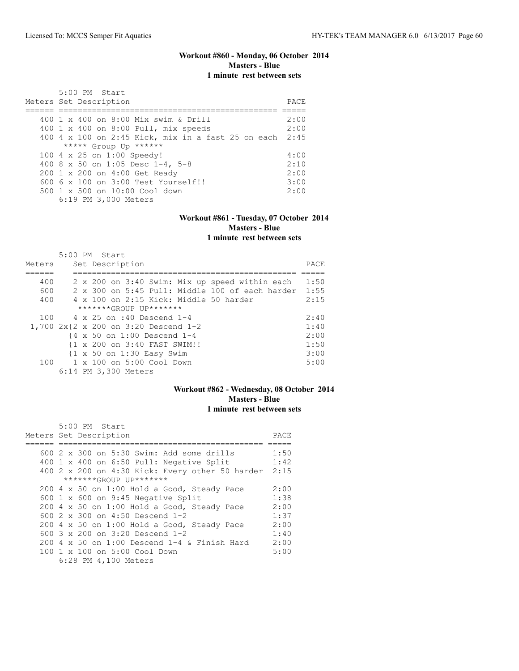#### **Workout #860 - Monday, 06 October 2014 Masters - Blue 1 minute rest between sets**

| 5:00 PM Start<br>Meters Set Description              | PACE. |
|------------------------------------------------------|-------|
| 400 1 x 400 on 8:00 Mix swim & Drill                 | 2:00  |
| 400 1 x 400 on 8:00 Pull, mix speeds                 | 2:00  |
| $400$ 4 x 100 on 2:45 Kick, mix in a fast 25 on each | 2:45  |
| ***** Group Up ******                                |       |
| 100 4 x 25 on 1:00 Speedy!                           | 4:00  |
| 400 8 x 50 on 1:05 Desc 1-4, 5-8                     | 2:10  |
| 200 1 x 200 on 4:00 Get Ready                        | 2:00  |
| $6006 \times 100$ on $3:00$ Test Yourself!!          | 3:00  |
| $500 \t 1 \t x \t 500$ on $10:00$ Cool down          | 2:00  |
| 6:19 PM 3,000 Meters                                 |       |

#### **Workout #861 - Tuesday, 07 October 2014 Masters - Blue 1 minute rest between sets**

|        | $5:00$ PM Start |  |                      |                                                       |                                                 |       |
|--------|-----------------|--|----------------------|-------------------------------------------------------|-------------------------------------------------|-------|
| Meters |                 |  | Set Description      |                                                       |                                                 | PACE. |
|        |                 |  |                      |                                                       |                                                 |       |
| 400    |                 |  |                      |                                                       | 2 x 200 on 3:40 Swim: Mix up speed within each  | 1:50  |
| 600    |                 |  |                      |                                                       | 2 x 300 on 5:45 Pull: Middle 100 of each harder | 1:55  |
| 400    |                 |  |                      |                                                       | $4 \times 100$ on 2:15 Kick: Middle 50 harder   | 2:15  |
|        |                 |  |                      | *******GROUP UP*******                                |                                                 |       |
| 100    |                 |  |                      | 4 x 25 on :40 Descend 1-4                             |                                                 | 2:40  |
|        |                 |  |                      | 1,700 2x{2 x 200 on 3:20 Descend 1-2                  |                                                 | 1:40  |
|        |                 |  |                      | $\{4 \times 50 \text{ on } 1:00 \text{ Descend } 1-4$ |                                                 | 2:00  |
|        |                 |  |                      | {1 x 200 on 3:40 FAST SWIM!!                          |                                                 | 1:50  |
|        |                 |  |                      | {1 x 50 on 1:30 Easy Swim                             |                                                 | 3:00  |
| 100    |                 |  |                      | 1 x 100 on 5:00 Cool Down                             |                                                 | 5:00  |
|        |                 |  | 6:14 PM 3,300 Meters |                                                       |                                                 |       |

# **Workout #862 - Wednesday, 08 October 2014 Masters - Blue 1 minute rest between sets**

 5:00 PM Start Meters Set Description **PACE** ====== =========================================== ===== 600 2 x 300 on 5:30 Swim: Add some drills 1:50 400 1 x 400 on 6:50 Pull: Negative Split 400 2 x 200 on 4:30 Kick: Every other 50 harder 2:15 \*\*\*\*\*\*\*GROUP UP\*\*\*\*\*\*\*  $200 \t 4 \t x \t 50 \t on \t 1:00 \t Hold a Good, Steady Pace \t 2:00 \t 600 \t 1 \t x \t 600 \t on \t 9:45 Negative Split \t 1:38$ 600 1 x 600 on 9:45 Negative Split 1:38<br>200 4 x 50 on 1:00 Hold a Good, Steady Pace 2:00 200 4 x 50 on 1:00 Hold a Good, Steady Pace 2:00<br>600 2 x 300 on 4:50 Descend 1-2 1:37 600 2 x 300 on 4:50 Descend 1-2 1:37 200 4 x 50 on 1:00 Hold a Good, Steady Pace 2:00<br>600 3 x 200 on 3:20 Descend 1-2 1:40 600 3 x 200 on 3:20 Descend 1-2 200 4 x 50 on 1:00 Descend 1-4 & Finish Hard 2:00 100 1 x 100 on 5:00 Cool Down 5:00 6:28 PM 4,100 Meters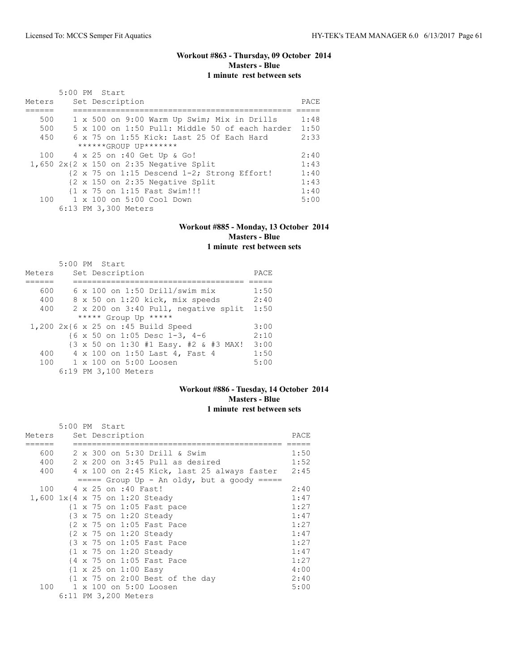# **Workout #863 - Thursday, 09 October 2014 Masters - Blue 1 minute rest between sets**

|        | 5:00 PM Start                                                         |      |
|--------|-----------------------------------------------------------------------|------|
| Meters | Set Description                                                       | PACE |
|        |                                                                       |      |
| 500    | 1 x 500 on 9:00 Warm Up Swim; Mix in Drills                           | 1:48 |
| 500    | 5 x 100 on 1:50 Pull: Middle 50 of each harder                        | 1:50 |
| 450    | 6 x 75 on 1:55 Kick: Last 25 Of Each Hard                             | 2:33 |
|        | ******GROUP UP*******                                                 |      |
|        | 100 4 x 25 on :40 Get Up & Go!                                        | 2:40 |
|        | $1,650$ 2x{2 x 150 on 2:35 Negative Split                             | 1:43 |
|        | $\{2 \times 75 \text{ on } 1:15 \text{ Descend } 1-2;$ Strong Effort! | 1:40 |
|        | {2 x 150 on 2:35 Negative Split                                       | 1:43 |
|        | {1 x 75 on 1:15 Fast Swim!!!                                          | 1:40 |
| 100    | 1 x 100 on 5:00 Cool Down                                             | 5:00 |
|        | 6:13 PM 3,300 Meters                                                  |      |

#### **Workout #885 - Monday, 13 October 2014 Masters - Blue 1 minute rest between sets**

|        | 5:00 PM Start                         |      |
|--------|---------------------------------------|------|
| Meters | Set Description                       | PACE |
|        |                                       |      |
| 600    | $6 \times 100$ on 1:50 Drill/swim mix | 1:50 |
| 400    | 8 x 50 on 1:20 kick, mix speeds       | 2:40 |
| 400    | 2 x 200 on 3:40 Pull, negative split  | 1:50 |
|        | ***** Group Up *****                  |      |
|        | 1,200 2x{6 x 25 on :45 Build Speed    | 3:00 |
|        | {6 x 50 on 1:05 Desc 1-3, 4-6         | 2:10 |
|        | {3 x 50 on 1:30 #1 Easy. #2 & #3 MAX! | 3:00 |
| 400    | 4 x 100 on 1:50 Last 4, Fast 4        | 1:50 |
| 100    | 1 x 100 on 5:00 Loosen                | 5:00 |
|        | 6:19 PM 3,100 Meters                  |      |

# **Workout #886 - Tuesday, 14 October 2014 Masters - Blue 1 minute rest between sets**

|        |  | 5:00 PM Start                                        |      |
|--------|--|------------------------------------------------------|------|
| Meters |  | Set Description                                      | PACE |
| 600    |  | 2 x 300 on 5:30 Drill & Swim                         | 1:50 |
|        |  |                                                      |      |
| 400    |  | $2 \times 200$ on $3:45$ Pull as desired             | 1:52 |
| 400    |  | 4 x 100 on 2:45 Kick, last 25 always faster 2:45     |      |
|        |  | $====$ Group Up - An oldy, but a goody =====         |      |
| 100    |  | 4 x 25 on :40 Fast!                                  | 2:40 |
|        |  | 1,600 1x{4 x 75 on 1:20 Steady                       | 1:47 |
|        |  | $\{1 \times 75 \text{ on } 1:05 \text{ Fast pace}\}$ | 1:27 |
|        |  | {3 x 75 on 1:20 Steady                               | 1:47 |
|        |  | {2 x 75 on 1:05 Fast Pace                            | 1:27 |
|        |  | {2 x 75 on 1:20 Steady                               | 1:47 |
|        |  | {3 x 75 on 1:05 Fast Pace                            | 1:27 |
|        |  | $\{1 \times 75 \text{ on } 1:20 \text{ Steady}\}$    | 1:47 |
|        |  | {4 x 75 on 1:05 Fast Pace                            | 1:27 |
|        |  | $\{1 \times 25 \text{ on } 1:00 \text{ Easy}\}$      | 4:00 |
|        |  | {1 x 75 on 2:00 Best of the day                      | 2:40 |
| 100    |  | 1 x 100 on 5:00 Loosen                               | 5:00 |
|        |  | 6:11 PM 3,200 Meters                                 |      |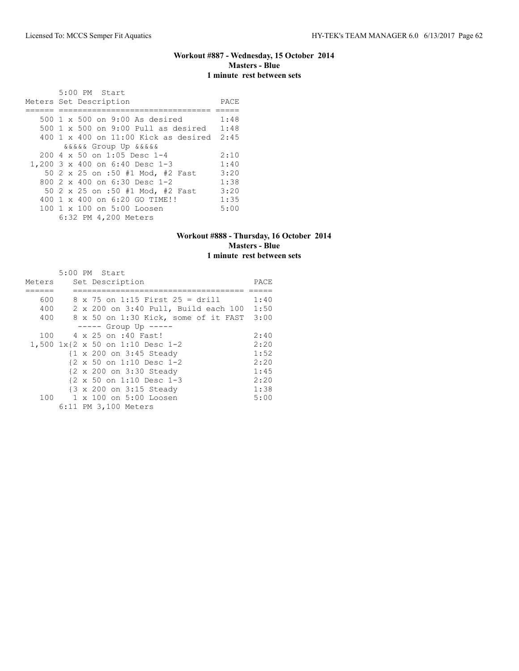## **Workout #887 - Wednesday, 15 October 2014 Masters - Blue 1 minute rest between sets**

| 5:00 PM Start                                        |      |
|------------------------------------------------------|------|
| Meters Set Description                               | PACE |
|                                                      |      |
| 500 1 x 500 on 9:00 As desired                       | 1:48 |
| 500 1 x 500 on 9:00 Pull as desired                  | 1:48 |
| $400$ 1 x $400$ on $11:00$ Kick as desired           | 2:45 |
| <i>aaaaa</i> Group Up aaaaa                          |      |
| $200 \text{ } 4 \text{ } \times 50$ on 1:05 Desc 1-4 | 2:10 |
| 1,200 3 x 400 on 6:40 Desc 1-3                       | 1:40 |
| 50 2 x 25 on :50 #1 Mod, #2 Fast                     | 3:20 |
| 800 $2 \times 400$ on 6:30 Desc 1-2                  | 1:38 |
| 50 2 x 25 on :50 #1 Mod, #2 Fast                     | 3:20 |
| 400 1 x 400 on 6:20 GO TIME!!                        | 1:35 |
| 100 1 x 100 on 5:00 Loosen                           | 5:00 |
| 6:32 PM 4,200 Meters                                 |      |

#### **Workout #888 - Thursday, 16 October 2014 Masters - Blue 1 minute rest between sets**

|        |  | 5:00 PM Start                                        |      |
|--------|--|------------------------------------------------------|------|
| Meters |  | Set Description                                      | PACE |
|        |  |                                                      |      |
| 600    |  | $8 \times 75$ on 1:15 First 25 = drill               | 1:40 |
| 400    |  | 2 x 200 on 3:40 Pull, Build each 100                 | 1:50 |
| 400    |  | 8 x 50 on 1:30 Kick, some of it FAST                 | 3:00 |
|        |  | $--- $ Group Up $---$                                |      |
| 100    |  | 4 x 25 on :40 Fast!                                  | 2:40 |
|        |  | 1,500 1x{2 x 50 on 1:10 Desc 1-2                     | 2:20 |
|        |  | {1 x 200 on 3:45 Steady                              | 1:52 |
|        |  | $\{2 \times 50 \text{ on } 1:10 \text{ Desc } 1-2\}$ | 2:20 |
|        |  | {2 x 200 on 3:30 Steady                              | 1:45 |
|        |  | $\{2 \times 50 \text{ on } 1:10 \text{ Desc } 1-3\}$ | 2:20 |
|        |  | {3 x 200 on 3:15 Steady                              | 1:38 |
|        |  | 100 1 x 100 on 5:00 Loosen                           | 5:00 |
|        |  | 6:11 PM 3,100 Meters                                 |      |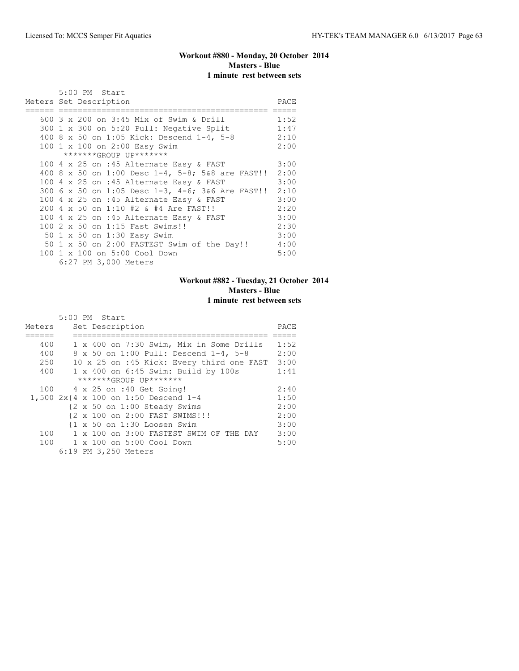# **Workout #880 - Monday, 20 October 2014 Masters - Blue 1 minute rest between sets**

|  | 5:00 PM Start                                         |      |
|--|-------------------------------------------------------|------|
|  | Meters Set Description                                | PACE |
|  | 600 3 x 200 on 3:45 Mix of Swim & Drill               | 1:52 |
|  |                                                       |      |
|  | 300 1 x 300 on 5:20 Pull: Negative Split              | 1:47 |
|  | 400 8 x 50 on 1:05 Kick: Descend 1-4, 5-8             | 2:10 |
|  | 100 1 x 100 on 2:00 Easy Swim                         | 2:00 |
|  | *******GROUP UP*******                                |      |
|  | 100 4 x 25 on :45 Alternate Easy & FAST               | 3:00 |
|  | 400 8 x 50 on 1:00 Desc 1-4, 5-8; 5&8 are FAST!! 2:00 |      |
|  | 100 4 x 25 on :45 Alternate Easy & FAST               | 3:00 |
|  | 300 6 x 50 on 1:05 Desc 1-3, 4-6; 3&6 Are FAST!! 2:10 |      |
|  | 100 4 x 25 on :45 Alternate Easy & FAST               | 3:00 |
|  | 200 4 x 50 on 1:10 #2 & #4 Are FAST!!                 | 2:20 |
|  | 100 4 x 25 on :45 Alternate Easy & FAST               | 3:00 |
|  | 100 2 x 50 on 1:15 Fast Swims!!                       | 2:30 |
|  | 50 1 x 50 on 1:30 Easy Swim                           | 3:00 |
|  | 50 1 x 50 on 2:00 FASTEST Swim of the Day!!           | 4:00 |
|  | 100 1 x 100 on 5:00 Cool Down                         | 5:00 |
|  | 6:27 PM 3,000 Meters                                  |      |

# **Workout #882 - Tuesday, 21 October 2014 Masters - Blue 1 minute rest between sets**

|        | 5:00 PM Start                                           |      |
|--------|---------------------------------------------------------|------|
| Meters | Set Description                                         | PACE |
|        |                                                         |      |
| 400    | 1 x 400 on 7:30 Swim, Mix in Some Drills                | 1:52 |
| 400    | 8 x 50 on 1:00 Pull: Descend 1-4, 5-8                   | 2:00 |
| 250    | 10 x 25 on :45 Kick: Every third one FAST               | 3:00 |
| 400    | 1 x 400 on 6:45 Swim: Build by 100s                     | 1:41 |
|        | *******GROUP UP*******                                  |      |
|        | 100 4 x 25 on :40 Get Going!                            | 2:40 |
|        | 1,500 $2x$ {4 x 100 on 1:50 Descend 1-4                 | 1:50 |
|        | $\{2 \times 50 \text{ on } 1:00 \text{ Steady Swims}\}$ | 2:00 |
|        | {2 x 100 on 2:00 FAST SWIMS!!!                          | 2:00 |
|        | $\{1 \times 50 \text{ on } 1:30 \text{ Loosen} \}$      | 3:00 |
|        | 100 1 x 100 on 3:00 FASTEST SWIM OF THE DAY             | 3:00 |
|        | 100 1 x 100 on 5:00 Cool Down                           | 5:00 |
|        | 6:19 PM 3,250 Meters                                    |      |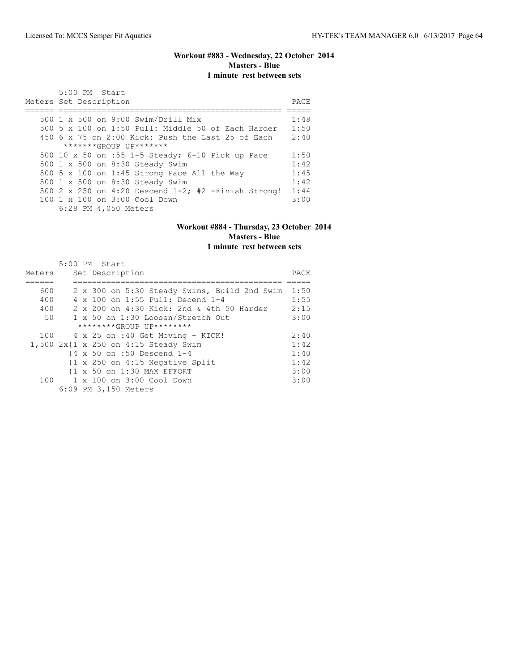# **Workout #883 - Wednesday, 22 October 2014 Masters - Blue 1 minute rest between sets**

| 5:00 PM Start<br>Meters Set Description                | PACE |
|--------------------------------------------------------|------|
| 500 1 x 500 on 9:00 Swim/Drill Mix                     | 1:48 |
| 500 5 x 100 on 1:50 Pull: Middle 50 of Each Harder     | 1:50 |
| 450 6 x 75 on 2:00 Kick: Push the Last 25 of Each      | 2:40 |
| *******GROUP UP*******                                 |      |
| 500 10 x 50 on :55 1-5 Steady; 6-10 Pick up Pace       | 1:50 |
| 500 1 x 500 on 8:30 Steady Swim                        | 1:42 |
| 500 5 x 100 on 1:45 Strong Pace All the Way            | 1:45 |
| 500 1 x 500 on 8:30 Steady Swim                        | 1:42 |
| 500 2 x 250 on 4:20 Descend $1-2$ ; #2 -Finish Strong! | 1:44 |
| 100 1 x 100 on 3:00 Cool Down                          | 3:00 |
| 6:28 PM 4,050 Meters                                   |      |

#### **Workout #884 - Thursday, 23 October 2014 Masters - Blue 1 minute rest between sets**

|        | 5:00 PM Start                                              |      |
|--------|------------------------------------------------------------|------|
| Meters | Set Description                                            | PACE |
|        |                                                            |      |
| 600    | 2 x 300 on 5:30 Steady Swims, Build 2nd Swim               | 1:50 |
| 400    | 4 x 100 on 1:55 Pull: Decend 1-4                           | 1:55 |
| 400    | $2 \times 200$ on $4:30$ Kick: 2nd & 4th 50 Harder         | 2:15 |
| 50     | 1 x 50 on 1:30 Loosen/Stretch Out                          | 3:00 |
|        | ********GROUP UP********                                   |      |
| 100    | 4 x 25 on :40 Get Moving - KICK!                           | 2:40 |
|        | 1,500 2x{1 x 250 on 4:15 Steady Swim                       | 1:42 |
|        | {4 x 50 on :50 Descend 1-4                                 | 1:40 |
|        | $\{1 \times 250 \text{ on } 4:15 \text{ Negative Split}\}$ | 1:42 |
|        | {1 x 50 on 1:30 MAX EFFORT                                 | 3:00 |
| 100    | 1 x 100 on 3:00 Cool Down                                  | 3:00 |
|        | 6:09 PM 3,150 Meters                                       |      |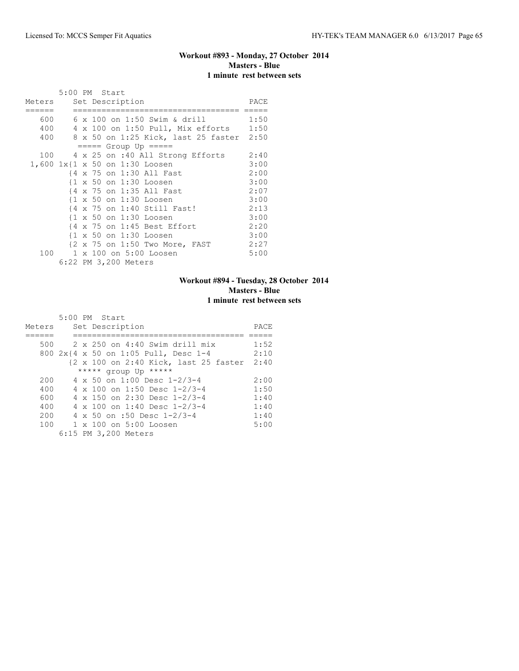# **Workout #893 - Monday, 27 October 2014 Masters - Blue 1 minute rest between sets**

|                        | 5:00 PM Start |  |                      |                                                        |                                              |      |
|------------------------|---------------|--|----------------------|--------------------------------------------------------|----------------------------------------------|------|
| Meters Set Description |               |  |                      |                                                        |                                              | PACE |
| 600                    |               |  |                      | 6 x 100 on 1:50 Swim & drill                           |                                              | 1:50 |
|                        |               |  |                      |                                                        |                                              |      |
|                        |               |  |                      |                                                        | 400 4 x 100 on 1:50 Pull, Mix efforts 1:50   |      |
|                        |               |  |                      |                                                        | 400 8 x 50 on 1:25 Kick, last 25 faster 2:50 |      |
|                        |               |  |                      | $====$ Group Up $====$                                 |                                              |      |
|                        |               |  |                      |                                                        | 100 4 x 25 on :40 All Strong Efforts         | 2:40 |
|                        |               |  |                      | 1,600 1x{1 x 50 on 1:30 Loosen                         |                                              | 3:00 |
|                        |               |  |                      | {4 x 75 on 1:30 All Fast                               |                                              | 2:00 |
|                        |               |  |                      | {1 x 50 on 1:30 Loosen                                 |                                              | 3:00 |
|                        |               |  |                      | {4 x 75 on 1:35 All Fast                               |                                              | 2:07 |
|                        |               |  |                      | {1 x 50 on 1:30 Loosen                                 |                                              | 3:00 |
|                        |               |  |                      | {4 x 75 on 1:40 Still Fast!                            |                                              | 2:13 |
|                        |               |  |                      | {1 x 50 on 1:30 Loosen                                 |                                              | 3:00 |
|                        |               |  |                      | $\{4 \times 75 \text{ on } 1:45 \text{ Best Effect}\}$ |                                              | 2:20 |
|                        |               |  |                      | $\{1 \times 50 \text{ on } 1:30 \text{ Loosen}\}$      |                                              | 3:00 |
|                        |               |  |                      | {2 x 75 on 1:50 Two More, FAST                         |                                              | 2:27 |
| 100                    |               |  |                      | 1 x 100 on 5:00 Loosen                                 |                                              | 5:00 |
|                        |               |  | 6:22 PM 3,200 Meters |                                                        |                                              |      |

# **Workout #894 - Tuesday, 28 October 2014 Masters - Blue 1 minute rest between sets**

|        | 5:00 PM Start                         |      |
|--------|---------------------------------------|------|
| Meters | Set Description                       | PACE |
|        |                                       |      |
| 500    | 2 x 250 on 4:40 Swim drill mix        | 1:52 |
|        | 800 2x{4 x 50 on 1:05 Pull, Desc 1-4  | 2:10 |
|        | {2 x 100 on 2:40 Kick, last 25 faster | 2:40 |
|        | ***** group Up *****                  |      |
| 200    | 4 x 50 on 1:00 Desc 1-2/3-4           | 2:00 |
| 400    | 4 x 100 on 1:50 Desc 1-2/3-4          | 1:50 |
| 600    | 4 x 150 on 2:30 Desc 1-2/3-4          | 1:40 |
| 400    | 4 x 100 on 1:40 Desc 1-2/3-4          | 1:40 |
| 200    | 4 x 50 on :50 Desc $1-2/3-4$          | 1:40 |
| 100    | $1 \times 100$ on $5:00$ Loosen       | 5:00 |
|        | 6:15 PM 3,200 Meters                  |      |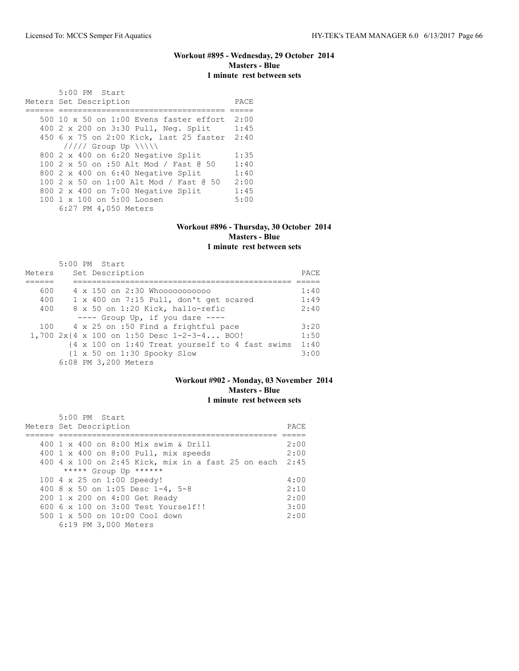# **Workout #895 - Wednesday, 29 October 2014 Masters - Blue 1 minute rest between sets**

 5:00 PM Start Meters Set Description **PACE** ====== =================================== ===== 500 10 x 50 on 1:00 Evens faster effort 2:00 400 2 x 200 on 3:30 Pull, Neg. Split 1:45 450 6 x 75 on 2:00 Kick, last 25 faster 2:40 ///// Group Up \\\\\ 800 2 x 400 on 6:20 Negative Split 1:35 100 2 x 50 on :50 Alt Mod / Fast @ 50 1:40 800 2 x 400 on 6:40 Negative Split 1:40 100 2 x 50 on 1:00 Alt Mod / Fast @ 50 2:00 800 2 x 400 on 7:00 Negative Split 1:45<br>100 1 x 100 on 5:00 Loosen 5:00 100 1 x 100 on 5:00 Loosen 6:27 PM 4,050 Meters

#### **Workout #896 - Thursday, 30 October 2014 Masters - Blue 1 minute rest between sets**

|        | 5:00 PM Start                                                |      |
|--------|--------------------------------------------------------------|------|
| Meters | Set Description                                              | PACE |
|        |                                                              |      |
| 600    | 4 x 150 on 2:30 Whooooooooooo                                | 1:40 |
| 400    | 1 x 400 on 7:15 Pull, don't get scared                       | 1:49 |
| 400    | 8 x 50 on 1:20 Kick, hallo-refic                             | 2:40 |
|        | $---$ Group Up, if you dare $---$                            |      |
| 100    | 4 x 25 on :50 Find a frightful pace                          | 3:20 |
|        | 1,700 2x{4 x 100 on 1:50 Desc 1-2-3-4 BOO!                   | 1:50 |
|        | {4 x 100 on 1:40 Treat yourself to 4 fast swims              | 1:40 |
|        | $\{1 \times 50 \text{ on } 1:30 \text{ Spooky} \text{ Slow}$ | 3:00 |
|        | 6:08 PM 3,200 Meters                                         |      |

#### **Workout #902 - Monday, 03 November 2014 Masters - Blue 1 minute rest between sets**

| $5:00$ PM Start                                         |       |
|---------------------------------------------------------|-------|
| Meters Set Description                                  | PACE. |
|                                                         |       |
| 400 1 x 400 on 8:00 Mix swim & Drill                    | 2:00  |
| 400 1 x 400 on 8:00 Pull, mix speeds                    | 2:00  |
| 400 4 x 100 on 2:45 Kick, mix in a fast 25 on each 2:45 |       |
| ***** Group Up ******                                   |       |
| 100 4 x 25 on 1:00 Speedy!                              | 4:00  |
| 400 8 x 50 on 1:05 Desc 1-4, 5-8                        | 2:10  |
| 200 1 x 200 on 4:00 Get Ready                           | 2:00  |
| $6006 \times 100$ on $3:00$ Test Yourself!!             | 3:00  |
| $500 \t 1 \t x \t 500$ on $10:00$ Cool down             | 2:00  |
| 6:19 PM 3,000 Meters                                    |       |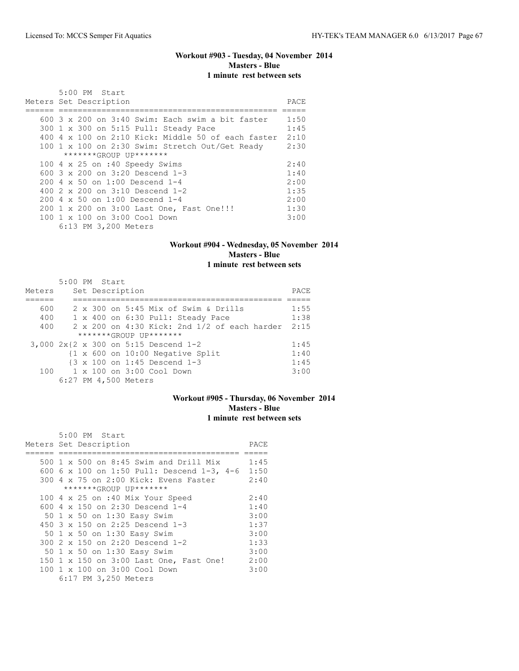## **Workout #903 - Tuesday, 04 November 2014 Masters - Blue 1 minute rest between sets**

| 5:00 PM Start                                             |      |
|-----------------------------------------------------------|------|
| Meters Set Description                                    | PACE |
|                                                           |      |
| $600.3 \times 200$ on $3:40$ Swim: Each swim a bit faster | 1:50 |
| 300 1 x 300 on 5:15 Pull: Steady Pace                     | 1:45 |
| 400 4 x 100 on 2:10 Kick: Middle 50 of each faster        | 2:10 |
| 100 1 x 100 on 2:30 Swim: Stretch Out/Get Ready           | 2:30 |
| $******GROUP$ $IP*******$                                 |      |
| 100 4 x 25 on :40 Speedy Swims                            | 2:40 |
| 600 $3 \times 200$ on $3:20$ Descend 1-3                  | 1:40 |
| $200 \text{ } 4 \times 50$ on $1:00$ Descend $1-4$        | 2:00 |
| 400 2 x 200 on 3:10 Descend 1-2                           | 1:35 |
| $200 \, 4 \times 50$ on $1:00$ Descend $1-4$              | 2:00 |
| 200 1 x 200 on 3:00 Last One, Fast One!!!                 | 1:30 |
| $100 \t 1 \t x \t 100$ on $3:00$ Cool Down                | 3:00 |
| 6:13 PM 3,200 Meters                                      |      |

# **Workout #904 - Wednesday, 05 November 2014 Masters - Blue**

# **1 minute rest between sets**

|        | 5:00 PM Start |  |                                              |       |
|--------|---------------|--|----------------------------------------------|-------|
| Meters |               |  | Set Description                              | PACE. |
|        |               |  |                                              |       |
| 600    |               |  | 2 x 300 on 5:45 Mix of Swim & Drills         | 1:55  |
| 400    |               |  | 1 x 400 on 6:30 Pull: Steady Pace            | 1:38  |
| 400    |               |  | 2 x 200 on 4:30 Kick: 2nd 1/2 of each harder | 2:15  |
|        |               |  | $******GROUP$ $IP*******$                    |       |
|        |               |  | 3,000 2x{2 x 300 on 5:15 Descend 1-2         | 1:45  |
|        |               |  | {1 x 600 on 10:00 Negative Split             | 1:40  |
|        |               |  | {3 x 100 on 1:45 Descend 1-3                 | 1:45  |
|        |               |  | 100 1 x 100 on 3:00 Cool Down                | 3:00  |
|        |               |  | 6:27 PM 4,500 Meters                         |       |

# **Workout #905 - Thursday, 06 November 2014 Masters - Blue 1 minute rest between sets**

| 5:00 PM Start                              |      |
|--------------------------------------------|------|
| Meters Set Description                     | PACE |
|                                            |      |
| 500 1 x 500 on 8:45 Swim and Drill Mix     | 1:45 |
| 600 6 x 100 on 1:50 Pull: Descend 1-3, 4-6 | 1:50 |
| 300 4 x 75 on 2:00 Kick: Evens Faster      | 2:40 |
| *******GROUP UP*******                     |      |
| 100 4 x 25 on :40 Mix Your Speed           | 2:40 |
| 600 4 x 150 on 2:30 Descend 1-4            | 1:40 |
| 50 1 x 50 on 1:30 Easy Swim                | 3:00 |
| 450 $3 \times 150$ on 2:25 Descend 1-3     | 1:37 |
| 50 1 x 50 on 1:30 Easy Swim                | 3:00 |
| 300 2 x 150 on 2:20 Descend 1-2            | 1:33 |
| 50 1 x 50 on 1:30 Easy Swim                | 3:00 |
| 150 1 x 150 on 3:00 Last One, Fast One!    | 2:00 |
| 100 1 x 100 on 3:00 Cool Down              | 3:00 |
| 6:17 PM 3,250 Meters                       |      |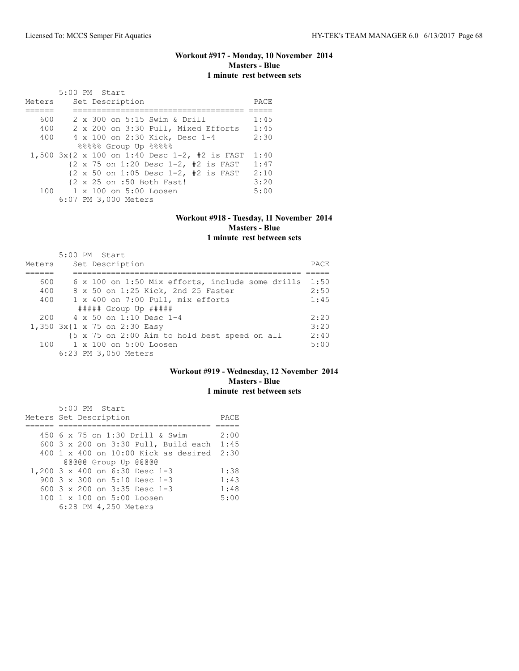# **Workout #917 - Monday, 10 November 2014 Masters - Blue 1 minute rest between sets**

|        | 5:00 PM Start                                                           |      |
|--------|-------------------------------------------------------------------------|------|
| Meters | Set Description                                                         | PACE |
|        |                                                                         |      |
| 600    | 2 x 300 on 5:15 Swim & Drill                                            | 1:45 |
| 400    | 2 x 200 on 3:30 Pull, Mixed Efforts                                     | 1:45 |
| 400    | 4 x 100 on 2:30 Kick, Desc 1-4                                          | 2:30 |
|        | 88888 Group Up 88888                                                    |      |
|        | 1,500 $3x$ {2 x 100 on 1:40 Desc 1-2, #2 is FAST                        | 1:40 |
|        | {2 x 75 on 1:20 Desc 1-2, #2 is FAST                                    | 1:47 |
|        | $\{2 \times 50 \text{ on } 1:05 \text{ Desc } 1-2, #2 \text{ is FAST }$ | 2:10 |
|        | {2 x 25 on :50 Both Fast!                                               | 3:20 |
|        | 100 1 x 100 on 5:00 Loosen                                              | 5:00 |
|        | 6:07 PM 3,000 Meters                                                    |      |

# **Workout #918 - Tuesday, 11 November 2014 Masters - Blue**

# **1 minute rest between sets**

|        | 5:00 PM Start                                    |      |
|--------|--------------------------------------------------|------|
| Meters | Set Description                                  | PACE |
|        |                                                  |      |
| 600    | 6 x 100 on 1:50 Mix efforts, include some drills | 1:50 |
| 400    | 8 x 50 on 1:25 Kick, 2nd 25 Faster               | 2:50 |
| 400    | 1 x 400 on 7:00 Pull, mix efforts                | 1:45 |
|        | $\#$ #### Group Up $\#$ ####                     |      |
|        | $200 \t 4 \times 50$ on 1:10 Desc 1-4            | 2:20 |
|        | 1,350 3x{1 x 75 on 2:30 Easy                     | 3:20 |
|        | {5 x 75 on 2:00 Aim to hold best speed on all    | 2:40 |
|        | 100 1 x 100 on 5:00 Loosen                       | 5:00 |
|        | 6:23 PM 3,050 Meters                             |      |

#### **Workout #919 - Wednesday, 12 November 2014 Masters - Blue 1 minute rest between sets**

| 5:00 PM Start                                                   |      |
|-----------------------------------------------------------------|------|
| Meters Set Description                                          | PACE |
|                                                                 |      |
| 450 6 x 75 on 1:30 Drill & Swim                                 | 2:00 |
| 600 3 x 200 on 3:30 Pull, Build each 1:45                       |      |
| $400 \text{ 1 x } 400 \text{ on } 10:00$ Kick as desired $2:30$ |      |
| @@@@@ Group Up @@@@@                                            |      |
| 1,200 3 x 400 on 6:30 Desc 1-3                                  | 1:38 |
| 900 3 x 300 on 5:10 Desc 1-3                                    | 1:43 |
| 600 3 x 200 on 3:35 Desc 1-3                                    | 1:48 |
| 100 1 x 100 on 5:00 Loosen                                      | 5:00 |
| 6:28 PM 4,250 Meters                                            |      |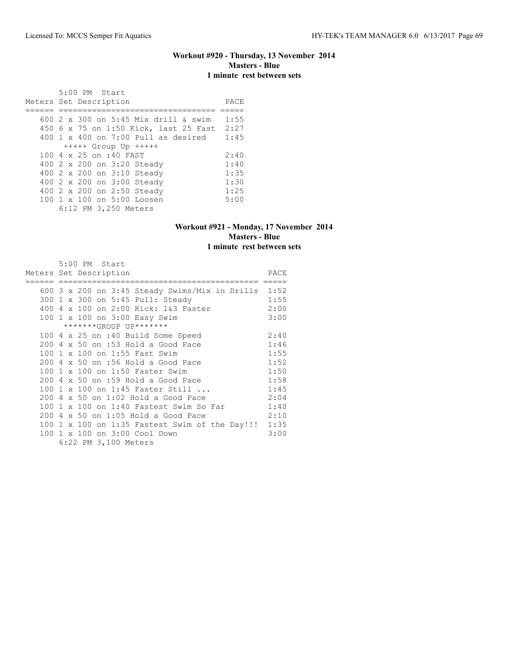### **Workout #920 - Thursday, 13 November 2014 Masters - Blue 1 minute rest between sets**

 5:00 PM Start Meters Set Description PACE ====== ================================= ===== 600 2 x 300 on 5:45 Mix drill & swim 1:55 450 6 x 75 on 1:50 Kick, last 25 Fast 2:27 400 1 x 400 on 7:00 Pull as desired 1:45 +++++ Group Up +++++ 100 4 x 25 on :40 FAST 2:40<br>400 2 x 200 on 3:20 Steady 1:40 400 2 x 200 on 3:20 Steady 1:40 400 2 x 200 on 3:10 Steady 1:35 400 2 x 200 on 3:00 Steady 1:30 400 2 x 200 on 2:50 Steady 1:25 100 1 x 100 on 5:00 Loosen 5:00 6:12 PM 3,250 Meters

#### **Workout #921 - Monday, 17 November 2014 Masters - Blue 1 minute rest between sets**

|  | 5:00 PM Start                                         |      |
|--|-------------------------------------------------------|------|
|  | Meters Set Description                                | PACE |
|  |                                                       |      |
|  | 600 3 x 200 on 3:45 Steady Swims/Mix in Drills $1:52$ |      |
|  | 300 1 x 300 on 5:45 Pull: Steady                      | 1:55 |
|  | 400 4 x 100 on 2:00 Kick: 1&3 Faster                  | 2:00 |
|  | 100 1 x 100 on 3:00 Easy Swim                         | 3:00 |
|  | *******GROUP UP*******                                |      |
|  | 100 4 x 25 on :40 Build Some Speed                    | 2:40 |
|  | 200 4 x 50 on :53 Hold a Good Pace                    | 1:46 |
|  | 100 1 x 100 on 1:55 Fast Swim                         | 1:55 |
|  | 200 4 x 50 on :56 Hold a Good Pace                    | 1:52 |
|  | 100 1 x 100 on 1:50 Faster Swim                       | 1:50 |
|  | $200$ 4 x 50 on :59 Hold a Good Pace                  | 1:58 |
|  | 100 1 x 100 on 1:45 Faster Still                      | 1:45 |
|  | 200 4 x 50 on 1:02 Hold a Good Pace                   | 2:04 |
|  | 100 1 x 100 on 1:40 Fastest Swim So Far               | 1:40 |
|  | $200$ 4 x 50 on 1:05 Hold a Good Pace                 | 2:10 |
|  | 100 1 x 100 on 1:35 Fastest Swim of the Day!!! 1:35   |      |
|  | 100 1 x 100 on 3:00 Cool Down                         | 3:00 |
|  | 6:22 PM 3,100 Meters                                  |      |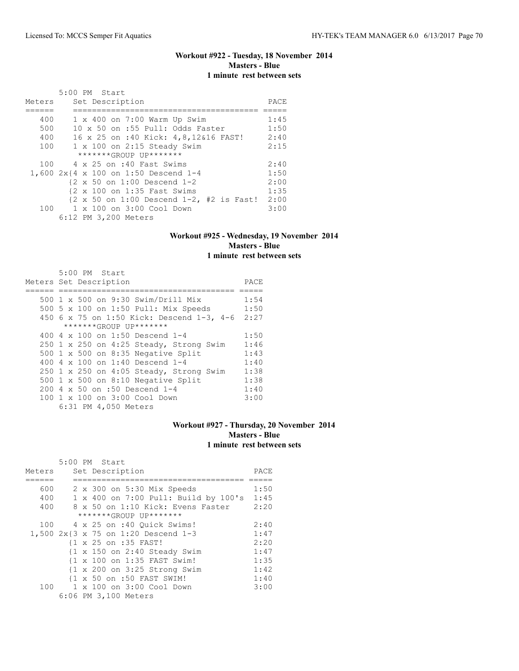# **Workout #922 - Tuesday, 18 November 2014 Masters - Blue 1 minute rest between sets**

|        | 5:00 PM Start                                                               |      |
|--------|-----------------------------------------------------------------------------|------|
| Meters | Set Description                                                             | PACE |
|        |                                                                             |      |
| 400    | $1 \times 400$ on 7:00 Warm Up Swim                                         | 1:45 |
| 500    | 10 x 50 on :55 Pull: Odds Faster                                            | 1:50 |
| 400    | 16 x 25 on :40 Kick: 4,8,12&16 FAST!                                        | 2:40 |
| 100    | $1 \times 100$ on 2:15 Steady Swim                                          | 2:15 |
|        | *******GROUP UP*******                                                      |      |
|        | 100 4 x 25 on :40 Fast Swims                                                | 2:40 |
|        | 1,600 2x{4 x 100 on 1:50 Descend 1-4                                        | 1:50 |
|        | {2 x 50 on 1:00 Descend 1-2                                                 | 2:00 |
|        | {2 x 100 on 1:35 Fast Swims                                                 | 1:35 |
|        | $\{2 \times 50 \text{ on } 1:00 \text{ Descend } 1-2, \#2 \text{ is Fast!}$ | 2:00 |
|        | 100 1 x 100 on 3:00 Cool Down                                               | 3:00 |
|        | 6:12 PM 3,200 Meters                                                        |      |

#### **Workout #925 - Wednesday, 19 November 2014 Masters - Blue 1 minute rest between sets**

| 5:00 PM Start                             |      |
|-------------------------------------------|------|
| Meters Set Description                    | PACE |
|                                           |      |
| 500 1 x 500 on 9:30 Swim/Drill Mix        | 1:54 |
| 500 5 x 100 on 1:50 Pull: Mix Speeds      | 1:50 |
| 450 6 x 75 on 1:50 Kick: Descend 1-3, 4-6 | 2:27 |
| *******GROUP UP*******                    |      |
| 400 4 x 100 on 1:50 Descend 1-4           | 1:50 |
| 250 1 x 250 on 4:25 Steady, Strong Swim   | 1:46 |
| 500 1 x 500 on 8:35 Negative Split        | 1:43 |
| 400 4 x 100 on 1:40 Descend 1-4           | 1:40 |
| 250 1 x 250 on 4:05 Steady, Strong Swim   | 1:38 |
| 500 1 x 500 on 8:10 Negative Split        | 1:38 |
| 200 4 x 50 on :50 Descend 1-4             | 1:40 |
| 100 1 x 100 on 3:00 Cool Down             | 3:00 |
| 6:31 PM 4,050 Meters                      |      |

# **Workout #927 - Thursday, 20 November 2014 Masters - Blue 1 minute rest between sets**

|        |  | 5:00 PM Start                                           |      |
|--------|--|---------------------------------------------------------|------|
| Meters |  | Set Description                                         | PACE |
|        |  |                                                         |      |
| 600    |  | 2 x 300 on 5:30 Mix Speeds                              | 1:50 |
| 400    |  | 1 x 400 on 7:00 Pull: Build by 100's                    | 1:45 |
| 400    |  | 8 x 50 on 1:10 Kick: Evens Faster                       | 2:20 |
|        |  | *******GROUP UP*******                                  |      |
| 100    |  | 4 x 25 on :40 Ouick Swims!                              | 2:40 |
|        |  | 1,500 2x{3 x 75 on 1:20 Descend 1-3                     | 1:47 |
|        |  | {1 x 25 on :35 FAST!                                    | 2:20 |
|        |  | $\{1 \times 150 \text{ on } 2:40 \text{ Steady Swim}\}$ | 1:47 |
|        |  | {1 x 100 on 1:35 FAST Swim!                             | 1:35 |
|        |  | $\{1 \times 200 \text{ on } 3:25 \text{ Strong } Swim$  | 1:42 |
|        |  | {1 x 50 on :50 FAST SWIM!                               | 1:40 |
| 100    |  | 1 x 100 on 3:00 Cool Down                               | 3:00 |
|        |  | 6:06 PM 3,100 Meters                                    |      |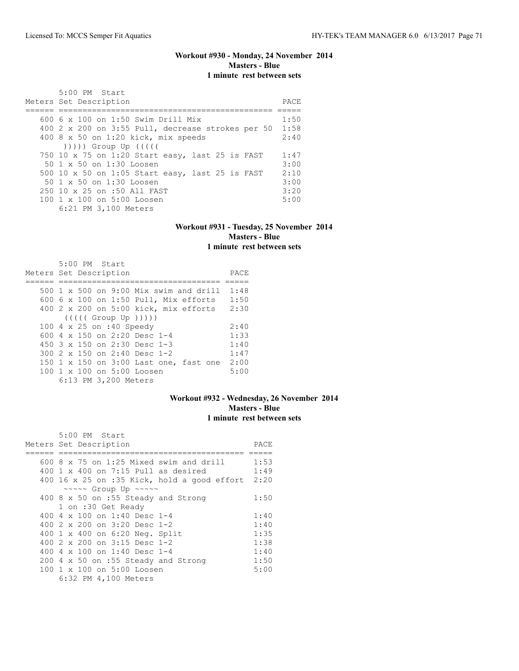#### **Workout #930 - Monday, 24 November 2014 Masters - Blue 1 minute rest between sets**

| 5:00 PM Start<br>Meters Set Description                                                                                                                                                                                      | PACE |
|------------------------------------------------------------------------------------------------------------------------------------------------------------------------------------------------------------------------------|------|
| $600.6 \times 100$ on 1:50 Swim Drill Mix                                                                                                                                                                                    | 1:50 |
|                                                                                                                                                                                                                              |      |
| 400 2 x 200 on 3:55 Pull, decrease strokes per 50                                                                                                                                                                            | 1:58 |
| 400 8 x 50 on 1:20 kick, mix speeds                                                                                                                                                                                          | 2:40 |
| $($ $($ $($ $($ $($ $($ $))$ $)$ $)$ $($ $)$ $($ $)$ $($ $)$ $($ $)$ $($ $)$ $($ $)$ $($ $)$ $($ $)$ $($ $)$ $($ $)$ $($ $)$ $($ $)$ $($ $)$ $($ $)$ $($ $)$ $($ $)$ $($ $)$ $($ $)$ $($ $)$ $($ $)$ $($ $)$ $($ $)$ $($ $)$ |      |
| 750 10 x 75 on 1:20 Start easy, last 25 is FAST                                                                                                                                                                              | 1:47 |
| 50 1 x 50 on 1:30 Loosen                                                                                                                                                                                                     | 3:00 |
| 500 10 x 50 on 1:05 Start easy, last 25 is FAST                                                                                                                                                                              | 2:10 |
| 50 1 x 50 on 1:30 Loosen                                                                                                                                                                                                     | 3:00 |
| 250 10 x 25 on :50 All FAST                                                                                                                                                                                                  | 3:20 |
| 100 1 x 100 on 5:00 Loosen                                                                                                                                                                                                   | 5:00 |
| 6:21 PM 3,100 Meters                                                                                                                                                                                                         |      |

#### **Workout #931 - Tuesday, 25 November 2014 Masters - Blue 1 minute rest between sets**

| $5:00$ PM Start                                     |      |
|-----------------------------------------------------|------|
| Meters Set Description                              | PACE |
|                                                     |      |
| $500 \text{ 1 x } 500$ on $9:00$ Mix swim and drill | 1:48 |
| 600 6 x 100 on 1:50 Pull, Mix efforts               | 1:50 |
| 400 2 x 200 on 5:00 kick, mix efforts               | 2:30 |
| (((((Group Up)))                                    |      |
| 100 4 x 25 on :40 Speedy                            | 2:40 |
| 600 4 x 150 on 2:20 Desc 1-4                        | 1:33 |
| 450 $3 \times 150$ on 2:30 Desc 1-3                 | 1:40 |
| 300 2 x 150 on 2:40 Desc 1-2                        | 1:47 |
| 150 1 x 150 on 3:00 Last one, fast one              | 2:00 |
| 100 1 x 100 on 5:00 Loosen                          | 5:00 |
| 6:13 PM 3,200 Meters                                |      |

#### **Workout #932 - Wednesday, 26 November 2014 Masters - Blue 1 minute rest between sets**

| 5:00 PM Start                                        |      |
|------------------------------------------------------|------|
| Meters Set Description                               | PACE |
|                                                      |      |
| $600.8 \times 75$ on 1:25 Mixed swim and drill       | 1:53 |
| $400 \text{ 1 x } 400$ on 7:15 Pull as desired       | 1:49 |
| 400 16 x 25 on :35 Kick, hold a good effort          | 2:20 |
| $\sim \sim \sim \sim$ Group Up $\sim \sim \sim \sim$ |      |
| 400 8 x 50 on :55 Steady and Strong                  | 1:50 |
| 1 on :30 Get Ready                                   |      |
| 400 4 $\times$ 100 on 1:40 Desc 1-4                  | 1:40 |
| 400 $2 \times 200$ on $3:20$ Desc 1-2                | 1:40 |
| 400 1 x 400 on 6:20 Neg. Split                       | 1:35 |
| 400 2 x 200 on 3:15 Desc 1-2                         | 1:38 |
| 400 4 $\times$ 100 on 1:40 Desc 1-4                  | 1:40 |
| 200 4 x 50 on :55 Steady and Strong                  | 1:50 |
| 100 1 x 100 on 5:00 Loosen                           | 5:00 |
| 6:32 PM 4,100 Meters                                 |      |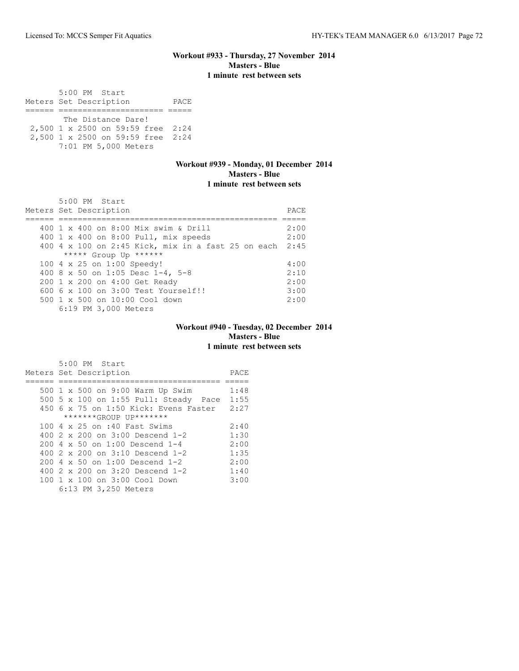#### **Workout #933 - Thursday, 27 November 2014 Masters - Blue 1 minute rest between sets**

 5:00 PM Start Meters Set Description PACE ====== ====================== ===== The Distance Dare! 2,500 1 x 2500 on 59:59 free 2:24 2,500 1 x 2500 on 59:59 free 2:24 7:01 PM 5,000 Meters

# **Workout #939 - Monday, 01 December 2014 Masters - Blue 1 minute rest between sets**

| $5:00$ PM Start<br>Meters Set Description               | PACE |
|---------------------------------------------------------|------|
|                                                         |      |
| 400 1 x 400 on 8:00 Mix swim & Drill                    | 2:00 |
| 400 1 x 400 on 8:00 Pull, mix speeds                    | 2:00 |
| 400 4 x 100 on 2:45 Kick, mix in a fast 25 on each 2:45 |      |
| ***** Group Up ******                                   |      |
| 100 4 x 25 on 1:00 Speedy!                              | 4:00 |
| 400 8 x 50 on 1:05 Desc 1-4, 5-8                        | 2:10 |
| 200 1 x 200 on 4:00 Get Ready                           | 2:00 |
| $6006 \times 100$ on $3:00$ Test Yourself!!             | 3:00 |
| $500 \t 1 \t x \t 500$ on $10:00$ Cool down             | 2:00 |
| 6:19 PM 3,000 Meters                                    |      |

#### **Workout #940 - Tuesday, 02 December 2014 Masters - Blue 1 minute rest between sets**

| $5:00$ PM Start                                    |      |
|----------------------------------------------------|------|
| Meters Set Description                             | PACE |
|                                                    |      |
| 500 1 x 500 on 9:00 Warm Up Swim                   | 1:48 |
| 500 5 x 100 on 1:55 Pull: Steady Pace              | 1:55 |
| $450$ 6 x 75 on 1:50 Kick: Evens Faster            | 2:27 |
| *******GROUP UP*******                             |      |
| 100 4 x 25 on :40 Fast Swims                       | 2:40 |
| 400 $2 \times 200$ on $3:00$ Descend 1-2           | 1:30 |
| $200 \text{ } 4 \times 50$ on $1:00$ Descend $1-4$ | 2:00 |
| 400 2 x 200 on 3:10 Descend 1-2                    | 1:35 |
| $200 \, 4 \times 50$ on $1:00$ Descend $1-2$       | 2:00 |
| 400 $2 \times 200$ on $3:20$ Descend 1-2           | 1:40 |
| 100 1 x 100 on 3:00 Cool Down                      | 3:00 |
| 6:13 PM 3,250 Meters                               |      |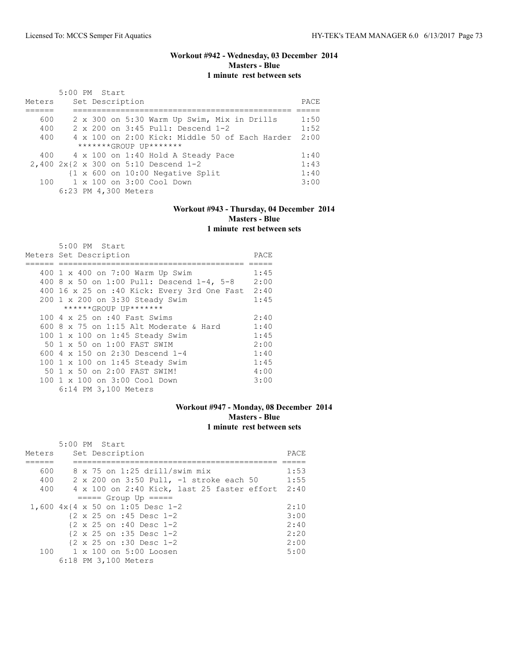# **Workout #942 - Wednesday, 03 December 2014 Masters - Blue 1 minute rest between sets**

|        | $5:00$ PM Start |  |                                                             | PACE |
|--------|-----------------|--|-------------------------------------------------------------|------|
| Meters |                 |  | Set Description                                             |      |
|        |                 |  |                                                             |      |
| 600    |                 |  | 2 x 300 on 5:30 Warm Up Swim, Mix in Drills                 | 1:50 |
| 400    |                 |  | 2 x 200 on 3:45 Pull: Descend 1-2                           | 1:52 |
| 400    |                 |  | $4 \times 100$ on 2:00 Kick: Middle 50 of Each Harder       | 2:00 |
|        |                 |  | $******GROUP$ $IP*******$                                   |      |
|        |                 |  | 400 4 x 100 on 1:40 Hold A Steady Pace                      | 1:40 |
|        |                 |  | 2,400 2x{2 x 300 on 5:10 Descend 1-2                        | 1:43 |
|        |                 |  | $\{1 \times 600 \text{ on } 10:00 \text{ Negative Split}\}$ | 1:40 |
|        |                 |  | $100 \t 1 \times 100$ on $3:00$ Cool Down                   | 3:00 |
|        |                 |  | 6:23 PM 4,300 Meters                                        |      |

# **Workout #943 - Thursday, 04 December 2014 Masters - Blue 1 minute rest between sets**

| 5:00 PM Start                                    |      |
|--------------------------------------------------|------|
| Meters Set Description                           | PACE |
|                                                  |      |
| 400 1 x 400 on 7:00 Warm Up Swim                 | 1:45 |
| $400$ 8 x 50 on 1:00 Pull: Descend 1-4, 5-8      | 2:00 |
| 400 16 x 25 on :40 Kick: Every 3rd One Fast 2:40 |      |
| 200 1 x 200 on 3:30 Steady Swim                  | 1:45 |
| ******GROUP UP*******                            |      |
| 100 4 x 25 on :40 Fast Swims                     | 2:40 |
| 600 8 $\times$ 75 on 1:15 Alt Moderate & Hard    | 1:40 |
| 100 1 x 100 on 1:45 Steady Swim                  | 1:45 |
| 50 1 x 50 on 1:00 FAST SWIM                      | 2:00 |
| 600 4 x 150 on 2:30 Descend 1-4                  | 1:40 |
| 100 1 x 100 on 1:45 Steady Swim                  | 1:45 |
| 50 1 x 50 on 2:00 FAST SWIM!                     | 4:00 |
| 100 1 x 100 on 3:00 Cool Down                    | 3:00 |
| 6:14 PM 3,100 Meters                             |      |

## **Workout #947 - Monday, 08 December 2014 Masters - Blue 1 minute rest between sets**

|        | $5:00$ PM Start                                       |      |
|--------|-------------------------------------------------------|------|
| Meters | Set Description                                       | PACE |
|        |                                                       |      |
| 600    | $8 \times 75$ on 1:25 drill/swim mix                  | 1:53 |
| 400    | 2 x 200 on 3:50 Pull, -1 stroke each 50               | 1:55 |
| 400    | 4 x 100 on 2:40 Kick, last 25 faster effort 2:40      |      |
|        | $====$ Group Up $====$                                |      |
|        | 1,600 4x{4 x 50 on 1:05 Desc 1-2                      | 2:10 |
|        | $\{2 \times 25 \text{ on } : 45 \text{ Desc } 1-2 \}$ | 3:00 |
|        | $\{2 \times 25 \text{ on } : 40 \text{ Desc } 1-2 \}$ | 2:40 |
|        | {2 x 25 on :35 Desc 1-2                               | 2:20 |
|        | $\{2 \times 25 \text{ on } : 30 \text{ Desc } 1-2 \}$ | 2:00 |
| 100    | $1 \times 100$ on $5:00$ Loosen                       | 5:00 |
|        | 6:18 PM 3,100 Meters                                  |      |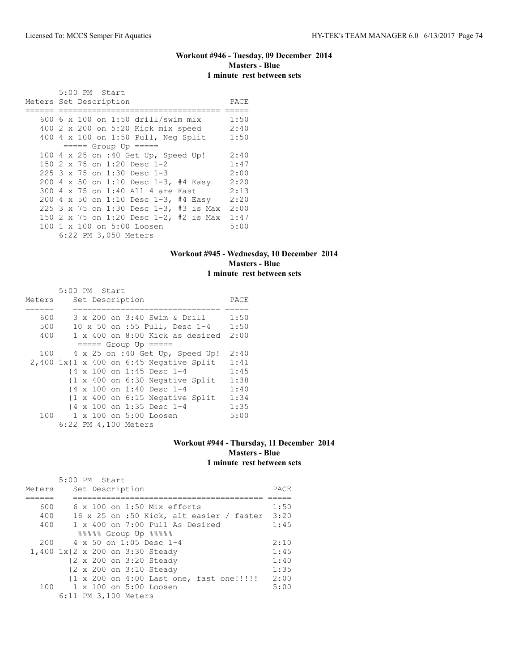# **Workout #946 - Tuesday, 09 December 2014 Masters - Blue 1 minute rest between sets**

|                        |  |  | 5:00 PM Start                        |  |  |                                        |      |
|------------------------|--|--|--------------------------------------|--|--|----------------------------------------|------|
| Meters Set Description |  |  |                                      |  |  |                                        | PACE |
|                        |  |  | 600 6 x 100 on 1:50 drill/swim mix   |  |  |                                        | 1:50 |
|                        |  |  | 400 2 x 200 on 5:20 Kick mix speed   |  |  |                                        | 2:40 |
|                        |  |  | 400 4 x 100 on 1:50 Pull, Neg Split  |  |  |                                        | 1:50 |
|                        |  |  | $====$ Group Up $====$               |  |  |                                        |      |
|                        |  |  | 100 4 x 25 on :40 Get Up, Speed Up!  |  |  |                                        | 2:40 |
|                        |  |  | 150 2 x 75 on 1:20 Desc 1-2          |  |  |                                        | 1:47 |
|                        |  |  | 225 3 x 75 on 1:30 Desc 1-3          |  |  |                                        | 2:00 |
|                        |  |  |                                      |  |  | 200 4 x 50 on 1:10 Desc 1-3, #4 Easy   | 2:20 |
|                        |  |  | 300 4 x 75 on 1:40 All 4 are Fast    |  |  |                                        | 2:13 |
|                        |  |  | 200 4 x 50 on 1:10 Desc 1-3, #4 Easy |  |  |                                        | 2:20 |
|                        |  |  |                                      |  |  | 225 3 x 75 on 1:30 Desc 1-3, #3 is Max | 2:00 |
|                        |  |  |                                      |  |  | 150 2 x 75 on 1:20 Desc 1-2, #2 is Max | 1:47 |
|                        |  |  | 100 1 x 100 on 5:00 Loosen           |  |  |                                        | 5:00 |
|                        |  |  | 6:22 PM 3,050 Meters                 |  |  |                                        |      |

## **Workout #945 - Wednesday, 10 December 2014 Masters - Blue 1 minute rest between sets**

|                                           | 5:00 PM Start |  |                      |                            |                                                            |                                 |      |
|-------------------------------------------|---------------|--|----------------------|----------------------------|------------------------------------------------------------|---------------------------------|------|
| Meters                                    |               |  | Set Description      |                            |                                                            |                                 | PACE |
|                                           |               |  |                      |                            |                                                            |                                 |      |
| 600                                       |               |  |                      |                            | 3 x 200 on 3:40 Swim & Drill                               |                                 | 1:50 |
| 500                                       |               |  |                      |                            | 10 x 50 on :55 Pull, Desc 1-4                              |                                 | 1:50 |
| 400                                       |               |  |                      |                            |                                                            | 1 x 400 on 8:00 Kick as desired | 2:00 |
|                                           |               |  |                      | $====$ Group Up $====$     |                                                            |                                 |      |
| 100                                       |               |  |                      |                            | 4 x 25 on :40 Get Up, Speed Up!                            |                                 | 2:40 |
| $2,400$ 1x{1 x 400 on 6:45 Negative Split |               |  |                      |                            |                                                            |                                 | 1:41 |
|                                           |               |  |                      | {4 x 100 on 1:45 Desc 1-4  |                                                            |                                 | 1:45 |
|                                           |               |  |                      |                            | $\{1 \times 400 \text{ on } 6:30 \text{ Negative Split}\}$ |                                 | 1:38 |
|                                           |               |  |                      | {4 x 100 on 1:40 Desc 1-4  |                                                            |                                 | 1:40 |
|                                           |               |  |                      |                            | $\{1 \times 400 \text{ on } 6:15 \text{ Negative Split}\}$ |                                 | 1:34 |
|                                           |               |  |                      | {4 x 100 on 1:35 Desc 1-4  |                                                            |                                 | 1:35 |
|                                           |               |  |                      | 100 1 x 100 on 5:00 Loosen |                                                            |                                 | 5:00 |
|                                           |               |  | 6:22 PM 4,100 Meters |                            |                                                            |                                 |      |

## **Workout #944 - Thursday, 11 December 2014 Masters - Blue 1 minute rest between sets**

|        | $5:00$ PM Start                                      |      |
|--------|------------------------------------------------------|------|
| Meters | Set Description                                      | PACE |
|        |                                                      |      |
| 600    | $6 \times 100$ on 1:50 Mix efforts                   | 1:50 |
| 400    | $16 \times 25$ on :50 Kick, alt easier / faster 3:20 |      |
| 400    | 1 x 400 on 7:00 Pull As Desired                      | 1:45 |
|        | 88888 Group Up 88888                                 |      |
| 200    | $4 \times 50$ on 1:05 Desc 1-4                       | 2:10 |
|        | 1,400 1x{2 x 200 on 3:30 Steady                      | 1:45 |
|        | {2 x 200 on 3:20 Steady                              | 1:40 |
|        | {2 x 200 on 3:10 Steady                              | 1:35 |
|        | {1 x 200 on 4:00 Last one, fast one!!!!!             | 2:00 |
|        | 100 1 x 100 on 5:00 Loosen                           | 5:00 |
|        | 6:11 PM 3,100 Meters                                 |      |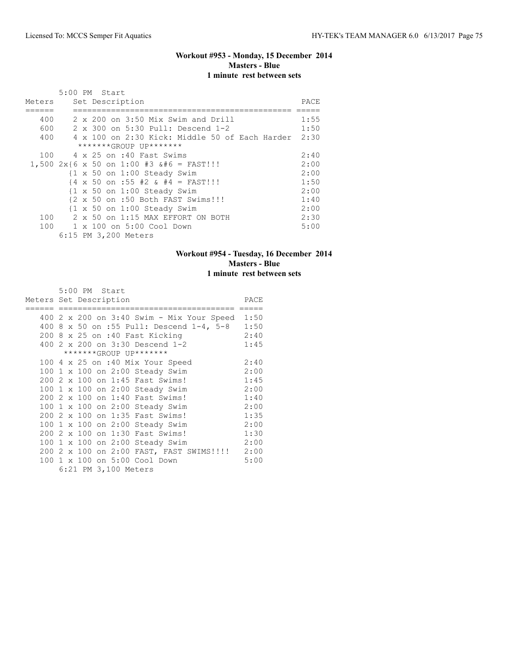# **Workout #953 - Monday, 15 December 2014 Masters - Blue 1 minute rest between sets**

|        | 5:00 PM Start                                                              |      |
|--------|----------------------------------------------------------------------------|------|
| Meters | Set Description                                                            | PACE |
|        |                                                                            |      |
| 400    | 2 x 200 on 3:50 Mix Swim and Drill                                         | 1:55 |
| 600    | 2 x 300 on 5:30 Pull: Descend 1-2                                          | 1:50 |
| 400    | 4 x 100 on 2:30 Kick: Middle 50 of Each Harder 2:30                        |      |
|        | *******GROUP UP*******                                                     |      |
| 100    | 4 x 25 on :40 Fast Swims                                                   | 2:40 |
|        | $1,500$ 2x{6 x 50 on 1:00 #3  = FAST!!!                                   | 2:00 |
|        | $\{1 \times 50 \text{ on } 1:00 \text{ Steadv} \text{Swim}\}$              | 2:00 |
|        | $\{4 \times 50 \text{ on } : 55 \neq 2 \text{ \& } \# 4 = \text{FAST}! \}$ | 1:50 |
|        | {1 x 50 on 1:00 Steady Swim                                                | 2:00 |
|        | {2 x 50 on :50 Both FAST Swims!!!                                          | 1:40 |
|        | $\{1 \times 50 \text{ on } 1:00 \text{ Steady Swim}\}$                     | 2:00 |
|        | $100 \t 2 \times 50$ on 1:15 MAX EFFORT ON BOTH                            | 2:30 |
|        | 100 1 x 100 on 5:00 Cool Down                                              | 5:00 |
|        | 6:15 PM 3,200 Meters                                                       |      |

# **Workout #954 - Tuesday, 16 December 2014 Masters - Blue 1 minute rest between sets**

|     |  | 5:00 PM Start          |                                                |      |
|-----|--|------------------------|------------------------------------------------|------|
|     |  | Meters Set Description |                                                | PACE |
|     |  |                        | 400 2 x 200 on 3:40 Swim - Mix Your Speed 1:50 |      |
| 400 |  |                        | 8 x 50 on :55 Pull: Descend 1-4, 5-8           | 1:50 |
|     |  |                        | 200 8 x 25 on :40 Fast Kicking                 | 2:40 |
|     |  |                        | 400 2 x 200 on 3:30 Descend 1-2                | 1:45 |
|     |  |                        | *******GROUP UP*******                         |      |
|     |  |                        | 100 4 x 25 on :40 Mix Your Speed               | 2:40 |
|     |  |                        | 100 1 x 100 on 2:00 Steady Swim                | 2:00 |
|     |  |                        | 200 2 x 100 on 1:45 Fast Swims!                | 1:45 |
|     |  |                        | 100 1 x 100 on 2:00 Steady Swim                | 2:00 |
|     |  |                        | 200 2 x 100 on 1:40 Fast Swims!                | 1:40 |
|     |  |                        | 100 1 x 100 on 2:00 Steady Swim                | 2:00 |
|     |  |                        | 200 2 x 100 on 1:35 Fast Swims!                | 1:35 |
|     |  |                        | 100 1 x 100 on 2:00 Steady Swim                | 2:00 |
|     |  |                        | 200 2 x 100 on 1:30 Fast Swims!                | 1:30 |
|     |  |                        | 100 1 x 100 on 2:00 Steady Swim                | 2:00 |
|     |  |                        | 200 2 x 100 on 2:00 FAST, FAST SWIMS!!!! 2:00  |      |
|     |  |                        | 100 1 x 100 on 5:00 Cool Down                  | 5:00 |
|     |  | 6:21 PM 3,100 Meters   |                                                |      |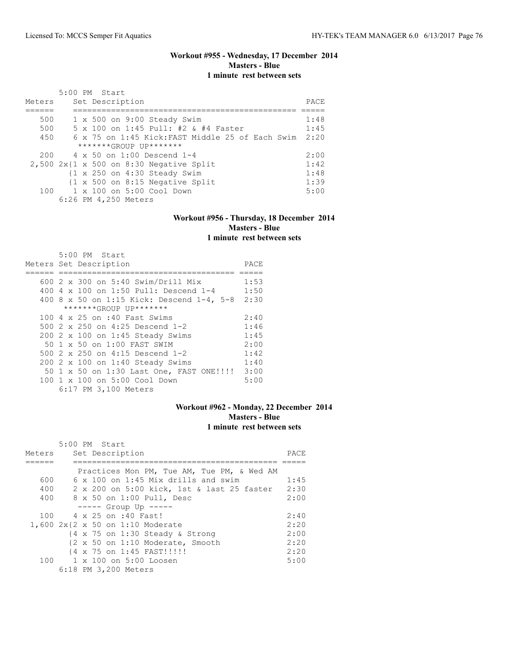## **Workout #955 - Wednesday, 17 December 2014 Masters - Blue 1 minute rest between sets**

| Meters | 5:00 PM Start<br>Set Description                                | PACE |
|--------|-----------------------------------------------------------------|------|
| 500    | $1 \times 500$ on $9:00$ Steady Swim                            | 1:48 |
| 500    | 5 x 100 on 1:45 Pull: #2 & #4 Faster                            | 1:45 |
| 450    | 6 x 75 on 1:45 Kick: FAST Middle 25 of Each Swim                | 2:20 |
|        | $******GROUP$ $IP*******$                                       |      |
| 200    | 4 x 50 on 1:00 Descend 1-4                                      | 2:00 |
|        | $2,500$ 2x{1 x 500 on 8:30 Negative Split                       | 1:42 |
|        | $\{1 \times 250 \text{ on } 4:30 \text{ Steady } \text{Swim}\}$ | 1:48 |
|        | $\{1 \times 500 \text{ on } 8:15 \text{ Negative Split}\}$      | 1:39 |
|        | $100 \t 1 \times 100$ on $5:00$ Cool Down                       | 5:00 |
|        | 6:26 PM 4,250 Meters                                            |      |

#### **Workout #956 - Thursday, 18 December 2014 Masters - Blue 1 minute rest between sets**

| 5:00 PM Start                             |      |
|-------------------------------------------|------|
| Meters Set Description                    | PACE |
|                                           |      |
| 600 2 x 300 on 5:40 Swim/Drill Mix        | 1:53 |
| 400 4 x 100 on 1:50 Pull: Descend 1-4     | 1:50 |
| 400 8 x 50 on 1:15 Kick: Descend 1-4, 5-8 | 2:30 |
| *******GROUP UP*******                    |      |
| 100 4 x 25 on :40 Fast Swims              | 2:40 |
| 500 2 x 250 on 4:25 Descend 1-2           | 1:46 |
| 200 2 x 100 on 1:45 Steady Swims          | 1:45 |
| 50 1 x 50 on 1:00 FAST SWIM               | 2:00 |
| 500 2 x 250 on 4:15 Descend 1-2           | 1:42 |
| 200 2 x 100 on 1:40 Steady Swims          | 1:40 |
| 50 1 x 50 on 1:30 Last One, FAST ONE!!!!  | 3:00 |
| 100 1 x 100 on 5:00 Cool Down             | 5:00 |
| 6:17 PM 3,100 Meters                      |      |

## **Workout #962 - Monday, 22 December 2014 Masters - Blue 1 minute rest between sets**

|        | $5:00$ PM Start                                              |      |
|--------|--------------------------------------------------------------|------|
| Meters | Set Description                                              | PACE |
|        |                                                              |      |
|        | Practices Mon PM, Tue AM, Tue PM, & Wed AM                   |      |
| 600    | $6 \times 100$ on 1:45 Mix drills and swim                   | 1:45 |
| 400    | 2 x 200 on 5:00 kick, 1st & last 25 faster                   | 2:30 |
| 400    | 8 x 50 on 1:00 Pull, Desc                                    | 2:00 |
|        | $--- $ Group Up $---$                                        |      |
| 100    | 4 x 25 on :40 Fast!                                          | 2:40 |
|        | 1,600 2x{2 x 50 on 1:10 Moderate                             | 2:20 |
|        | $\{4 \times 75 \text{ on } 1:30 \text{ Steady } \& Strong\}$ | 2:00 |
|        | {2 x 50 on 1:10 Moderate, Smooth                             | 2:20 |
|        | {4 x 75 on 1:45 FAST!!!!!                                    | 2:20 |
|        | 100 1 x 100 on 5:00 Loosen                                   | 5:00 |
|        | 6:18 PM 3,200 Meters                                         |      |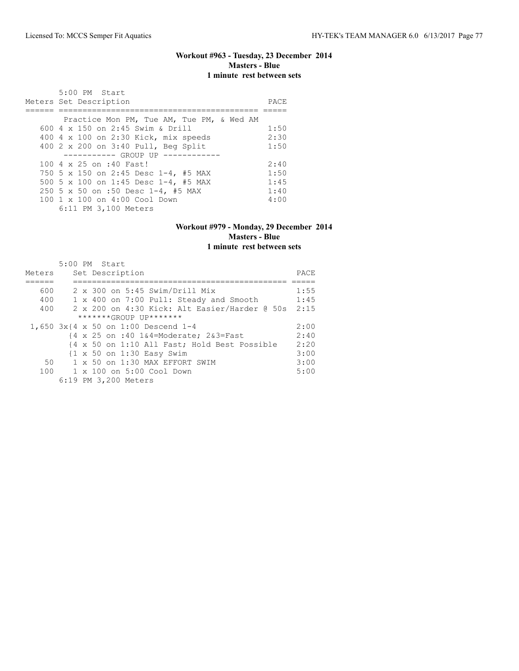# **Workout #963 - Tuesday, 23 December 2014 Masters - Blue 1 minute rest between sets**

| 5:00 PM Start                             |      |
|-------------------------------------------|------|
| Meters Set Description                    | PACE |
|                                           |      |
| Practice Mon PM, Tue AM, Tue PM, & Wed AM |      |
| 600 $4 \times 150$ on 2:45 Swim & Drill   | 1:50 |
| 400 4 x 100 on 2:30 Kick, mix speeds      | 2:30 |
| 400 2 x 200 on 3:40 Pull, Beg Split       | 1:50 |
| ----------- GROUP UP --------             |      |
| 100 4 x 25 on :40 Fast!                   | 2:40 |
| 750 5 x 150 on 2:45 Desc 1-4, #5 MAX      | 1:50 |
| 500 5 x 100 on 1:45 Desc 1-4, #5 MAX      | 1:45 |
| 250 5 x 50 on :50 Desc 1-4, #5 MAX        | 1:40 |
| 100 1 x 100 on 4:00 Cool Down             | 4:00 |
| 6:11 PM 3,100 Meters                      |      |

### **Workout #979 - Monday, 29 December 2014 Masters - Blue 1 minute rest between sets**

|        | 5:00 PM Start                                 |      |
|--------|-----------------------------------------------|------|
| Meters | Set Description                               | PACE |
|        |                                               |      |
| 600    | $2 \times 300$ on 5:45 Swim/Drill Mix         | 1:55 |
| 400    | 1 x 400 on 7:00 Pull: Steady and Smooth       | 1:45 |
| 400    | 2 x 200 on 4:30 Kick: Alt Easier/Harder @ 50s | 2:15 |
|        | $******GROUP$ $IP*******$                     |      |
|        | 1,650 3x{4 x 50 on 1:00 Descend 1-4           | 2:00 |
|        | {4 x 25 on :40 1&4=Moderate; 2&3=Fast         | 2:40 |
|        | {4 x 50 on 1:10 All Fast; Hold Best Possible  | 2:20 |
|        | {1 x 50 on 1:30 Easy Swim                     | 3:00 |
| 50     | $1 \times 50$ on $1:30$ MAX EFFORT SWIM       | 3:00 |
| 100    | 1 x 100 on 5:00 Cool Down                     | 5:00 |
|        | 6:19 PM 3,200 Meters                          |      |